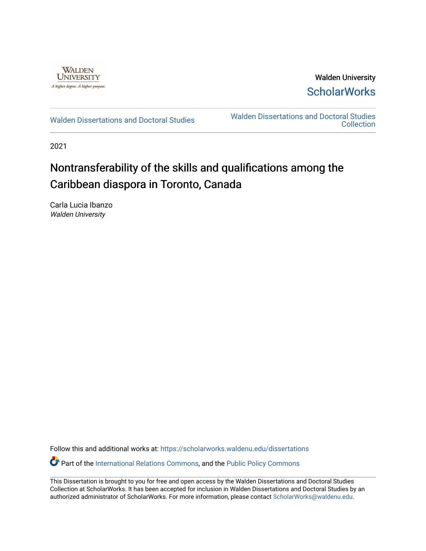

Walden University **ScholarWorks** 

[Walden Dissertations and Doctoral Studies](https://scholarworks.waldenu.edu/dissertations) Walden Dissertations and Doctoral Studies **Collection** 

2021

# Nontransferability of the skills and qualifications among the Caribbean diaspora in Toronto, Canada

Carla Lucia Ibanzo Walden University

Follow this and additional works at: [https://scholarworks.waldenu.edu/dissertations](https://scholarworks.waldenu.edu/dissertations?utm_source=scholarworks.waldenu.edu%2Fdissertations%2F11299&utm_medium=PDF&utm_campaign=PDFCoverPages)

Part of the [International Relations Commons,](http://network.bepress.com/hgg/discipline/389?utm_source=scholarworks.waldenu.edu%2Fdissertations%2F11299&utm_medium=PDF&utm_campaign=PDFCoverPages) and the [Public Policy Commons](http://network.bepress.com/hgg/discipline/400?utm_source=scholarworks.waldenu.edu%2Fdissertations%2F11299&utm_medium=PDF&utm_campaign=PDFCoverPages) 

This Dissertation is brought to you for free and open access by the Walden Dissertations and Doctoral Studies Collection at ScholarWorks. It has been accepted for inclusion in Walden Dissertations and Doctoral Studies by an authorized administrator of ScholarWorks. For more information, please contact [ScholarWorks@waldenu.edu](mailto:ScholarWorks@waldenu.edu).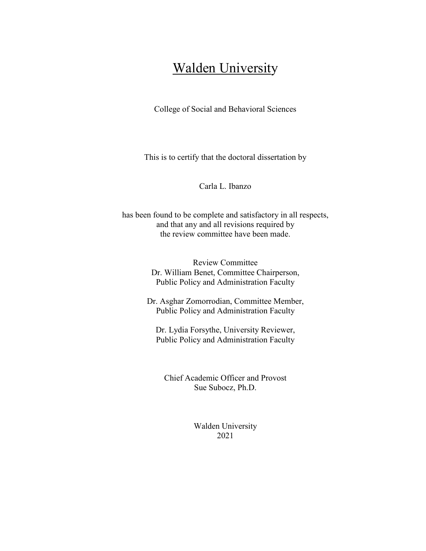# Walden University

College of Social and Behavioral Sciences

This is to certify that the doctoral dissertation by

Carla L. Ibanzo

has been found to be complete and satisfactory in all respects, and that any and all revisions required by the review committee have been made.

> Review Committee Dr. William Benet, Committee Chairperson, Public Policy and Administration Faculty

Dr. Asghar Zomorrodian, Committee Member, Public Policy and Administration Faculty

Dr. Lydia Forsythe, University Reviewer, Public Policy and Administration Faculty

Chief Academic Officer and Provost Sue Subocz, Ph.D.

> Walden University 2021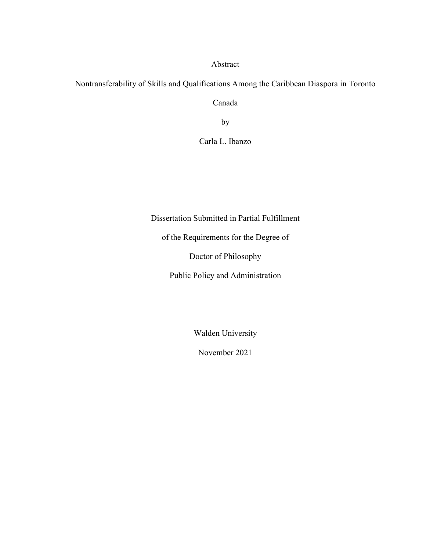Abstract

Nontransferability of Skills and Qualifications Among the Caribbean Diaspora in Toronto

Canada

by

Carla L. Ibanzo

Dissertation Submitted in Partial Fulfillment

of the Requirements for the Degree of

Doctor of Philosophy

Public Policy and Administration

Walden University

November 2021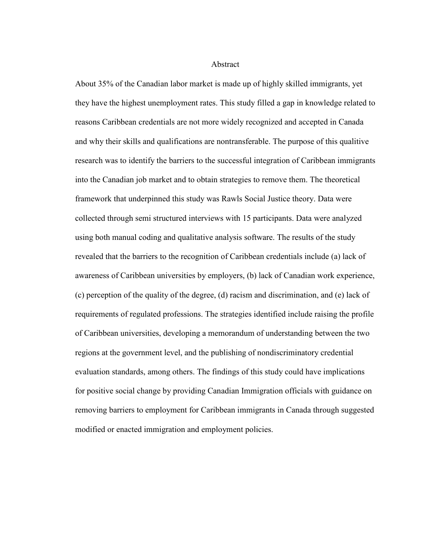Abstract

About 35% of the Canadian labor market is made up of highly skilled immigrants, yet they have the highest unemployment rates. This study filled a gap in knowledge related to reasons Caribbean credentials are not more widely recognized and accepted in Canada and why their skills and qualifications are nontransferable. The purpose of this qualitive research was to identify the barriers to the successful integration of Caribbean immigrants into the Canadian job market and to obtain strategies to remove them. The theoretical framework that underpinned this study was Rawls Social Justice theory. Data were collected through semi structured interviews with 15 participants. Data were analyzed using both manual coding and qualitative analysis software. The results of the study revealed that the barriers to the recognition of Caribbean credentials include (a) lack of awareness of Caribbean universities by employers, (b) lack of Canadian work experience, (c) perception of the quality of the degree, (d) racism and discrimination, and (e) lack of requirements of regulated professions. The strategies identified include raising the profile of Caribbean universities, developing a memorandum of understanding between the two regions at the government level, and the publishing of nondiscriminatory credential evaluation standards, among others. The findings of this study could have implications for positive social change by providing Canadian Immigration officials with guidance on removing barriers to employment for Caribbean immigrants in Canada through suggested modified or enacted immigration and employment policies.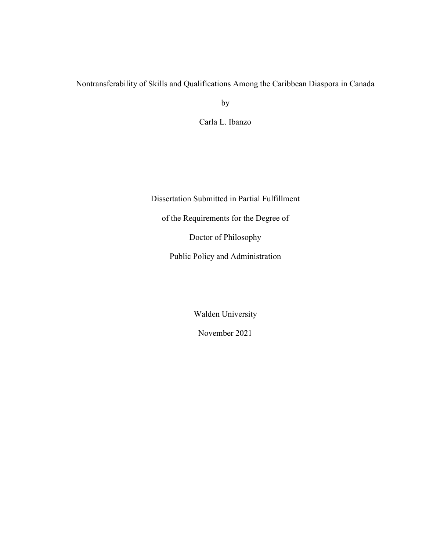# Nontransferability of Skills and Qualifications Among the Caribbean Diaspora in Canada

by

Carla L. Ibanzo

Dissertation Submitted in Partial Fulfillment of the Requirements for the Degree of Doctor of Philosophy Public Policy and Administration

Walden University

November 2021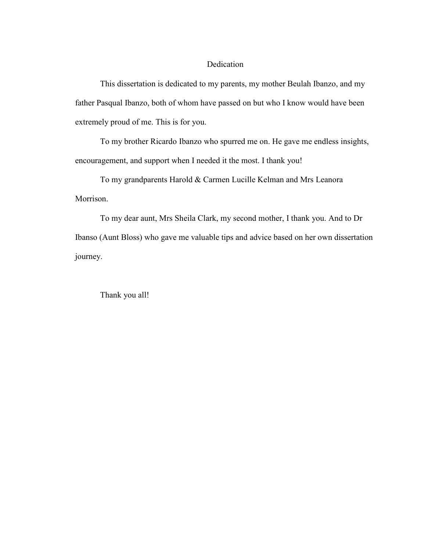# Dedication

This dissertation is dedicated to my parents, my mother Beulah Ibanzo, and my father Pasqual Ibanzo, both of whom have passed on but who I know would have been extremely proud of me. This is for you.

To my brother Ricardo Ibanzo who spurred me on. He gave me endless insights, encouragement, and support when I needed it the most. I thank you!

To my grandparents Harold & Carmen Lucille Kelman and Mrs Leanora Morrison.

To my dear aunt, Mrs Sheila Clark, my second mother, I thank you. And to Dr Ibanso (Aunt Bloss) who gave me valuable tips and advice based on her own dissertation journey.

Thank you all!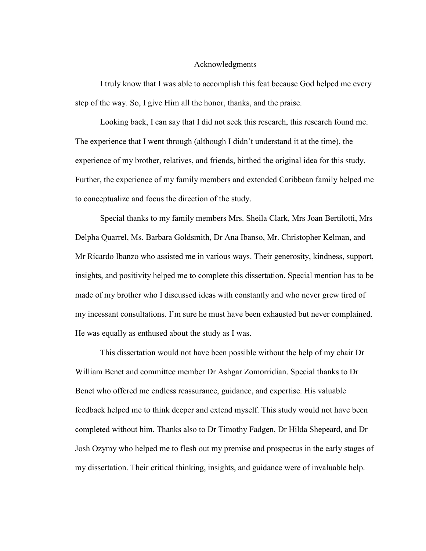#### Acknowledgments

I truly know that I was able to accomplish this feat because God helped me every step of the way. So, I give Him all the honor, thanks, and the praise.

Looking back, I can say that I did not seek this research, this research found me. The experience that I went through (although I didn't understand it at the time), the experience of my brother, relatives, and friends, birthed the original idea for this study. Further, the experience of my family members and extended Caribbean family helped me to conceptualize and focus the direction of the study.

Special thanks to my family members Mrs. Sheila Clark, Mrs Joan Bertilotti, Mrs Delpha Quarrel, Ms. Barbara Goldsmith, Dr Ana Ibanso, Mr. Christopher Kelman, and Mr Ricardo Ibanzo who assisted me in various ways. Their generosity, kindness, support, insights, and positivity helped me to complete this dissertation. Special mention has to be made of my brother who I discussed ideas with constantly and who never grew tired of my incessant consultations. I'm sure he must have been exhausted but never complained. He was equally as enthused about the study as I was.

This dissertation would not have been possible without the help of my chair Dr William Benet and committee member Dr Ashgar Zomorridian. Special thanks to Dr Benet who offered me endless reassurance, guidance, and expertise. His valuable feedback helped me to think deeper and extend myself. This study would not have been completed without him. Thanks also to Dr Timothy Fadgen, Dr Hilda Shepeard, and Dr Josh Ozymy who helped me to flesh out my premise and prospectus in the early stages of my dissertation. Their critical thinking, insights, and guidance were of invaluable help.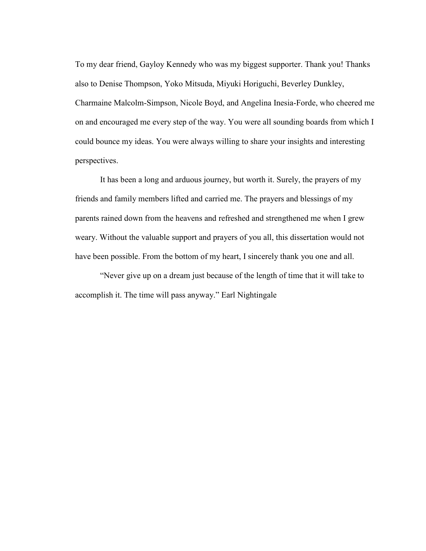To my dear friend, Gayloy Kennedy who was my biggest supporter. Thank you! Thanks also to Denise Thompson, Yoko Mitsuda, Miyuki Horiguchi, Beverley Dunkley, Charmaine Malcolm-Simpson, Nicole Boyd, and Angelina Inesia-Forde, who cheered me on and encouraged me every step of the way. You were all sounding boards from which I could bounce my ideas. You were always willing to share your insights and interesting perspectives.

It has been a long and arduous journey, but worth it. Surely, the prayers of my friends and family members lifted and carried me. The prayers and blessings of my parents rained down from the heavens and refreshed and strengthened me when I grew weary. Without the valuable support and prayers of you all, this dissertation would not have been possible. From the bottom of my heart, I sincerely thank you one and all.

"Never give up on a dream just because of the length of time that it will take to accomplish it. The time will pass anyway." Earl Nightingale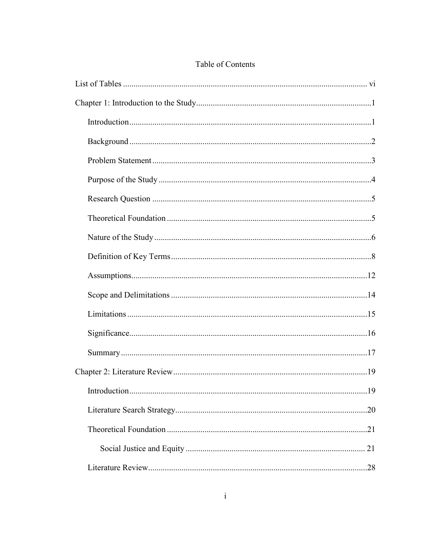# Table of Contents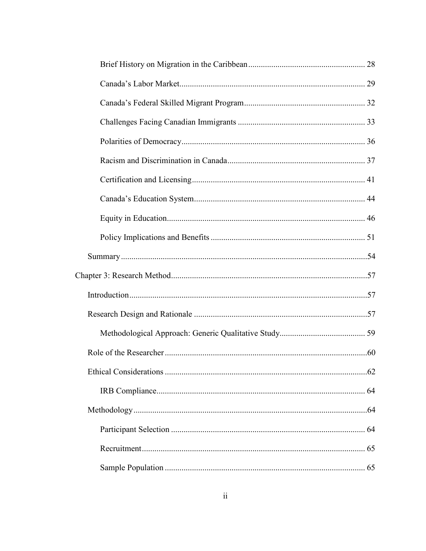| .62 |
|-----|
|     |
|     |
|     |
|     |
|     |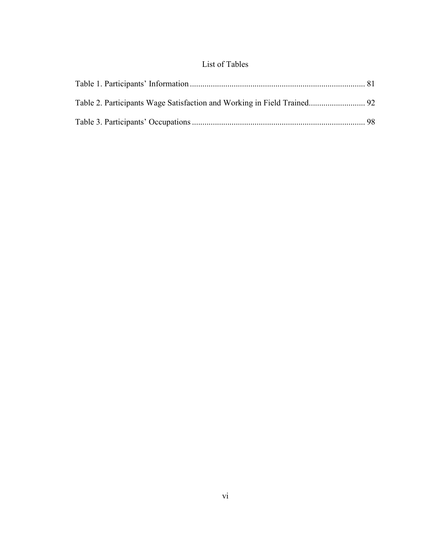# List of Tables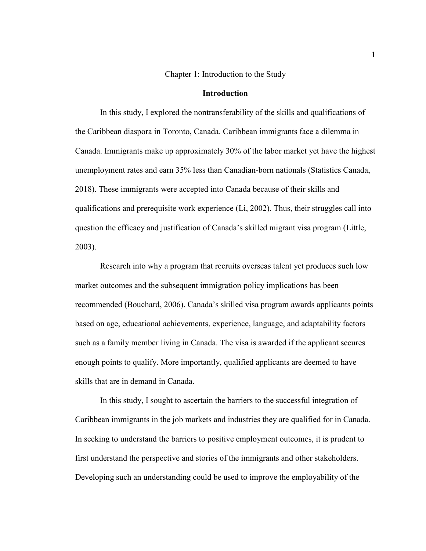#### Chapter 1: Introduction to the Study

#### **Introduction**

In this study, I explored the nontransferability of the skills and qualifications of the Caribbean diaspora in Toronto, Canada. Caribbean immigrants face a dilemma in Canada. Immigrants make up approximately 30% of the labor market yet have the highest unemployment rates and earn 35% less than Canadian-born nationals (Statistics Canada, 2018). These immigrants were accepted into Canada because of their skills and qualifications and prerequisite work experience (Li, 2002). Thus, their struggles call into question the efficacy and justification of Canada's skilled migrant visa program (Little, 2003).

Research into why a program that recruits overseas talent yet produces such low market outcomes and the subsequent immigration policy implications has been recommended (Bouchard, 2006). Canada's skilled visa program awards applicants points based on age, educational achievements, experience, language, and adaptability factors such as a family member living in Canada. The visa is awarded if the applicant secures enough points to qualify. More importantly, qualified applicants are deemed to have skills that are in demand in Canada.

In this study, I sought to ascertain the barriers to the successful integration of Caribbean immigrants in the job markets and industries they are qualified for in Canada. In seeking to understand the barriers to positive employment outcomes, it is prudent to first understand the perspective and stories of the immigrants and other stakeholders. Developing such an understanding could be used to improve the employability of the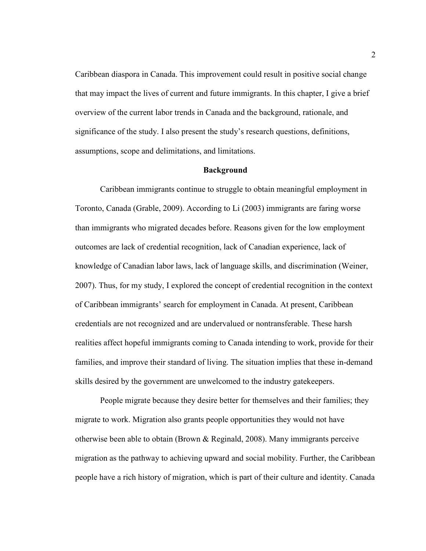Caribbean diaspora in Canada. This improvement could result in positive social change that may impact the lives of current and future immigrants. In this chapter, I give a brief overview of the current labor trends in Canada and the background, rationale, and significance of the study. I also present the study's research questions, definitions, assumptions, scope and delimitations, and limitations.

#### **Background**

Caribbean immigrants continue to struggle to obtain meaningful employment in Toronto, Canada (Grable, 2009). According to Li (2003) immigrants are faring worse than immigrants who migrated decades before. Reasons given for the low employment outcomes are lack of credential recognition, lack of Canadian experience, lack of knowledge of Canadian labor laws, lack of language skills, and discrimination (Weiner, 2007). Thus, for my study, I explored the concept of credential recognition in the context of Caribbean immigrants' search for employment in Canada. At present, Caribbean credentials are not recognized and are undervalued or nontransferable. These harsh realities affect hopeful immigrants coming to Canada intending to work, provide for their families, and improve their standard of living. The situation implies that these in-demand skills desired by the government are unwelcomed to the industry gatekeepers.

People migrate because they desire better for themselves and their families; they migrate to work. Migration also grants people opportunities they would not have otherwise been able to obtain (Brown & Reginald, 2008). Many immigrants perceive migration as the pathway to achieving upward and social mobility. Further, the Caribbean people have a rich history of migration, which is part of their culture and identity. Canada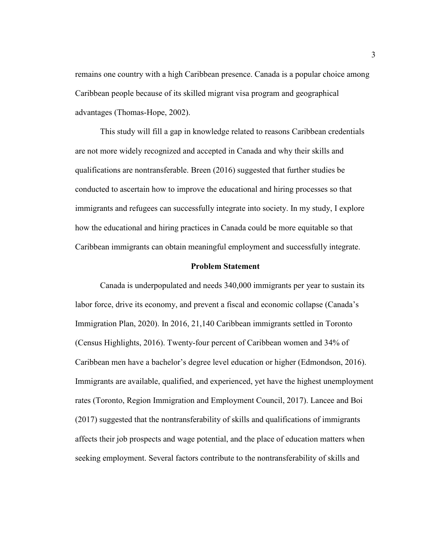remains one country with a high Caribbean presence. Canada is a popular choice among Caribbean people because of its skilled migrant visa program and geographical advantages (Thomas-Hope, 2002).

This study will fill a gap in knowledge related to reasons Caribbean credentials are not more widely recognized and accepted in Canada and why their skills and qualifications are nontransferable. Breen (2016) suggested that further studies be conducted to ascertain how to improve the educational and hiring processes so that immigrants and refugees can successfully integrate into society. In my study, I explore how the educational and hiring practices in Canada could be more equitable so that Caribbean immigrants can obtain meaningful employment and successfully integrate.

#### **Problem Statement**

Canada is underpopulated and needs 340,000 immigrants per year to sustain its labor force, drive its economy, and prevent a fiscal and economic collapse (Canada's Immigration Plan, 2020). In 2016, 21,140 Caribbean immigrants settled in Toronto (Census Highlights, 2016). Twenty-four percent of Caribbean women and 34% of Caribbean men have a bachelor's degree level education or higher (Edmondson, 2016). Immigrants are available, qualified, and experienced, yet have the highest unemployment rates (Toronto, Region Immigration and Employment Council, 2017). Lancee and Boi (2017) suggested that the nontransferability of skills and qualifications of immigrants affects their job prospects and wage potential, and the place of education matters when seeking employment. Several factors contribute to the nontransferability of skills and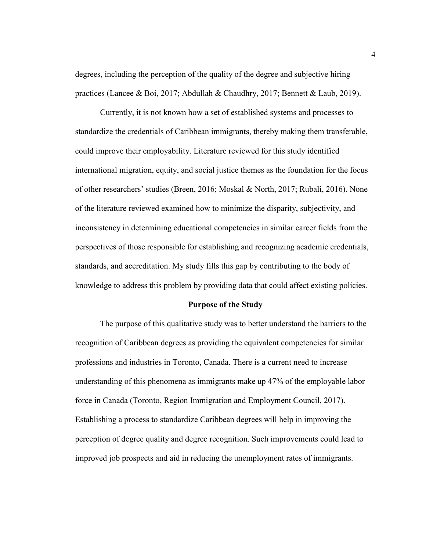degrees, including the perception of the quality of the degree and subjective hiring practices (Lancee & Boi, 2017; Abdullah & Chaudhry, 2017; Bennett & Laub, 2019).

Currently, it is not known how a set of established systems and processes to standardize the credentials of Caribbean immigrants, thereby making them transferable, could improve their employability. Literature reviewed for this study identified international migration, equity, and social justice themes as the foundation for the focus of other researchers' studies (Breen, 2016; Moskal & North, 2017; Rubali, 2016). None of the literature reviewed examined how to minimize the disparity, subjectivity, and inconsistency in determining educational competencies in similar career fields from the perspectives of those responsible for establishing and recognizing academic credentials, standards, and accreditation. My study fills this gap by contributing to the body of knowledge to address this problem by providing data that could affect existing policies.

#### **Purpose of the Study**

The purpose of this qualitative study was to better understand the barriers to the recognition of Caribbean degrees as providing the equivalent competencies for similar professions and industries in Toronto, Canada. There is a current need to increase understanding of this phenomena as immigrants make up 47% of the employable labor force in Canada (Toronto, Region Immigration and Employment Council, 2017). Establishing a process to standardize Caribbean degrees will help in improving the perception of degree quality and degree recognition. Such improvements could lead to improved job prospects and aid in reducing the unemployment rates of immigrants.

4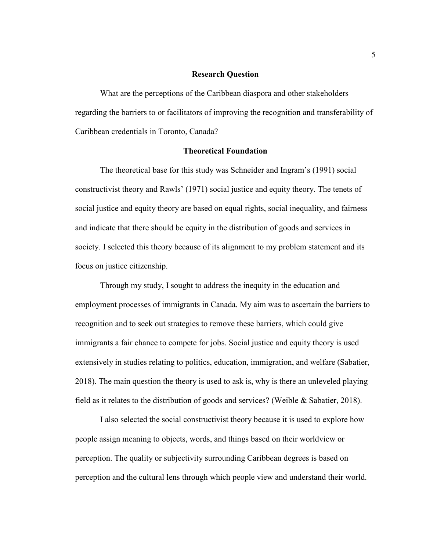### **Research Question**

What are the perceptions of the Caribbean diaspora and other stakeholders regarding the barriers to or facilitators of improving the recognition and transferability of Caribbean credentials in Toronto, Canada?

### **Theoretical Foundation**

The theoretical base for this study was Schneider and Ingram's (1991) social constructivist theory and Rawls' (1971) social justice and equity theory. The tenets of social justice and equity theory are based on equal rights, social inequality, and fairness and indicate that there should be equity in the distribution of goods and services in society. I selected this theory because of its alignment to my problem statement and its focus on justice citizenship.

Through my study, I sought to address the inequity in the education and employment processes of immigrants in Canada. My aim was to ascertain the barriers to recognition and to seek out strategies to remove these barriers, which could give immigrants a fair chance to compete for jobs. Social justice and equity theory is used extensively in studies relating to politics, education, immigration, and welfare (Sabatier, 2018). The main question the theory is used to ask is, why is there an unleveled playing field as it relates to the distribution of goods and services? (Weible & Sabatier, 2018).

I also selected the social constructivist theory because it is used to explore how people assign meaning to objects, words, and things based on their worldview or perception. The quality or subjectivity surrounding Caribbean degrees is based on perception and the cultural lens through which people view and understand their world.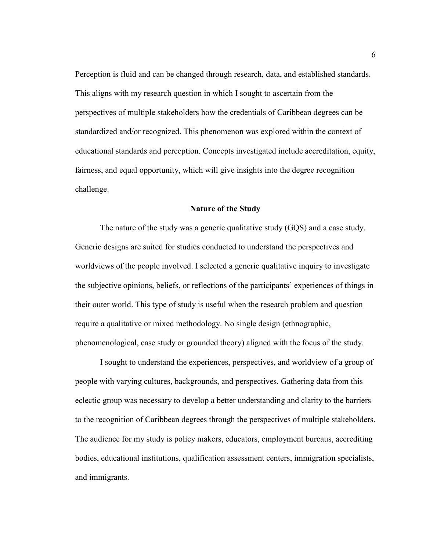Perception is fluid and can be changed through research, data, and established standards. This aligns with my research question in which I sought to ascertain from the perspectives of multiple stakeholders how the credentials of Caribbean degrees can be standardized and/or recognized. This phenomenon was explored within the context of educational standards and perception. Concepts investigated include accreditation, equity, fairness, and equal opportunity, which will give insights into the degree recognition challenge.

#### **Nature of the Study**

The nature of the study was a generic qualitative study (GQS) and a case study. Generic designs are suited for studies conducted to understand the perspectives and worldviews of the people involved. I selected a generic qualitative inquiry to investigate the subjective opinions, beliefs, or reflections of the participants' experiences of things in their outer world. This type of study is useful when the research problem and question require a qualitative or mixed methodology. No single design (ethnographic, phenomenological, case study or grounded theory) aligned with the focus of the study.

I sought to understand the experiences, perspectives, and worldview of a group of people with varying cultures, backgrounds, and perspectives. Gathering data from this eclectic group was necessary to develop a better understanding and clarity to the barriers to the recognition of Caribbean degrees through the perspectives of multiple stakeholders. The audience for my study is policy makers, educators, employment bureaus, accrediting bodies, educational institutions, qualification assessment centers, immigration specialists, and immigrants.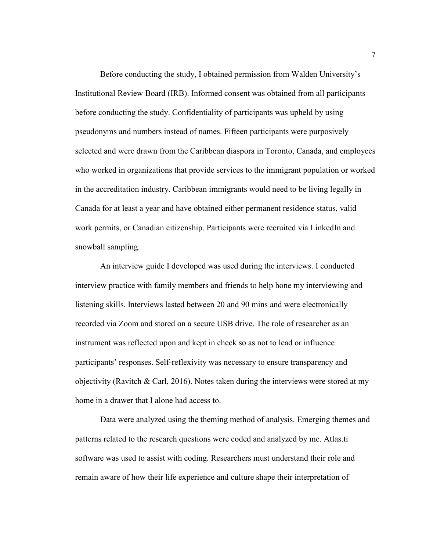Before conducting the study, I obtained permission from Walden University's Institutional Review Board (IRB). Informed consent was obtained from all participants before conducting the study. Confidentiality of participants was upheld by using pseudonyms and numbers instead of names. Fifteen participants were purposively selected and were drawn from the Caribbean diaspora in Toronto, Canada, and employees who worked in organizations that provide services to the immigrant population or worked in the accreditation industry. Caribbean immigrants would need to be living legally in Canada for at least a year and have obtained either permanent residence status, valid work permits, or Canadian citizenship. Participants were recruited via LinkedIn and snowball sampling.

An interview guide I developed was used during the interviews. I conducted interview practice with family members and friends to help hone my interviewing and listening skills. Interviews lasted between 20 and 90 mins and were electronically recorded via Zoom and stored on a secure USB drive. The role of researcher as an instrument was reflected upon and kept in check so as not to lead or influence participants' responses. Self-reflexivity was necessary to ensure transparency and objectivity (Ravitch & Carl, 2016). Notes taken during the interviews were stored at my home in a drawer that I alone had access to.

Data were analyzed using the theming method of analysis. Emerging themes and patterns related to the research questions were coded and analyzed by me. Atlas.ti software was used to assist with coding. Researchers must understand their role and remain aware of how their life experience and culture shape their interpretation of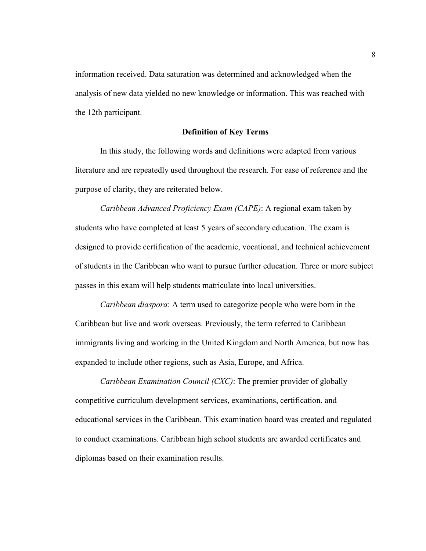information received. Data saturation was determined and acknowledged when the analysis of new data yielded no new knowledge or information. This was reached with the 12th participant.

### **Definition of Key Terms**

In this study, the following words and definitions were adapted from various literature and are repeatedly used throughout the research. For ease of reference and the purpose of clarity, they are reiterated below.

*Caribbean Advanced Proficiency Exam (CAPE)*: A regional exam taken by students who have completed at least 5 years of secondary education. The exam is designed to provide certification of the academic, vocational, and technical achievement of students in the Caribbean who want to pursue further education. Three or more subject passes in this exam will help students matriculate into local universities.

*Caribbean diaspora*: A term used to categorize people who were born in the Caribbean but live and work overseas. Previously, the term referred to Caribbean immigrants living and working in the United Kingdom and North America, but now has expanded to include other regions, such as Asia, Europe, and Africa.

*Caribbean Examination Council (CXC)*: The premier provider of globally competitive curriculum development services, examinations, certification, and educational services in the Caribbean. This examination board was created and regulated to conduct examinations. Caribbean high school students are awarded certificates and diplomas based on their examination results.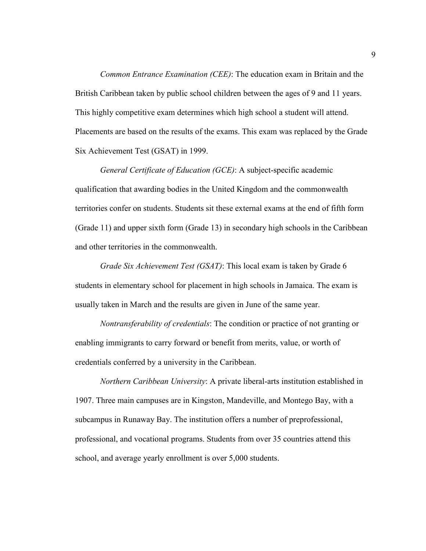*Common Entrance Examination (CEE)*: The education exam in Britain and the British Caribbean taken by public school children between the ages of 9 and 11 years. This highly competitive exam determines which high school a student will attend. Placements are based on the results of the exams. This exam was replaced by the Grade Six Achievement Test (GSAT) in 1999.

*General Certificate of Education (GCE)*: A subject-specific academic qualification that awarding bodies in the United Kingdom and the commonwealth territories confer on students. Students sit these external exams at the end of fifth form (Grade 11) and upper sixth form (Grade 13) in secondary high schools in the Caribbean and other territories in the commonwealth.

*Grade Six Achievement Test (GSAT)*: This local exam is taken by Grade 6 students in elementary school for placement in high schools in Jamaica. The exam is usually taken in March and the results are given in June of the same year.

*Nontransferability of credentials*: The condition or practice of not granting or enabling immigrants to carry forward or benefit from merits, value, or worth of credentials conferred by a university in the Caribbean.

*Northern Caribbean University*: A private liberal-arts institution established in 1907. Three main campuses are in Kingston, Mandeville, and Montego Bay, with a subcampus in Runaway Bay. The institution offers a number of preprofessional, professional, and vocational programs. Students from over 35 countries attend this school, and average yearly enrollment is over 5,000 students.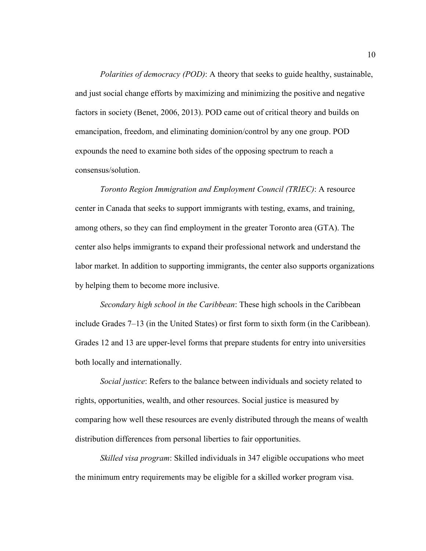*Polarities of democracy (POD)*: A theory that seeks to guide healthy, sustainable, and just social change efforts by maximizing and minimizing the positive and negative factors in society (Benet, 2006, 2013). POD came out of critical theory and builds on emancipation, freedom, and eliminating dominion/control by any one group. POD expounds the need to examine both sides of the opposing spectrum to reach a consensus/solution.

*Toronto Region Immigration and Employment Council (TRIEC)*: A resource center in Canada that seeks to support immigrants with testing, exams, and training, among others, so they can find employment in the greater Toronto area (GTA). The center also helps immigrants to expand their professional network and understand the labor market. In addition to supporting immigrants, the center also supports organizations by helping them to become more inclusive.

*Secondary high school in the Caribbean*: These high schools in the Caribbean include Grades 7–13 (in the United States) or first form to sixth form (in the Caribbean). Grades 12 and 13 are upper-level forms that prepare students for entry into universities both locally and internationally.

*Social justice*: Refers to the balance between individuals and society related to rights, opportunities, wealth, and other resources. Social justice is measured by comparing how well these resources are evenly distributed through the means of wealth distribution differences from personal liberties to fair opportunities.

*Skilled visa program*: Skilled individuals in 347 eligible occupations who meet the minimum entry requirements may be eligible for a skilled worker program visa.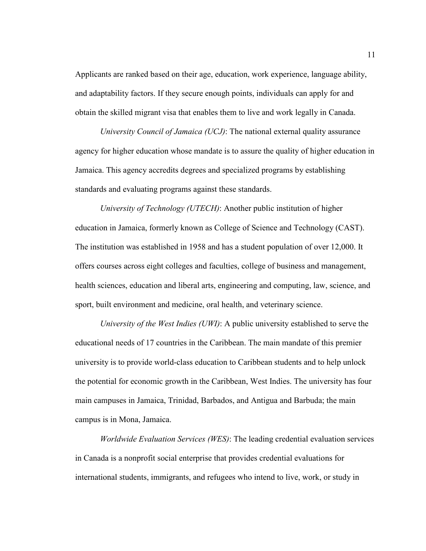Applicants are ranked based on their age, education, work experience, language ability, and adaptability factors. If they secure enough points, individuals can apply for and obtain the skilled migrant visa that enables them to live and work legally in Canada.

*University Council of Jamaica (UCJ)*: The national external quality assurance agency for higher education whose mandate is to assure the quality of higher education in Jamaica. This agency accredits degrees and specialized programs by establishing standards and evaluating programs against these standards.

*University of Technology (UTECH)*: Another public institution of higher education in Jamaica, formerly known as College of Science and Technology (CAST). The institution was established in 1958 and has a student population of over 12,000. It offers courses across eight colleges and faculties, college of business and management, health sciences, education and liberal arts, engineering and computing, law, science, and sport, built environment and medicine, oral health, and veterinary science.

*University of the West Indies (UWI)*: A public university established to serve the educational needs of 17 countries in the Caribbean. The main mandate of this premier university is to provide world-class education to Caribbean students and to help unlock the potential for economic growth in the Caribbean, West Indies. The university has four main campuses in Jamaica, Trinidad, Barbados, and Antigua and Barbuda; the main campus is in Mona, Jamaica.

*Worldwide Evaluation Services (WES)*: The leading credential evaluation services in Canada is a nonprofit social enterprise that provides credential evaluations for international students, immigrants, and refugees who intend to live, work, or study in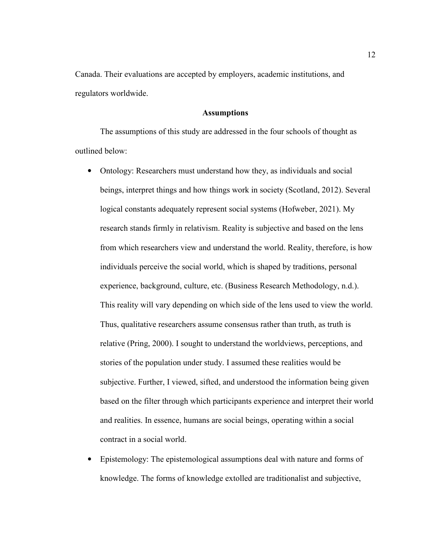Canada. Their evaluations are accepted by employers, academic institutions, and regulators worldwide.

## **Assumptions**

The assumptions of this study are addressed in the four schools of thought as outlined below:

- Ontology: Researchers must understand how they, as individuals and social beings, interpret things and how things work in society (Scotland, 2012). Several logical constants adequately represent social systems (Hofweber, 2021). My research stands firmly in relativism. Reality is subjective and based on the lens from which researchers view and understand the world. Reality, therefore, is how individuals perceive the social world, which is shaped by traditions, personal experience, background, culture, etc. (Business Research Methodology, n.d.). This reality will vary depending on which side of the lens used to view the world. Thus, qualitative researchers assume consensus rather than truth, as truth is relative (Pring, 2000). I sought to understand the worldviews, perceptions, and stories of the population under study. I assumed these realities would be subjective. Further, I viewed, sifted, and understood the information being given based on the filter through which participants experience and interpret their world and realities. In essence, humans are social beings, operating within a social contract in a social world.
- Epistemology: The epistemological assumptions deal with nature and forms of knowledge. The forms of knowledge extolled are traditionalist and subjective,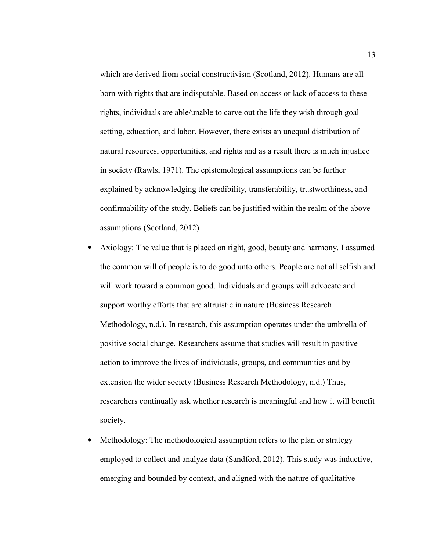which are derived from social constructivism (Scotland, 2012). Humans are all born with rights that are indisputable. Based on access or lack of access to these rights, individuals are able/unable to carve out the life they wish through goal setting, education, and labor. However, there exists an unequal distribution of natural resources, opportunities, and rights and as a result there is much injustice in society (Rawls, 1971). The epistemological assumptions can be further explained by acknowledging the credibility, transferability, trustworthiness, and confirmability of the study. Beliefs can be justified within the realm of the above assumptions (Scotland, 2012)

- Axiology: The value that is placed on right, good, beauty and harmony. I assumed the common will of people is to do good unto others. People are not all selfish and will work toward a common good. Individuals and groups will advocate and support worthy efforts that are altruistic in nature (Business Research Methodology, n.d.). In research, this assumption operates under the umbrella of positive social change. Researchers assume that studies will result in positive action to improve the lives of individuals, groups, and communities and by extension the wider society (Business Research Methodology, n.d.) Thus, researchers continually ask whether research is meaningful and how it will benefit society.
- Methodology: The methodological assumption refers to the plan or strategy employed to collect and analyze data (Sandford, 2012). This study was inductive, emerging and bounded by context, and aligned with the nature of qualitative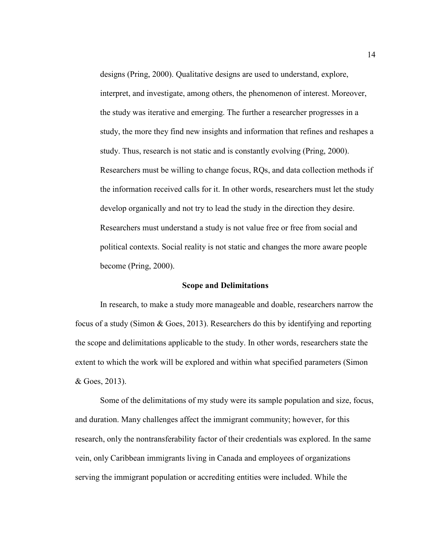designs (Pring, 2000). Qualitative designs are used to understand, explore, interpret, and investigate, among others, the phenomenon of interest. Moreover, the study was iterative and emerging. The further a researcher progresses in a study, the more they find new insights and information that refines and reshapes a study. Thus, research is not static and is constantly evolving (Pring, 2000). Researchers must be willing to change focus, RQs, and data collection methods if the information received calls for it. In other words, researchers must let the study develop organically and not try to lead the study in the direction they desire. Researchers must understand a study is not value free or free from social and political contexts. Social reality is not static and changes the more aware people become (Pring, 2000).

#### **Scope and Delimitations**

In research, to make a study more manageable and doable, researchers narrow the focus of a study (Simon & Goes, 2013). Researchers do this by identifying and reporting the scope and delimitations applicable to the study. In other words, researchers state the extent to which the work will be explored and within what specified parameters (Simon & Goes, 2013).

Some of the delimitations of my study were its sample population and size, focus, and duration. Many challenges affect the immigrant community; however, for this research, only the nontransferability factor of their credentials was explored. In the same vein, only Caribbean immigrants living in Canada and employees of organizations serving the immigrant population or accrediting entities were included. While the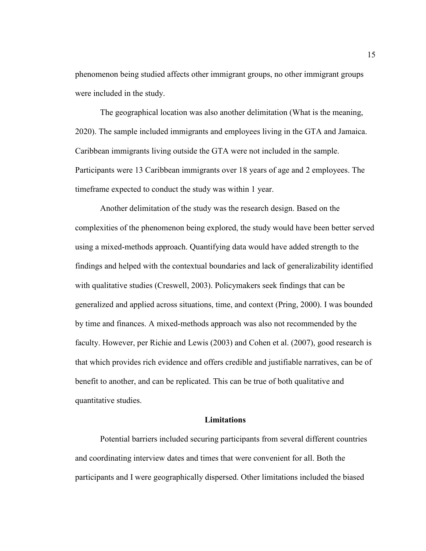phenomenon being studied affects other immigrant groups, no other immigrant groups were included in the study.

The geographical location was also another delimitation (What is the meaning, 2020). The sample included immigrants and employees living in the GTA and Jamaica. Caribbean immigrants living outside the GTA were not included in the sample. Participants were 13 Caribbean immigrants over 18 years of age and 2 employees. The timeframe expected to conduct the study was within 1 year.

Another delimitation of the study was the research design. Based on the complexities of the phenomenon being explored, the study would have been better served using a mixed-methods approach. Quantifying data would have added strength to the findings and helped with the contextual boundaries and lack of generalizability identified with qualitative studies (Creswell, 2003). Policymakers seek findings that can be generalized and applied across situations, time, and context (Pring, 2000). I was bounded by time and finances. A mixed-methods approach was also not recommended by the faculty. However, per Richie and Lewis (2003) and Cohen et al. (2007), good research is that which provides rich evidence and offers credible and justifiable narratives, can be of benefit to another, and can be replicated. This can be true of both qualitative and quantitative studies.

## **Limitations**

Potential barriers included securing participants from several different countries and coordinating interview dates and times that were convenient for all. Both the participants and I were geographically dispersed. Other limitations included the biased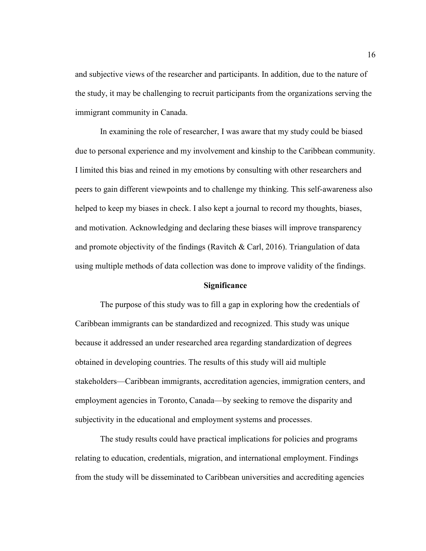and subjective views of the researcher and participants. In addition, due to the nature of the study, it may be challenging to recruit participants from the organizations serving the immigrant community in Canada.

In examining the role of researcher, I was aware that my study could be biased due to personal experience and my involvement and kinship to the Caribbean community. I limited this bias and reined in my emotions by consulting with other researchers and peers to gain different viewpoints and to challenge my thinking. This self-awareness also helped to keep my biases in check. I also kept a journal to record my thoughts, biases, and motivation. Acknowledging and declaring these biases will improve transparency and promote objectivity of the findings (Ravitch & Carl, 2016). Triangulation of data using multiple methods of data collection was done to improve validity of the findings.

#### **Significance**

The purpose of this study was to fill a gap in exploring how the credentials of Caribbean immigrants can be standardized and recognized. This study was unique because it addressed an under researched area regarding standardization of degrees obtained in developing countries. The results of this study will aid multiple stakeholders—Caribbean immigrants, accreditation agencies, immigration centers, and employment agencies in Toronto, Canada—by seeking to remove the disparity and subjectivity in the educational and employment systems and processes.

The study results could have practical implications for policies and programs relating to education, credentials, migration, and international employment. Findings from the study will be disseminated to Caribbean universities and accrediting agencies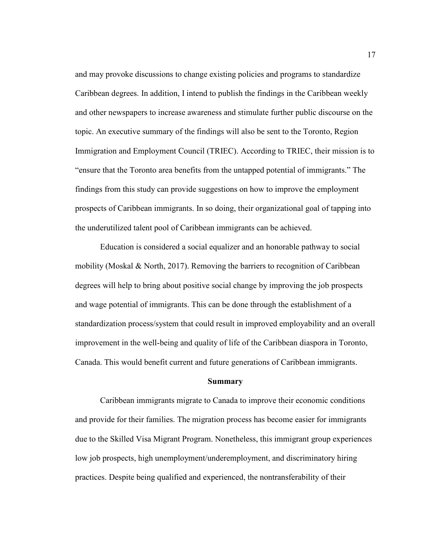and may provoke discussions to change existing policies and programs to standardize Caribbean degrees. In addition, I intend to publish the findings in the Caribbean weekly and other newspapers to increase awareness and stimulate further public discourse on the topic. An executive summary of the findings will also be sent to the Toronto, Region Immigration and Employment Council (TRIEC). According to TRIEC, their mission is to "ensure that the Toronto area benefits from the untapped potential of immigrants." The findings from this study can provide suggestions on how to improve the employment prospects of Caribbean immigrants. In so doing, their organizational goal of tapping into the underutilized talent pool of Caribbean immigrants can be achieved.

Education is considered a social equalizer and an honorable pathway to social mobility (Moskal & North, 2017). Removing the barriers to recognition of Caribbean degrees will help to bring about positive social change by improving the job prospects and wage potential of immigrants. This can be done through the establishment of a standardization process/system that could result in improved employability and an overall improvement in the well-being and quality of life of the Caribbean diaspora in Toronto, Canada. This would benefit current and future generations of Caribbean immigrants.

### **Summary**

Caribbean immigrants migrate to Canada to improve their economic conditions and provide for their families. The migration process has become easier for immigrants due to the Skilled Visa Migrant Program. Nonetheless, this immigrant group experiences low job prospects, high unemployment/underemployment, and discriminatory hiring practices. Despite being qualified and experienced, the nontransferability of their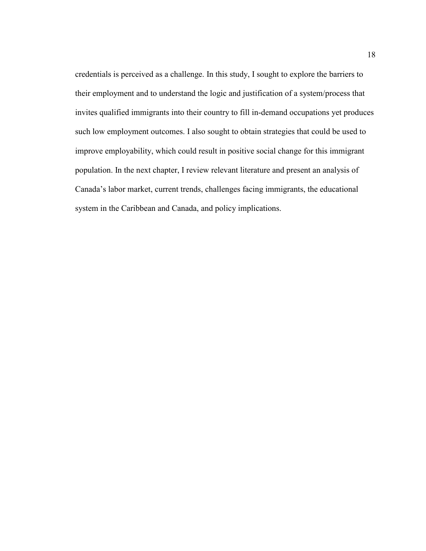credentials is perceived as a challenge. In this study, I sought to explore the barriers to their employment and to understand the logic and justification of a system/process that invites qualified immigrants into their country to fill in-demand occupations yet produces such low employment outcomes. I also sought to obtain strategies that could be used to improve employability, which could result in positive social change for this immigrant population. In the next chapter, I review relevant literature and present an analysis of Canada's labor market, current trends, challenges facing immigrants, the educational system in the Caribbean and Canada, and policy implications.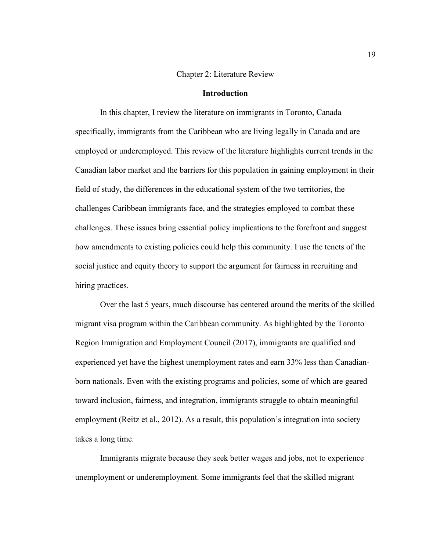#### Chapter 2: Literature Review

## **Introduction**

In this chapter, I review the literature on immigrants in Toronto, Canada specifically, immigrants from the Caribbean who are living legally in Canada and are employed or underemployed. This review of the literature highlights current trends in the Canadian labor market and the barriers for this population in gaining employment in their field of study, the differences in the educational system of the two territories, the challenges Caribbean immigrants face, and the strategies employed to combat these challenges. These issues bring essential policy implications to the forefront and suggest how amendments to existing policies could help this community. I use the tenets of the social justice and equity theory to support the argument for fairness in recruiting and hiring practices.

Over the last 5 years, much discourse has centered around the merits of the skilled migrant visa program within the Caribbean community. As highlighted by the Toronto Region Immigration and Employment Council (2017), immigrants are qualified and experienced yet have the highest unemployment rates and earn 33% less than Canadianborn nationals. Even with the existing programs and policies, some of which are geared toward inclusion, fairness, and integration, immigrants struggle to obtain meaningful employment (Reitz et al., 2012). As a result, this population's integration into society takes a long time.

Immigrants migrate because they seek better wages and jobs, not to experience unemployment or underemployment. Some immigrants feel that the skilled migrant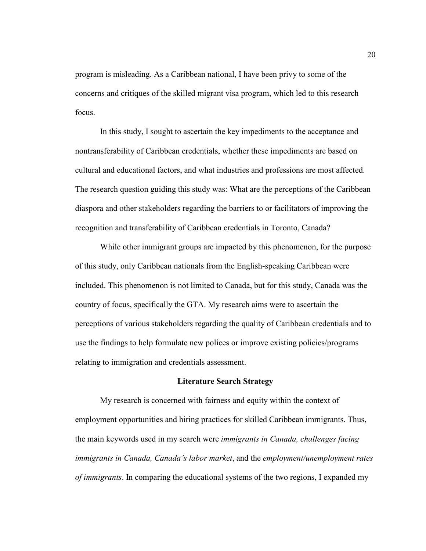program is misleading. As a Caribbean national, I have been privy to some of the concerns and critiques of the skilled migrant visa program, which led to this research focus.

In this study, I sought to ascertain the key impediments to the acceptance and nontransferability of Caribbean credentials, whether these impediments are based on cultural and educational factors, and what industries and professions are most affected. The research question guiding this study was: What are the perceptions of the Caribbean diaspora and other stakeholders regarding the barriers to or facilitators of improving the recognition and transferability of Caribbean credentials in Toronto, Canada?

While other immigrant groups are impacted by this phenomenon, for the purpose of this study, only Caribbean nationals from the English-speaking Caribbean were included. This phenomenon is not limited to Canada, but for this study, Canada was the country of focus, specifically the GTA. My research aims were to ascertain the perceptions of various stakeholders regarding the quality of Caribbean credentials and to use the findings to help formulate new polices or improve existing policies/programs relating to immigration and credentials assessment.

#### **Literature Search Strategy**

My research is concerned with fairness and equity within the context of employment opportunities and hiring practices for skilled Caribbean immigrants. Thus, the main keywords used in my search were *immigrants in Canada, challenges facing immigrants in Canada, Canada's labor market*, and the *employment/unemployment rates of immigrants*. In comparing the educational systems of the two regions, I expanded my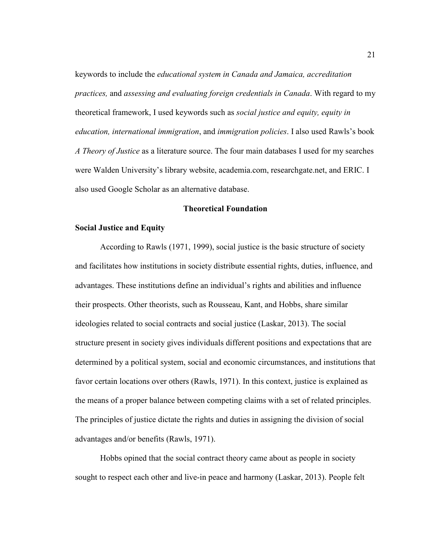keywords to include the *educational system in Canada and Jamaica, accreditation practices,* and *assessing and evaluating foreign credentials in Canada*. With regard to my theoretical framework, I used keywords such as *social justice and equity, equity in education, international immigration*, and *immigration policies*. I also used Rawls's book *A Theory of Justice* as a literature source. The four main databases I used for my searches were Walden University's library website, academia.com, researchgate.net, and ERIC. I also used Google Scholar as an alternative database.

## **Theoretical Foundation**

### **Social Justice and Equity**

According to Rawls (1971, 1999), social justice is the basic structure of society and facilitates how institutions in society distribute essential rights, duties, influence, and advantages. These institutions define an individual's rights and abilities and influence their prospects. Other theorists, such as Rousseau, Kant, and Hobbs, share similar ideologies related to social contracts and social justice (Laskar, 2013). The social structure present in society gives individuals different positions and expectations that are determined by a political system, social and economic circumstances, and institutions that favor certain locations over others (Rawls, 1971). In this context, justice is explained as the means of a proper balance between competing claims with a set of related principles. The principles of justice dictate the rights and duties in assigning the division of social advantages and/or benefits (Rawls, 1971).

Hobbs opined that the social contract theory came about as people in society sought to respect each other and live-in peace and harmony (Laskar, 2013). People felt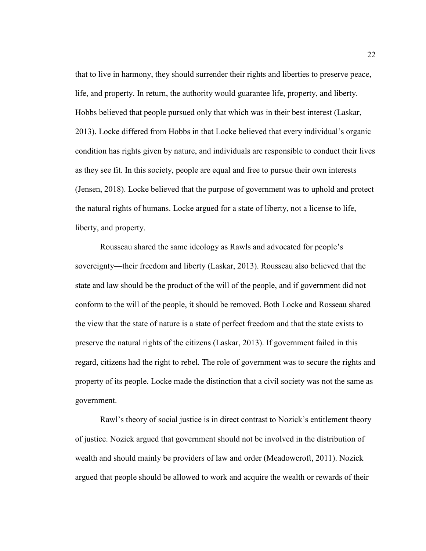that to live in harmony, they should surrender their rights and liberties to preserve peace, life, and property. In return, the authority would guarantee life, property, and liberty. Hobbs believed that people pursued only that which was in their best interest (Laskar, 2013). Locke differed from Hobbs in that Locke believed that every individual's organic condition has rights given by nature, and individuals are responsible to conduct their lives as they see fit. In this society, people are equal and free to pursue their own interests (Jensen, 2018). Locke believed that the purpose of government was to uphold and protect the natural rights of humans. Locke argued for a state of liberty, not a license to life, liberty, and property.

Rousseau shared the same ideology as Rawls and advocated for people's sovereignty—their freedom and liberty (Laskar, 2013). Rousseau also believed that the state and law should be the product of the will of the people, and if government did not conform to the will of the people, it should be removed. Both Locke and Rosseau shared the view that the state of nature is a state of perfect freedom and that the state exists to preserve the natural rights of the citizens (Laskar, 2013). If government failed in this regard, citizens had the right to rebel. The role of government was to secure the rights and property of its people. Locke made the distinction that a civil society was not the same as government.

Rawl's theory of social justice is in direct contrast to Nozick's entitlement theory of justice. Nozick argued that government should not be involved in the distribution of wealth and should mainly be providers of law and order (Meadowcroft, 2011). Nozick argued that people should be allowed to work and acquire the wealth or rewards of their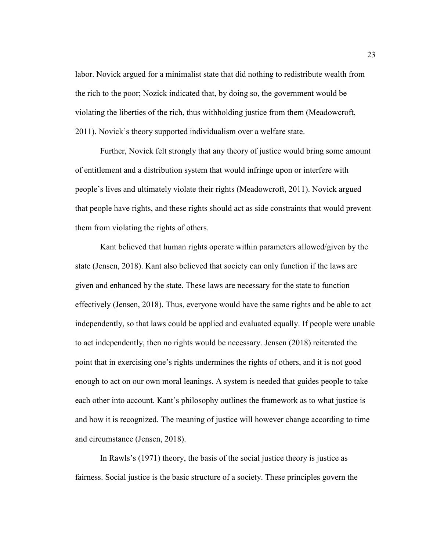labor. Novick argued for a minimalist state that did nothing to redistribute wealth from the rich to the poor; Nozick indicated that, by doing so, the government would be violating the liberties of the rich, thus withholding justice from them (Meadowcroft, 2011). Novick's theory supported individualism over a welfare state.

Further, Novick felt strongly that any theory of justice would bring some amount of entitlement and a distribution system that would infringe upon or interfere with people's lives and ultimately violate their rights (Meadowcroft, 2011). Novick argued that people have rights, and these rights should act as side constraints that would prevent them from violating the rights of others.

Kant believed that human rights operate within parameters allowed/given by the state (Jensen, 2018). Kant also believed that society can only function if the laws are given and enhanced by the state. These laws are necessary for the state to function effectively (Jensen, 2018). Thus, everyone would have the same rights and be able to act independently, so that laws could be applied and evaluated equally. If people were unable to act independently, then no rights would be necessary. Jensen (2018) reiterated the point that in exercising one's rights undermines the rights of others, and it is not good enough to act on our own moral leanings. A system is needed that guides people to take each other into account. Kant's philosophy outlines the framework as to what justice is and how it is recognized. The meaning of justice will however change according to time and circumstance (Jensen, 2018).

In Rawls's (1971) theory, the basis of the social justice theory is justice as fairness. Social justice is the basic structure of a society. These principles govern the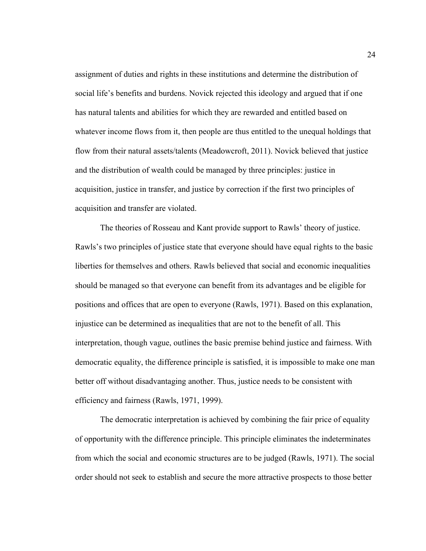assignment of duties and rights in these institutions and determine the distribution of social life's benefits and burdens. Novick rejected this ideology and argued that if one has natural talents and abilities for which they are rewarded and entitled based on whatever income flows from it, then people are thus entitled to the unequal holdings that flow from their natural assets/talents (Meadowcroft, 2011). Novick believed that justice and the distribution of wealth could be managed by three principles: justice in acquisition, justice in transfer, and justice by correction if the first two principles of acquisition and transfer are violated.

The theories of Rosseau and Kant provide support to Rawls' theory of justice. Rawls's two principles of justice state that everyone should have equal rights to the basic liberties for themselves and others. Rawls believed that social and economic inequalities should be managed so that everyone can benefit from its advantages and be eligible for positions and offices that are open to everyone (Rawls, 1971). Based on this explanation, injustice can be determined as inequalities that are not to the benefit of all. This interpretation, though vague, outlines the basic premise behind justice and fairness. With democratic equality, the difference principle is satisfied, it is impossible to make one man better off without disadvantaging another. Thus, justice needs to be consistent with efficiency and fairness (Rawls, 1971, 1999).

The democratic interpretation is achieved by combining the fair price of equality of opportunity with the difference principle. This principle eliminates the indeterminates from which the social and economic structures are to be judged (Rawls, 1971). The social order should not seek to establish and secure the more attractive prospects to those better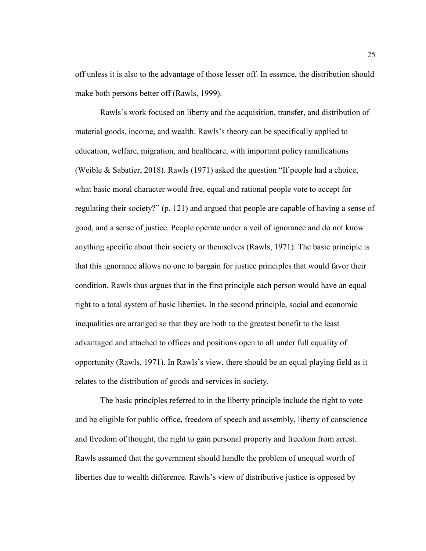off unless it is also to the advantage of those lesser off. In essence, the distribution should make both persons better off (Rawls, 1999).

Rawls's work focused on liberty and the acquisition, transfer, and distribution of material goods, income, and wealth. Rawls's theory can be specifically applied to education, welfare, migration, and healthcare, with important policy ramifications (Weible & Sabatier, 2018). Rawls (1971) asked the question "If people had a choice, what basic moral character would free, equal and rational people vote to accept for regulating their society?" (p. 121) and argued that people are capable of having a sense of good, and a sense of justice. People operate under a veil of ignorance and do not know anything specific about their society or themselves (Rawls, 1971). The basic principle is that this ignorance allows no one to bargain for justice principles that would favor their condition. Rawls thus argues that in the first principle each person would have an equal right to a total system of basic liberties. In the second principle, social and economic inequalities are arranged so that they are both to the greatest benefit to the least advantaged and attached to offices and positions open to all under full equality of opportunity (Rawls, 1971). In Rawls's view, there should be an equal playing field as it relates to the distribution of goods and services in society.

The basic principles referred to in the liberty principle include the right to vote and be eligible for public office, freedom of speech and assembly, liberty of conscience and freedom of thought, the right to gain personal property and freedom from arrest. Rawls assumed that the government should handle the problem of unequal worth of liberties due to wealth difference. Rawls's view of distributive justice is opposed by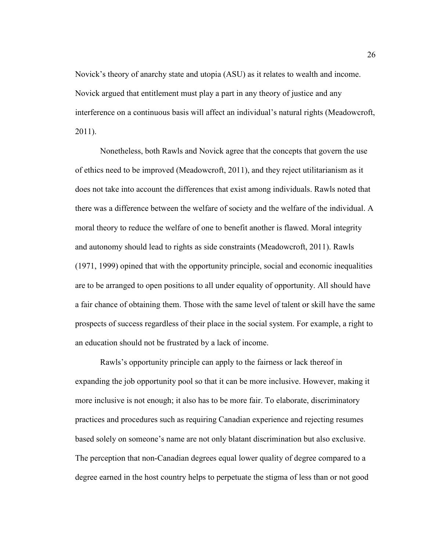Novick's theory of anarchy state and utopia (ASU) as it relates to wealth and income. Novick argued that entitlement must play a part in any theory of justice and any interference on a continuous basis will affect an individual's natural rights (Meadowcroft, 2011).

Nonetheless, both Rawls and Novick agree that the concepts that govern the use of ethics need to be improved (Meadowcroft, 2011), and they reject utilitarianism as it does not take into account the differences that exist among individuals. Rawls noted that there was a difference between the welfare of society and the welfare of the individual. A moral theory to reduce the welfare of one to benefit another is flawed. Moral integrity and autonomy should lead to rights as side constraints (Meadowcroft, 2011). Rawls (1971, 1999) opined that with the opportunity principle, social and economic inequalities are to be arranged to open positions to all under equality of opportunity. All should have a fair chance of obtaining them. Those with the same level of talent or skill have the same prospects of success regardless of their place in the social system. For example, a right to an education should not be frustrated by a lack of income.

Rawls's opportunity principle can apply to the fairness or lack thereof in expanding the job opportunity pool so that it can be more inclusive. However, making it more inclusive is not enough; it also has to be more fair. To elaborate, discriminatory practices and procedures such as requiring Canadian experience and rejecting resumes based solely on someone's name are not only blatant discrimination but also exclusive. The perception that non-Canadian degrees equal lower quality of degree compared to a degree earned in the host country helps to perpetuate the stigma of less than or not good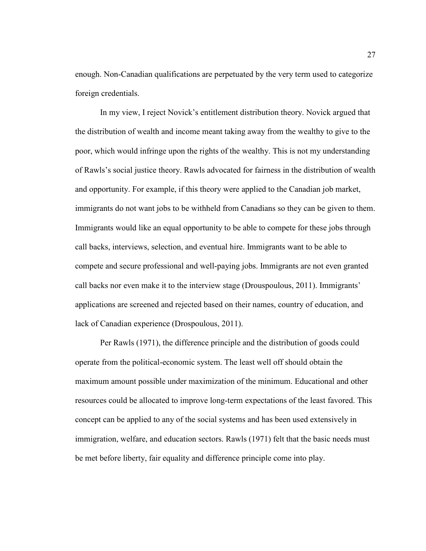enough. Non-Canadian qualifications are perpetuated by the very term used to categorize foreign credentials.

In my view, I reject Novick's entitlement distribution theory. Novick argued that the distribution of wealth and income meant taking away from the wealthy to give to the poor, which would infringe upon the rights of the wealthy. This is not my understanding of Rawls's social justice theory. Rawls advocated for fairness in the distribution of wealth and opportunity. For example, if this theory were applied to the Canadian job market, immigrants do not want jobs to be withheld from Canadians so they can be given to them. Immigrants would like an equal opportunity to be able to compete for these jobs through call backs, interviews, selection, and eventual hire. Immigrants want to be able to compete and secure professional and well-paying jobs. Immigrants are not even granted call backs nor even make it to the interview stage (Drouspoulous, 2011). Immigrants' applications are screened and rejected based on their names, country of education, and lack of Canadian experience (Drospoulous, 2011).

Per Rawls (1971), the difference principle and the distribution of goods could operate from the political-economic system. The least well off should obtain the maximum amount possible under maximization of the minimum. Educational and other resources could be allocated to improve long-term expectations of the least favored. This concept can be applied to any of the social systems and has been used extensively in immigration, welfare, and education sectors. Rawls (1971) felt that the basic needs must be met before liberty, fair equality and difference principle come into play.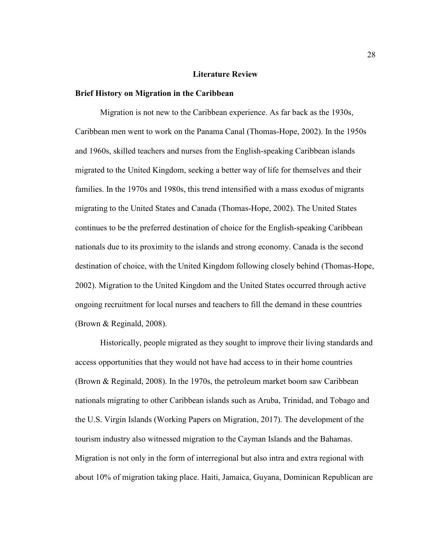### **Literature Review**

### **Brief History on Migration in the Caribbean**

Migration is not new to the Caribbean experience. As far back as the 1930s, Caribbean men went to work on the Panama Canal (Thomas-Hope, 2002). In the 1950s and 1960s, skilled teachers and nurses from the English-speaking Caribbean islands migrated to the United Kingdom, seeking a better way of life for themselves and their families. In the 1970s and 1980s, this trend intensified with a mass exodus of migrants migrating to the United States and Canada (Thomas-Hope, 2002). The United States continues to be the preferred destination of choice for the English-speaking Caribbean nationals due to its proximity to the islands and strong economy. Canada is the second destination of choice, with the United Kingdom following closely behind (Thomas-Hope, 2002). Migration to the United Kingdom and the United States occurred through active ongoing recruitment for local nurses and teachers to fill the demand in these countries (Brown & Reginald, 2008).

Historically, people migrated as they sought to improve their living standards and access opportunities that they would not have had access to in their home countries (Brown & Reginald, 2008). In the 1970s, the petroleum market boom saw Caribbean nationals migrating to other Caribbean islands such as Aruba, Trinidad, and Tobago and the U.S. Virgin Islands (Working Papers on Migration, 2017). The development of the tourism industry also witnessed migration to the Cayman Islands and the Bahamas. Migration is not only in the form of interregional but also intra and extra regional with about 10% of migration taking place. Haiti, Jamaica, Guyana, Dominican Republican are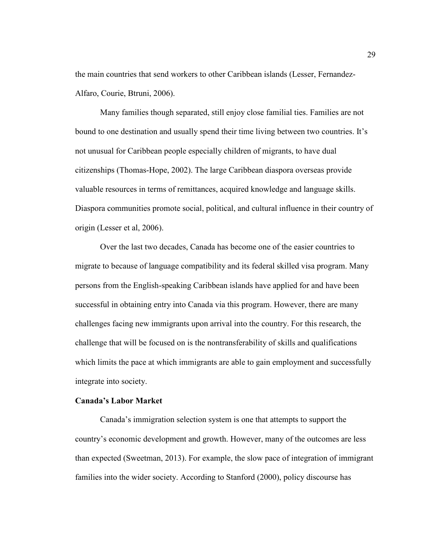the main countries that send workers to other Caribbean islands (Lesser, Fernandez-Alfaro, Courie, Btruni, 2006).

Many families though separated, still enjoy close familial ties. Families are not bound to one destination and usually spend their time living between two countries. It's not unusual for Caribbean people especially children of migrants, to have dual citizenships (Thomas-Hope, 2002). The large Caribbean diaspora overseas provide valuable resources in terms of remittances, acquired knowledge and language skills. Diaspora communities promote social, political, and cultural influence in their country of origin (Lesser et al, 2006).

Over the last two decades, Canada has become one of the easier countries to migrate to because of language compatibility and its federal skilled visa program. Many persons from the English-speaking Caribbean islands have applied for and have been successful in obtaining entry into Canada via this program. However, there are many challenges facing new immigrants upon arrival into the country. For this research, the challenge that will be focused on is the nontransferability of skills and qualifications which limits the pace at which immigrants are able to gain employment and successfully integrate into society.

### **Canada's Labor Market**

Canada's immigration selection system is one that attempts to support the country's economic development and growth. However, many of the outcomes are less than expected (Sweetman, 2013). For example, the slow pace of integration of immigrant families into the wider society. According to Stanford (2000), policy discourse has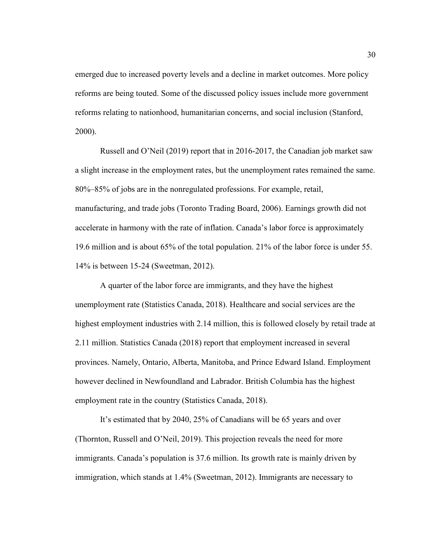emerged due to increased poverty levels and a decline in market outcomes. More policy reforms are being touted. Some of the discussed policy issues include more government reforms relating to nationhood, humanitarian concerns, and social inclusion (Stanford, 2000).

Russell and O'Neil (2019) report that in 2016-2017, the Canadian job market saw a slight increase in the employment rates, but the unemployment rates remained the same. 80%–85% of jobs are in the nonregulated professions. For example, retail, manufacturing, and trade jobs (Toronto Trading Board, 2006). Earnings growth did not accelerate in harmony with the rate of inflation. Canada's labor force is approximately 19.6 million and is about 65% of the total population. 21% of the labor force is under 55. 14% is between 15-24 (Sweetman, 2012).

A quarter of the labor force are immigrants, and they have the highest unemployment rate (Statistics Canada, 2018). Healthcare and social services are the highest employment industries with 2.14 million, this is followed closely by retail trade at 2.11 million. Statistics Canada (2018) report that employment increased in several provinces. Namely, Ontario, Alberta, Manitoba, and Prince Edward Island. Employment however declined in Newfoundland and Labrador. British Columbia has the highest employment rate in the country (Statistics Canada, 2018).

It's estimated that by 2040, 25% of Canadians will be 65 years and over (Thornton, Russell and O'Neil, 2019). This projection reveals the need for more immigrants. Canada's population is 37.6 million. Its growth rate is mainly driven by immigration, which stands at 1.4% (Sweetman, 2012). Immigrants are necessary to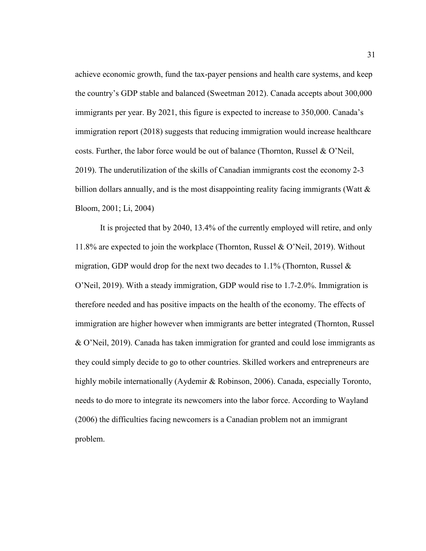achieve economic growth, fund the tax-payer pensions and health care systems, and keep the country's GDP stable and balanced (Sweetman 2012). Canada accepts about 300,000 immigrants per year. By 2021, this figure is expected to increase to 350,000. Canada's immigration report (2018) suggests that reducing immigration would increase healthcare costs. Further, the labor force would be out of balance (Thornton, Russel & O'Neil, 2019). The underutilization of the skills of Canadian immigrants cost the economy 2-3 billion dollars annually, and is the most disappointing reality facing immigrants (Watt  $\&$ Bloom, 2001; Li, 2004)

It is projected that by 2040, 13.4% of the currently employed will retire, and only 11.8% are expected to join the workplace (Thornton, Russel & O'Neil, 2019). Without migration, GDP would drop for the next two decades to  $1.1\%$  (Thornton, Russel  $\&$ O'Neil, 2019). With a steady immigration, GDP would rise to 1.7-2.0%. Immigration is therefore needed and has positive impacts on the health of the economy. The effects of immigration are higher however when immigrants are better integrated (Thornton, Russel & O'Neil, 2019). Canada has taken immigration for granted and could lose immigrants as they could simply decide to go to other countries. Skilled workers and entrepreneurs are highly mobile internationally (Aydemir & Robinson, 2006). Canada, especially Toronto, needs to do more to integrate its newcomers into the labor force. According to Wayland (2006) the difficulties facing newcomers is a Canadian problem not an immigrant problem.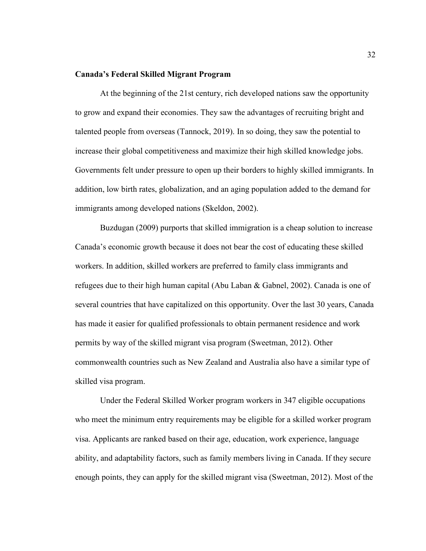# **Canada's Federal Skilled Migrant Program**

At the beginning of the 21st century, rich developed nations saw the opportunity to grow and expand their economies. They saw the advantages of recruiting bright and talented people from overseas (Tannock, 2019). In so doing, they saw the potential to increase their global competitiveness and maximize their high skilled knowledge jobs. Governments felt under pressure to open up their borders to highly skilled immigrants. In addition, low birth rates, globalization, and an aging population added to the demand for immigrants among developed nations (Skeldon, 2002).

Buzdugan (2009) purports that skilled immigration is a cheap solution to increase Canada's economic growth because it does not bear the cost of educating these skilled workers. In addition, skilled workers are preferred to family class immigrants and refugees due to their high human capital (Abu Laban & Gabnel, 2002). Canada is one of several countries that have capitalized on this opportunity. Over the last 30 years, Canada has made it easier for qualified professionals to obtain permanent residence and work permits by way of the skilled migrant visa program (Sweetman, 2012). Other commonwealth countries such as New Zealand and Australia also have a similar type of skilled visa program.

Under the Federal Skilled Worker program workers in 347 eligible occupations who meet the minimum entry requirements may be eligible for a skilled worker program visa. Applicants are ranked based on their age, education, work experience, language ability, and adaptability factors, such as family members living in Canada. If they secure enough points, they can apply for the skilled migrant visa (Sweetman, 2012). Most of the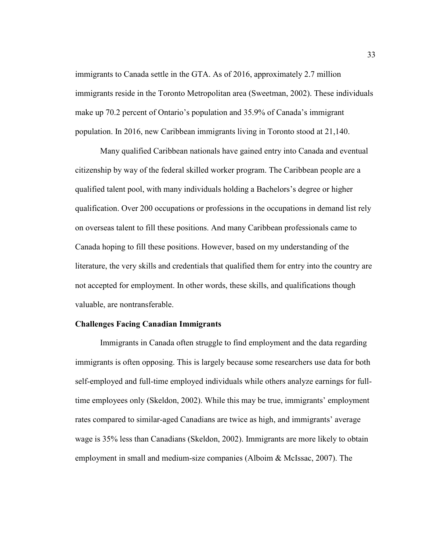immigrants to Canada settle in the GTA. As of 2016, approximately 2.7 million immigrants reside in the Toronto Metropolitan area (Sweetman, 2002). These individuals make up 70.2 percent of Ontario's population and 35.9% of Canada's immigrant population. In 2016, new Caribbean immigrants living in Toronto stood at 21,140.

Many qualified Caribbean nationals have gained entry into Canada and eventual citizenship by way of the federal skilled worker program. The Caribbean people are a qualified talent pool, with many individuals holding a Bachelors's degree or higher qualification. Over 200 occupations or professions in the occupations in demand list rely on overseas talent to fill these positions. And many Caribbean professionals came to Canada hoping to fill these positions. However, based on my understanding of the literature, the very skills and credentials that qualified them for entry into the country are not accepted for employment. In other words, these skills, and qualifications though valuable, are nontransferable.

## **Challenges Facing Canadian Immigrants**

Immigrants in Canada often struggle to find employment and the data regarding immigrants is often opposing. This is largely because some researchers use data for both self-employed and full-time employed individuals while others analyze earnings for fulltime employees only (Skeldon, 2002). While this may be true, immigrants' employment rates compared to similar-aged Canadians are twice as high, and immigrants' average wage is 35% less than Canadians (Skeldon, 2002). Immigrants are more likely to obtain employment in small and medium-size companies (Alboim & McIssac, 2007). The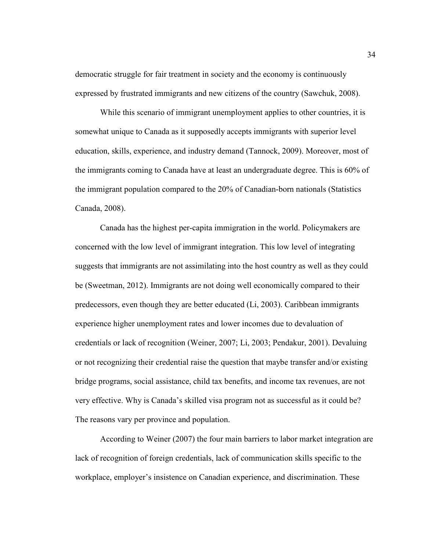democratic struggle for fair treatment in society and the economy is continuously expressed by frustrated immigrants and new citizens of the country (Sawchuk, 2008).

While this scenario of immigrant unemployment applies to other countries, it is somewhat unique to Canada as it supposedly accepts immigrants with superior level education, skills, experience, and industry demand (Tannock, 2009). Moreover, most of the immigrants coming to Canada have at least an undergraduate degree. This is 60% of the immigrant population compared to the 20% of Canadian-born nationals (Statistics Canada, 2008).

Canada has the highest per-capita immigration in the world. Policymakers are concerned with the low level of immigrant integration. This low level of integrating suggests that immigrants are not assimilating into the host country as well as they could be (Sweetman, 2012). Immigrants are not doing well economically compared to their predecessors, even though they are better educated (Li, 2003). Caribbean immigrants experience higher unemployment rates and lower incomes due to devaluation of credentials or lack of recognition (Weiner, 2007; Li, 2003; Pendakur, 2001). Devaluing or not recognizing their credential raise the question that maybe transfer and/or existing bridge programs, social assistance, child tax benefits, and income tax revenues, are not very effective. Why is Canada's skilled visa program not as successful as it could be? The reasons vary per province and population.

According to Weiner (2007) the four main barriers to labor market integration are lack of recognition of foreign credentials, lack of communication skills specific to the workplace, employer's insistence on Canadian experience, and discrimination. These

34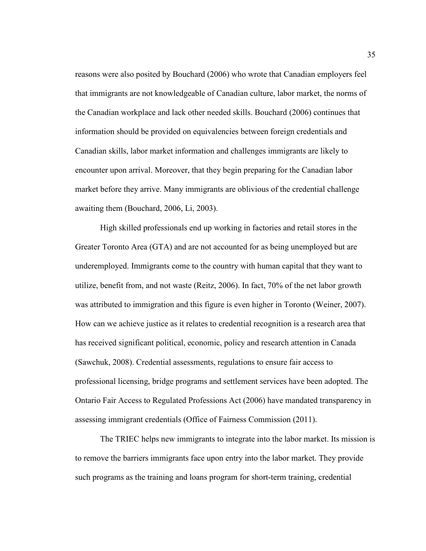reasons were also posited by Bouchard (2006) who wrote that Canadian employers feel that immigrants are not knowledgeable of Canadian culture, labor market, the norms of the Canadian workplace and lack other needed skills. Bouchard (2006) continues that information should be provided on equivalencies between foreign credentials and Canadian skills, labor market information and challenges immigrants are likely to encounter upon arrival. Moreover, that they begin preparing for the Canadian labor market before they arrive. Many immigrants are oblivious of the credential challenge awaiting them (Bouchard, 2006, Li, 2003).

High skilled professionals end up working in factories and retail stores in the Greater Toronto Area (GTA) and are not accounted for as being unemployed but are underemployed. Immigrants come to the country with human capital that they want to utilize, benefit from, and not waste (Reitz, 2006). In fact, 70% of the net labor growth was attributed to immigration and this figure is even higher in Toronto (Weiner, 2007). How can we achieve justice as it relates to credential recognition is a research area that has received significant political, economic, policy and research attention in Canada (Sawchuk, 2008). Credential assessments, regulations to ensure fair access to professional licensing, bridge programs and settlement services have been adopted. The Ontario Fair Access to Regulated Professions Act (2006) have mandated transparency in assessing immigrant credentials (Office of Fairness Commission (2011).

The TRIEC helps new immigrants to integrate into the labor market. Its mission is to remove the barriers immigrants face upon entry into the labor market. They provide such programs as the training and loans program for short-term training, credential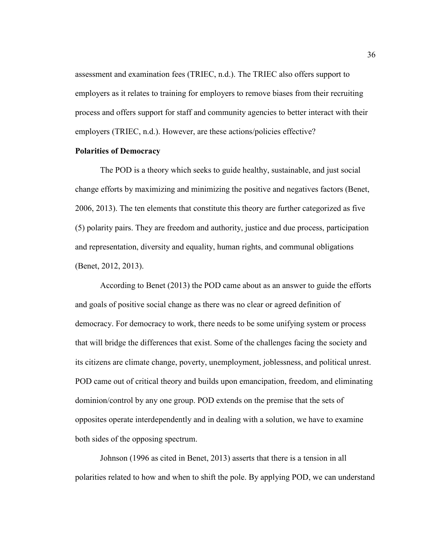assessment and examination fees (TRIEC, n.d.). The TRIEC also offers support to employers as it relates to training for employers to remove biases from their recruiting process and offers support for staff and community agencies to better interact with their employers (TRIEC, n.d.). However, are these actions/policies effective?

# **Polarities of Democracy**

The POD is a theory which seeks to guide healthy, sustainable, and just social change efforts by maximizing and minimizing the positive and negatives factors (Benet, 2006, 2013). The ten elements that constitute this theory are further categorized as five (5) polarity pairs. They are freedom and authority, justice and due process, participation and representation, diversity and equality, human rights, and communal obligations (Benet, 2012, 2013).

According to Benet (2013) the POD came about as an answer to guide the efforts and goals of positive social change as there was no clear or agreed definition of democracy. For democracy to work, there needs to be some unifying system or process that will bridge the differences that exist. Some of the challenges facing the society and its citizens are climate change, poverty, unemployment, joblessness, and political unrest. POD came out of critical theory and builds upon emancipation, freedom, and eliminating dominion/control by any one group. POD extends on the premise that the sets of opposites operate interdependently and in dealing with a solution, we have to examine both sides of the opposing spectrum.

Johnson (1996 as cited in Benet, 2013) asserts that there is a tension in all polarities related to how and when to shift the pole. By applying POD, we can understand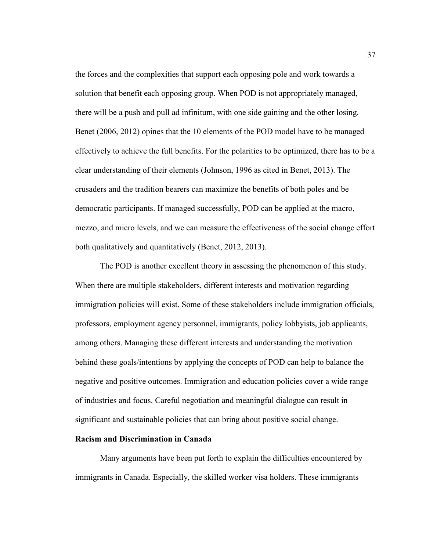the forces and the complexities that support each opposing pole and work towards a solution that benefit each opposing group. When POD is not appropriately managed, there will be a push and pull ad infinitum, with one side gaining and the other losing. Benet (2006, 2012) opines that the 10 elements of the POD model have to be managed effectively to achieve the full benefits. For the polarities to be optimized, there has to be a clear understanding of their elements (Johnson, 1996 as cited in Benet, 2013). The crusaders and the tradition bearers can maximize the benefits of both poles and be democratic participants. If managed successfully, POD can be applied at the macro, mezzo, and micro levels, and we can measure the effectiveness of the social change effort both qualitatively and quantitatively (Benet, 2012, 2013).

The POD is another excellent theory in assessing the phenomenon of this study. When there are multiple stakeholders, different interests and motivation regarding immigration policies will exist. Some of these stakeholders include immigration officials, professors, employment agency personnel, immigrants, policy lobbyists, job applicants, among others. Managing these different interests and understanding the motivation behind these goals/intentions by applying the concepts of POD can help to balance the negative and positive outcomes. Immigration and education policies cover a wide range of industries and focus. Careful negotiation and meaningful dialogue can result in significant and sustainable policies that can bring about positive social change.

# **Racism and Discrimination in Canada**

Many arguments have been put forth to explain the difficulties encountered by immigrants in Canada. Especially, the skilled worker visa holders. These immigrants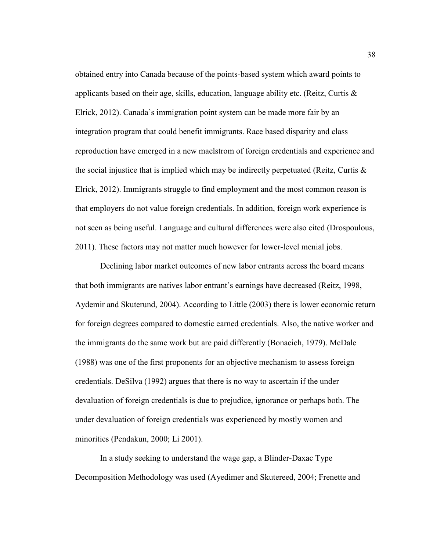obtained entry into Canada because of the points-based system which award points to applicants based on their age, skills, education, language ability etc. (Reitz, Curtis  $\&$ Elrick, 2012). Canada's immigration point system can be made more fair by an integration program that could benefit immigrants. Race based disparity and class reproduction have emerged in a new maelstrom of foreign credentials and experience and the social injustice that is implied which may be indirectly perpetuated (Reitz, Curtis & Elrick, 2012). Immigrants struggle to find employment and the most common reason is that employers do not value foreign credentials. In addition, foreign work experience is not seen as being useful. Language and cultural differences were also cited (Drospoulous, 2011). These factors may not matter much however for lower-level menial jobs.

Declining labor market outcomes of new labor entrants across the board means that both immigrants are natives labor entrant's earnings have decreased (Reitz, 1998, Aydemir and Skuterund, 2004). According to Little (2003) there is lower economic return for foreign degrees compared to domestic earned credentials. Also, the native worker and the immigrants do the same work but are paid differently (Bonacich, 1979). McDale (1988) was one of the first proponents for an objective mechanism to assess foreign credentials. DeSilva (1992) argues that there is no way to ascertain if the under devaluation of foreign credentials is due to prejudice, ignorance or perhaps both. The under devaluation of foreign credentials was experienced by mostly women and minorities (Pendakun, 2000; Li 2001).

In a study seeking to understand the wage gap, a Blinder-Daxac Type Decomposition Methodology was used (Ayedimer and Skutereed, 2004; Frenette and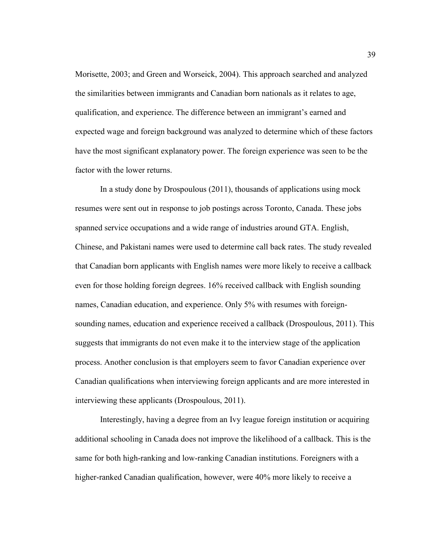Morisette, 2003; and Green and Worseick, 2004). This approach searched and analyzed the similarities between immigrants and Canadian born nationals as it relates to age, qualification, and experience. The difference between an immigrant's earned and expected wage and foreign background was analyzed to determine which of these factors have the most significant explanatory power. The foreign experience was seen to be the factor with the lower returns.

In a study done by Drospoulous (2011), thousands of applications using mock resumes were sent out in response to job postings across Toronto, Canada. These jobs spanned service occupations and a wide range of industries around GTA. English, Chinese, and Pakistani names were used to determine call back rates. The study revealed that Canadian born applicants with English names were more likely to receive a callback even for those holding foreign degrees. 16% received callback with English sounding names, Canadian education, and experience. Only 5% with resumes with foreignsounding names, education and experience received a callback (Drospoulous, 2011). This suggests that immigrants do not even make it to the interview stage of the application process. Another conclusion is that employers seem to favor Canadian experience over Canadian qualifications when interviewing foreign applicants and are more interested in interviewing these applicants (Drospoulous, 2011).

Interestingly, having a degree from an Ivy league foreign institution or acquiring additional schooling in Canada does not improve the likelihood of a callback. This is the same for both high-ranking and low-ranking Canadian institutions. Foreigners with a higher-ranked Canadian qualification, however, were 40% more likely to receive a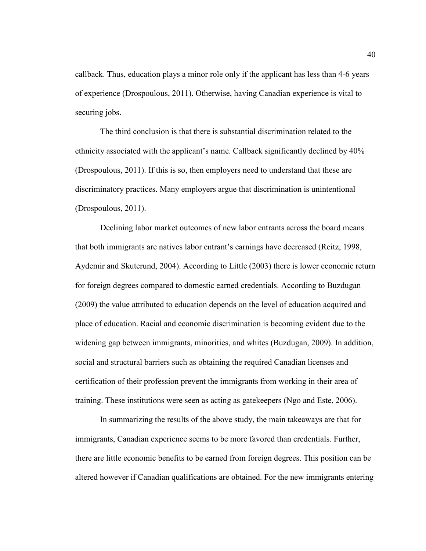callback. Thus, education plays a minor role only if the applicant has less than 4-6 years of experience (Drospoulous, 2011). Otherwise, having Canadian experience is vital to securing jobs.

The third conclusion is that there is substantial discrimination related to the ethnicity associated with the applicant's name. Callback significantly declined by 40% (Drospoulous, 2011). If this is so, then employers need to understand that these are discriminatory practices. Many employers argue that discrimination is unintentional (Drospoulous, 2011).

Declining labor market outcomes of new labor entrants across the board means that both immigrants are natives labor entrant's earnings have decreased (Reitz, 1998, Aydemir and Skuterund, 2004). According to Little (2003) there is lower economic return for foreign degrees compared to domestic earned credentials. According to Buzdugan (2009) the value attributed to education depends on the level of education acquired and place of education. Racial and economic discrimination is becoming evident due to the widening gap between immigrants, minorities, and whites (Buzdugan, 2009). In addition, social and structural barriers such as obtaining the required Canadian licenses and certification of their profession prevent the immigrants from working in their area of training. These institutions were seen as acting as gatekeepers (Ngo and Este, 2006).

In summarizing the results of the above study, the main takeaways are that for immigrants, Canadian experience seems to be more favored than credentials. Further, there are little economic benefits to be earned from foreign degrees. This position can be altered however if Canadian qualifications are obtained. For the new immigrants entering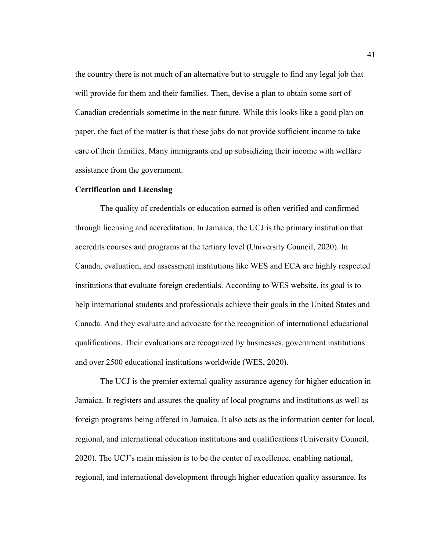the country there is not much of an alternative but to struggle to find any legal job that will provide for them and their families. Then, devise a plan to obtain some sort of Canadian credentials sometime in the near future. While this looks like a good plan on paper, the fact of the matter is that these jobs do not provide sufficient income to take care of their families. Many immigrants end up subsidizing their income with welfare assistance from the government.

# **Certification and Licensing**

The quality of credentials or education earned is often verified and confirmed through licensing and accreditation. In Jamaica, the UCJ is the primary institution that accredits courses and programs at the tertiary level (University Council, 2020). In Canada, evaluation, and assessment institutions like WES and ECA are highly respected institutions that evaluate foreign credentials. According to WES website, its goal is to help international students and professionals achieve their goals in the United States and Canada. And they evaluate and advocate for the recognition of international educational qualifications. Their evaluations are recognized by businesses, government institutions and over 2500 educational institutions worldwide (WES, 2020).

The UCJ is the premier external quality assurance agency for higher education in Jamaica. It registers and assures the quality of local programs and institutions as well as foreign programs being offered in Jamaica. It also acts as the information center for local, regional, and international education institutions and qualifications (University Council, 2020). The UCJ's main mission is to be the center of excellence, enabling national, regional, and international development through higher education quality assurance. Its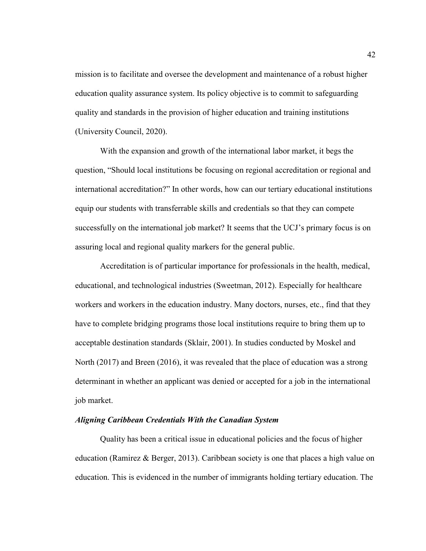mission is to facilitate and oversee the development and maintenance of a robust higher education quality assurance system. Its policy objective is to commit to safeguarding quality and standards in the provision of higher education and training institutions (University Council, 2020).

With the expansion and growth of the international labor market, it begs the question, "Should local institutions be focusing on regional accreditation or regional and international accreditation?" In other words, how can our tertiary educational institutions equip our students with transferrable skills and credentials so that they can compete successfully on the international job market? It seems that the UCJ's primary focus is on assuring local and regional quality markers for the general public.

Accreditation is of particular importance for professionals in the health, medical, educational, and technological industries (Sweetman, 2012). Especially for healthcare workers and workers in the education industry. Many doctors, nurses, etc., find that they have to complete bridging programs those local institutions require to bring them up to acceptable destination standards (Sklair, 2001). In studies conducted by Moskel and North (2017) and Breen (2016), it was revealed that the place of education was a strong determinant in whether an applicant was denied or accepted for a job in the international job market.

# *Aligning Caribbean Credentials With the Canadian System*

Quality has been a critical issue in educational policies and the focus of higher education (Ramirez & Berger, 2013). Caribbean society is one that places a high value on education. This is evidenced in the number of immigrants holding tertiary education. The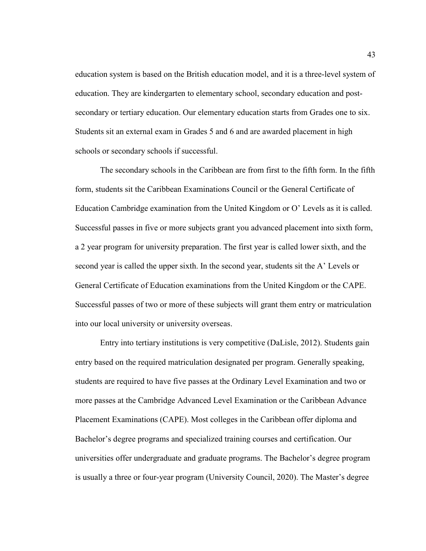education system is based on the British education model, and it is a three-level system of education. They are kindergarten to elementary school, secondary education and postsecondary or tertiary education. Our elementary education starts from Grades one to six. Students sit an external exam in Grades 5 and 6 and are awarded placement in high schools or secondary schools if successful.

The secondary schools in the Caribbean are from first to the fifth form. In the fifth form, students sit the Caribbean Examinations Council or the General Certificate of Education Cambridge examination from the United Kingdom or O' Levels as it is called. Successful passes in five or more subjects grant you advanced placement into sixth form, a 2 year program for university preparation. The first year is called lower sixth, and the second year is called the upper sixth. In the second year, students sit the A' Levels or General Certificate of Education examinations from the United Kingdom or the CAPE. Successful passes of two or more of these subjects will grant them entry or matriculation into our local university or university overseas.

Entry into tertiary institutions is very competitive (DaLisle, 2012). Students gain entry based on the required matriculation designated per program. Generally speaking, students are required to have five passes at the Ordinary Level Examination and two or more passes at the Cambridge Advanced Level Examination or the Caribbean Advance Placement Examinations (CAPE). Most colleges in the Caribbean offer diploma and Bachelor's degree programs and specialized training courses and certification. Our universities offer undergraduate and graduate programs. The Bachelor's degree program is usually a three or four-year program (University Council, 2020). The Master's degree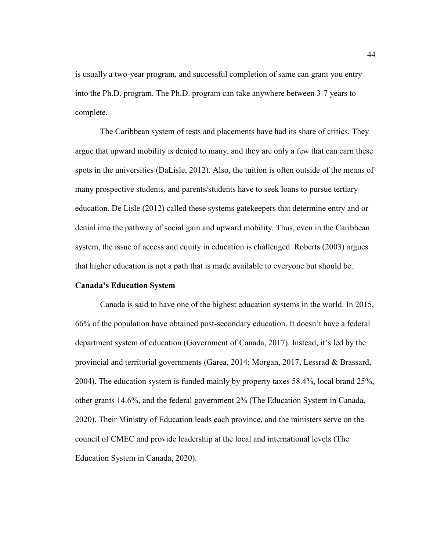is usually a two-year program, and successful completion of same can grant you entry into the Ph.D. program. The Ph.D. program can take anywhere between 3-7 years to complete.

The Caribbean system of tests and placements have had its share of critics. They argue that upward mobility is denied to many, and they are only a few that can earn these spots in the universities (DaLisle, 2012). Also, the tuition is often outside of the means of many prospective students, and parents/students have to seek loans to pursue tertiary education. De Lisle (2012) called these systems gatekeepers that determine entry and or denial into the pathway of social gain and upward mobility. Thus, even in the Caribbean system, the issue of access and equity in education is challenged. Roberts (2003) argues that higher education is not a path that is made available to everyone but should be.

### **Canada's Education System**

Canada is said to have one of the highest education systems in the world. In 2015, 66% of the population have obtained post-secondary education. It doesn't have a federal department system of education (Government of Canada, 2017). Instead, it's led by the provincial and territorial governments (Garea, 2014; Morgan, 2017, Lessrad & Brassard, 2004). The education system is funded mainly by property taxes 58.4%, local brand 25%, other grants 14.6%, and the federal government 2% (The Education System in Canada, 2020). Their Ministry of Education leads each province, and the ministers serve on the council of CMEC and provide leadership at the local and international levels (The Education System in Canada, 2020).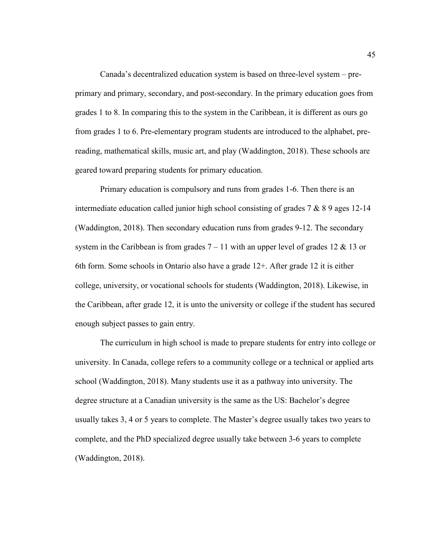Canada's decentralized education system is based on three-level system – preprimary and primary, secondary, and post-secondary. In the primary education goes from grades 1 to 8. In comparing this to the system in the Caribbean, it is different as ours go from grades 1 to 6. Pre-elementary program students are introduced to the alphabet, prereading, mathematical skills, music art, and play (Waddington, 2018). These schools are geared toward preparing students for primary education.

Primary education is compulsory and runs from grades 1-6. Then there is an intermediate education called junior high school consisting of grades 7 & 8 9 ages 12-14 (Waddington, 2018). Then secondary education runs from grades 9-12. The secondary system in the Caribbean is from grades  $7 - 11$  with an upper level of grades 12 & 13 or 6th form. Some schools in Ontario also have a grade 12+. After grade 12 it is either college, university, or vocational schools for students (Waddington, 2018). Likewise, in the Caribbean, after grade 12, it is unto the university or college if the student has secured enough subject passes to gain entry.

The curriculum in high school is made to prepare students for entry into college or university. In Canada, college refers to a community college or a technical or applied arts school (Waddington, 2018). Many students use it as a pathway into university. The degree structure at a Canadian university is the same as the US: Bachelor's degree usually takes 3, 4 or 5 years to complete. The Master's degree usually takes two years to complete, and the PhD specialized degree usually take between 3-6 years to complete (Waddington, 2018).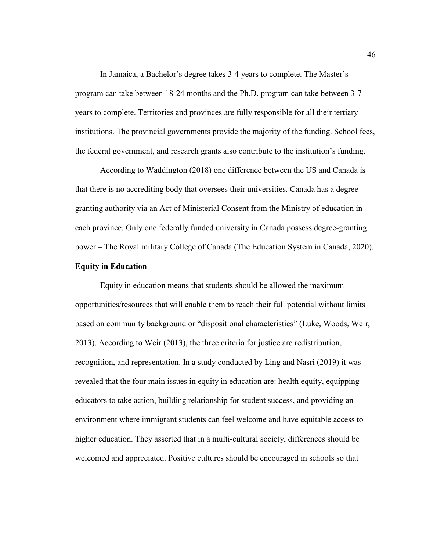In Jamaica, a Bachelor's degree takes 3-4 years to complete. The Master's program can take between 18-24 months and the Ph.D. program can take between 3-7 years to complete. Territories and provinces are fully responsible for all their tertiary institutions. The provincial governments provide the majority of the funding. School fees, the federal government, and research grants also contribute to the institution's funding.

According to Waddington (2018) one difference between the US and Canada is that there is no accrediting body that oversees their universities. Canada has a degreegranting authority via an Act of Ministerial Consent from the Ministry of education in each province. Only one federally funded university in Canada possess degree-granting power – The Royal military College of Canada (The Education System in Canada, 2020).

# **Equity in Education**

Equity in education means that students should be allowed the maximum opportunities/resources that will enable them to reach their full potential without limits based on community background or "dispositional characteristics" (Luke, Woods, Weir, 2013). According to Weir (2013), the three criteria for justice are redistribution, recognition, and representation. In a study conducted by Ling and Nasri (2019) it was revealed that the four main issues in equity in education are: health equity, equipping educators to take action, building relationship for student success, and providing an environment where immigrant students can feel welcome and have equitable access to higher education. They asserted that in a multi-cultural society, differences should be welcomed and appreciated. Positive cultures should be encouraged in schools so that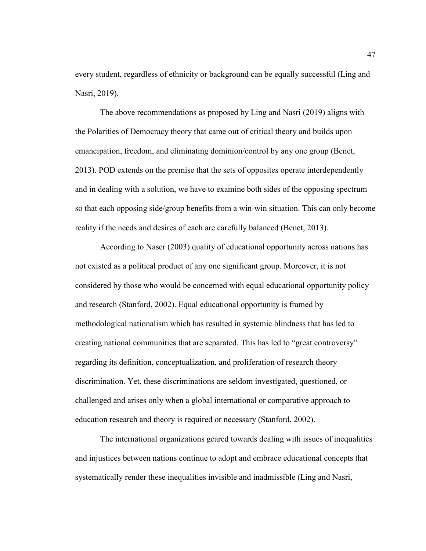every student, regardless of ethnicity or background can be equally successful (Ling and Nasri, 2019).

The above recommendations as proposed by Ling and Nasri (2019) aligns with the Polarities of Democracy theory that came out of critical theory and builds upon emancipation, freedom, and eliminating dominion/control by any one group (Benet, 2013). POD extends on the premise that the sets of opposites operate interdependently and in dealing with a solution, we have to examine both sides of the opposing spectrum so that each opposing side/group benefits from a win-win situation. This can only become reality if the needs and desires of each are carefully balanced (Benet, 2013).

According to Naser (2003) quality of educational opportunity across nations has not existed as a political product of any one significant group. Moreover, it is not considered by those who would be concerned with equal educational opportunity policy and research (Stanford, 2002). Equal educational opportunity is framed by methodological nationalism which has resulted in systemic blindness that has led to creating national communities that are separated. This has led to "great controversy" regarding its definition, conceptualization, and proliferation of research theory discrimination. Yet, these discriminations are seldom investigated, questioned, or challenged and arises only when a global international or comparative approach to education research and theory is required or necessary (Stanford, 2002).

The international organizations geared towards dealing with issues of inequalities and injustices between nations continue to adopt and embrace educational concepts that systematically render these inequalities invisible and inadmissible (Ling and Nasri,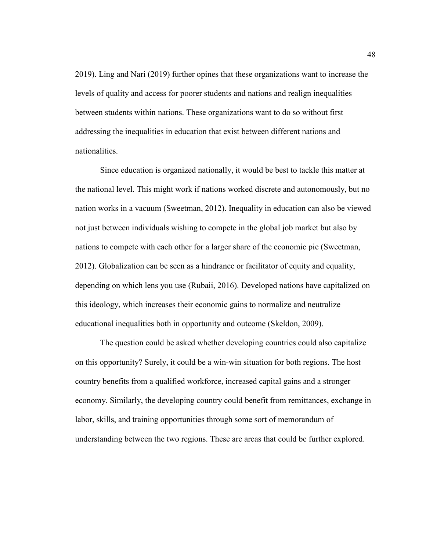2019). Ling and Nari (2019) further opines that these organizations want to increase the levels of quality and access for poorer students and nations and realign inequalities between students within nations. These organizations want to do so without first addressing the inequalities in education that exist between different nations and nationalities.

Since education is organized nationally, it would be best to tackle this matter at the national level. This might work if nations worked discrete and autonomously, but no nation works in a vacuum (Sweetman, 2012). Inequality in education can also be viewed not just between individuals wishing to compete in the global job market but also by nations to compete with each other for a larger share of the economic pie (Sweetman, 2012). Globalization can be seen as a hindrance or facilitator of equity and equality, depending on which lens you use (Rubaii, 2016). Developed nations have capitalized on this ideology, which increases their economic gains to normalize and neutralize educational inequalities both in opportunity and outcome (Skeldon, 2009).

The question could be asked whether developing countries could also capitalize on this opportunity? Surely, it could be a win-win situation for both regions. The host country benefits from a qualified workforce, increased capital gains and a stronger economy. Similarly, the developing country could benefit from remittances, exchange in labor, skills, and training opportunities through some sort of memorandum of understanding between the two regions. These are areas that could be further explored.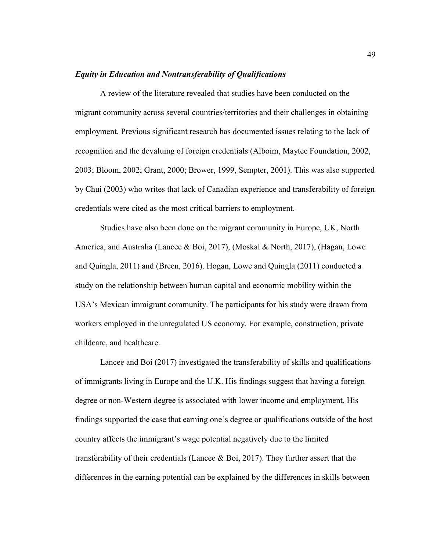## *Equity in Education and Nontransferability of Qualifications*

A review of the literature revealed that studies have been conducted on the migrant community across several countries/territories and their challenges in obtaining employment. Previous significant research has documented issues relating to the lack of recognition and the devaluing of foreign credentials (Alboim, Maytee Foundation, 2002, 2003; Bloom, 2002; Grant, 2000; Brower, 1999, Sempter, 2001). This was also supported by Chui (2003) who writes that lack of Canadian experience and transferability of foreign credentials were cited as the most critical barriers to employment.

Studies have also been done on the migrant community in Europe, UK, North America, and Australia (Lancee & Boi, 2017), (Moskal & North, 2017), (Hagan, Lowe and Quingla, 2011) and (Breen, 2016). Hogan, Lowe and Quingla (2011) conducted a study on the relationship between human capital and economic mobility within the USA's Mexican immigrant community. The participants for his study were drawn from workers employed in the unregulated US economy. For example, construction, private childcare, and healthcare.

Lancee and Boi (2017) investigated the transferability of skills and qualifications of immigrants living in Europe and the U.K. His findings suggest that having a foreign degree or non-Western degree is associated with lower income and employment. His findings supported the case that earning one's degree or qualifications outside of the host country affects the immigrant's wage potential negatively due to the limited transferability of their credentials (Lancee  $\&$  Boi, 2017). They further assert that the differences in the earning potential can be explained by the differences in skills between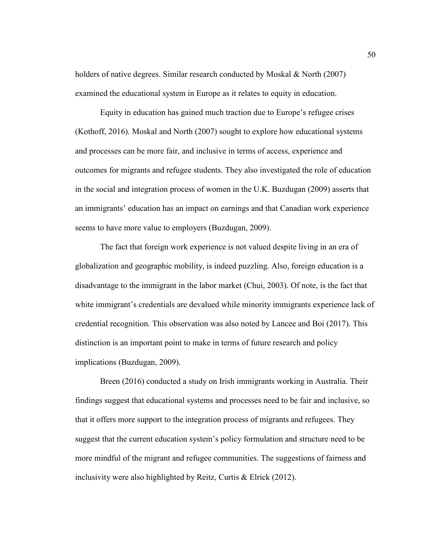holders of native degrees. Similar research conducted by Moskal & North (2007) examined the educational system in Europe as it relates to equity in education.

Equity in education has gained much traction due to Europe's refugee crises (Kothoff, 2016). Moskal and North (2007) sought to explore how educational systems and processes can be more fair, and inclusive in terms of access, experience and outcomes for migrants and refugee students. They also investigated the role of education in the social and integration process of women in the U.K. Buzdugan (2009) asserts that an immigrants' education has an impact on earnings and that Canadian work experience seems to have more value to employers (Buzdugan, 2009).

The fact that foreign work experience is not valued despite living in an era of globalization and geographic mobility, is indeed puzzling. Also, foreign education is a disadvantage to the immigrant in the labor market (Chui, 2003). Of note, is the fact that white immigrant's credentials are devalued while minority immigrants experience lack of credential recognition. This observation was also noted by Lancee and Boi (2017). This distinction is an important point to make in terms of future research and policy implications (Buzdugan, 2009).

Breen (2016) conducted a study on Irish immigrants working in Australia. Their findings suggest that educational systems and processes need to be fair and inclusive, so that it offers more support to the integration process of migrants and refugees. They suggest that the current education system's policy formulation and structure need to be more mindful of the migrant and refugee communities. The suggestions of fairness and inclusivity were also highlighted by Reitz, Curtis & Elrick (2012).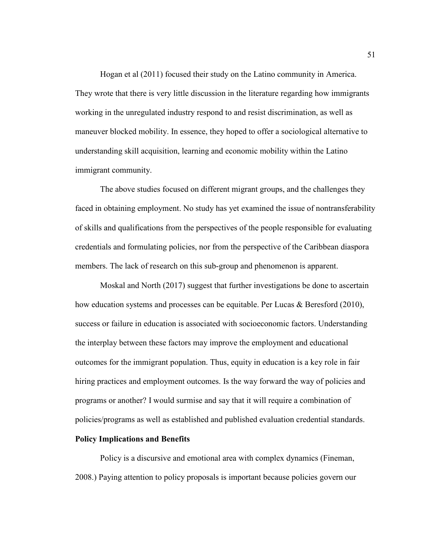Hogan et al (2011) focused their study on the Latino community in America. They wrote that there is very little discussion in the literature regarding how immigrants working in the unregulated industry respond to and resist discrimination, as well as maneuver blocked mobility. In essence, they hoped to offer a sociological alternative to understanding skill acquisition, learning and economic mobility within the Latino immigrant community.

The above studies focused on different migrant groups, and the challenges they faced in obtaining employment. No study has yet examined the issue of nontransferability of skills and qualifications from the perspectives of the people responsible for evaluating credentials and formulating policies, nor from the perspective of the Caribbean diaspora members. The lack of research on this sub-group and phenomenon is apparent.

Moskal and North (2017) suggest that further investigations be done to ascertain how education systems and processes can be equitable. Per Lucas & Beresford (2010), success or failure in education is associated with socioeconomic factors. Understanding the interplay between these factors may improve the employment and educational outcomes for the immigrant population. Thus, equity in education is a key role in fair hiring practices and employment outcomes. Is the way forward the way of policies and programs or another? I would surmise and say that it will require a combination of policies/programs as well as established and published evaluation credential standards.

# **Policy Implications and Benefits**

Policy is a discursive and emotional area with complex dynamics (Fineman, 2008.) Paying attention to policy proposals is important because policies govern our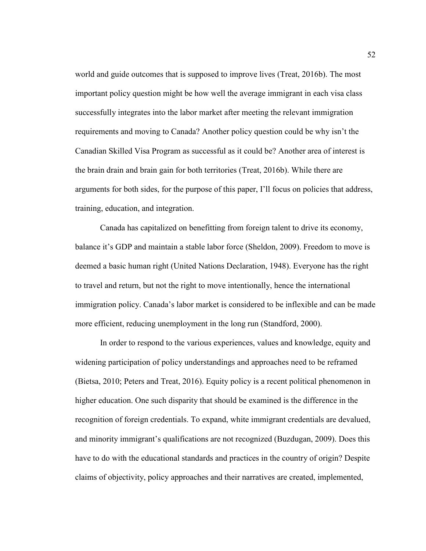world and guide outcomes that is supposed to improve lives (Treat, 2016b). The most important policy question might be how well the average immigrant in each visa class successfully integrates into the labor market after meeting the relevant immigration requirements and moving to Canada? Another policy question could be why isn't the Canadian Skilled Visa Program as successful as it could be? Another area of interest is the brain drain and brain gain for both territories (Treat, 2016b). While there are arguments for both sides, for the purpose of this paper, I'll focus on policies that address, training, education, and integration.

Canada has capitalized on benefitting from foreign talent to drive its economy, balance it's GDP and maintain a stable labor force (Sheldon, 2009). Freedom to move is deemed a basic human right (United Nations Declaration, 1948). Everyone has the right to travel and return, but not the right to move intentionally, hence the international immigration policy. Canada's labor market is considered to be inflexible and can be made more efficient, reducing unemployment in the long run (Standford, 2000).

In order to respond to the various experiences, values and knowledge, equity and widening participation of policy understandings and approaches need to be reframed (Bietsa, 2010; Peters and Treat, 2016). Equity policy is a recent political phenomenon in higher education. One such disparity that should be examined is the difference in the recognition of foreign credentials. To expand, white immigrant credentials are devalued, and minority immigrant's qualifications are not recognized (Buzdugan, 2009). Does this have to do with the educational standards and practices in the country of origin? Despite claims of objectivity, policy approaches and their narratives are created, implemented,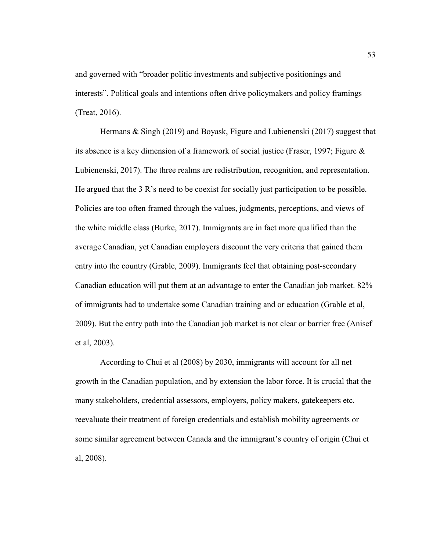and governed with "broader politic investments and subjective positionings and interests". Political goals and intentions often drive policymakers and policy framings (Treat, 2016).

Hermans & Singh (2019) and Boyask, Figure and Lubienenski (2017) suggest that its absence is a key dimension of a framework of social justice (Fraser, 1997; Figure & Lubienenski, 2017). The three realms are redistribution, recognition, and representation. He argued that the 3 R's need to be coexist for socially just participation to be possible. Policies are too often framed through the values, judgments, perceptions, and views of the white middle class (Burke, 2017). Immigrants are in fact more qualified than the average Canadian, yet Canadian employers discount the very criteria that gained them entry into the country (Grable, 2009). Immigrants feel that obtaining post-secondary Canadian education will put them at an advantage to enter the Canadian job market. 82% of immigrants had to undertake some Canadian training and or education (Grable et al, 2009). But the entry path into the Canadian job market is not clear or barrier free (Anisef et al, 2003).

According to Chui et al (2008) by 2030, immigrants will account for all net growth in the Canadian population, and by extension the labor force. It is crucial that the many stakeholders, credential assessors, employers, policy makers, gatekeepers etc. reevaluate their treatment of foreign credentials and establish mobility agreements or some similar agreement between Canada and the immigrant's country of origin (Chui et al, 2008).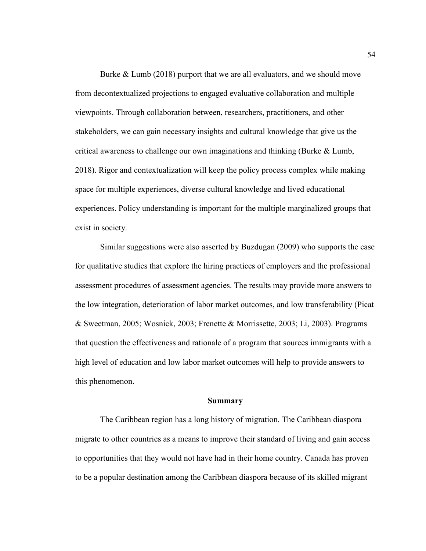Burke & Lumb (2018) purport that we are all evaluators, and we should move from decontextualized projections to engaged evaluative collaboration and multiple viewpoints. Through collaboration between, researchers, practitioners, and other stakeholders, we can gain necessary insights and cultural knowledge that give us the critical awareness to challenge our own imaginations and thinking (Burke  $\&$  Lumb, 2018). Rigor and contextualization will keep the policy process complex while making space for multiple experiences, diverse cultural knowledge and lived educational experiences. Policy understanding is important for the multiple marginalized groups that exist in society.

Similar suggestions were also asserted by Buzdugan (2009) who supports the case for qualitative studies that explore the hiring practices of employers and the professional assessment procedures of assessment agencies. The results may provide more answers to the low integration, deterioration of labor market outcomes, and low transferability (Picat & Sweetman, 2005; Wosnick, 2003; Frenette & Morrissette, 2003; Li, 2003). Programs that question the effectiveness and rationale of a program that sources immigrants with a high level of education and low labor market outcomes will help to provide answers to this phenomenon.

#### **Summary**

The Caribbean region has a long history of migration. The Caribbean diaspora migrate to other countries as a means to improve their standard of living and gain access to opportunities that they would not have had in their home country. Canada has proven to be a popular destination among the Caribbean diaspora because of its skilled migrant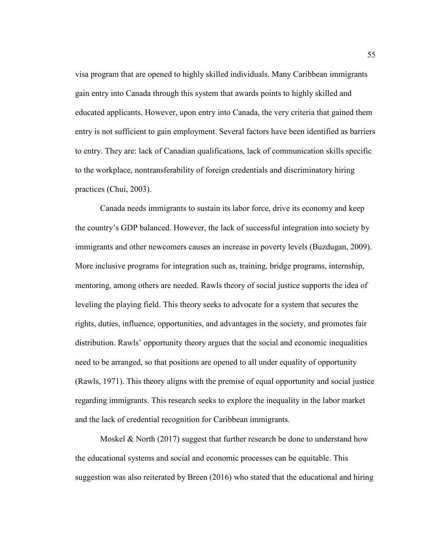visa program that are opened to highly skilled individuals. Many Caribbean immigrants gain entry into Canada through this system that awards points to highly skilled and educated applicants. However, upon entry into Canada, the very criteria that gained them entry is not sufficient to gain employment. Several factors have been identified as barriers to entry. They are: lack of Canadian qualifications, lack of communication skills specific to the workplace, nontransferability of foreign credentials and discriminatory hiring practices (Chui, 2003).

Canada needs immigrants to sustain its labor force, drive its economy and keep the country's GDP balanced. However, the lack of successful integration into society by immigrants and other newcomers causes an increase in poverty levels (Buzdugan, 2009). More inclusive programs for integration such as, training, bridge programs, internship, mentoring, among others are needed. Rawls theory of social justice supports the idea of leveling the playing field. This theory seeks to advocate for a system that secures the rights, duties, influence, opportunities, and advantages in the society, and promotes fair distribution. Rawls' opportunity theory argues that the social and economic inequalities need to be arranged, so that positions are opened to all under equality of opportunity (Rawls, 1971). This theory aligns with the premise of equal opportunity and social justice regarding immigrants. This research seeks to explore the inequality in the labor market and the lack of credential recognition for Caribbean immigrants.

Moskel  $\&$  North (2017) suggest that further research be done to understand how the educational systems and social and economic processes can be equitable. This suggestion was also reiterated by Breen (2016) who stated that the educational and hiring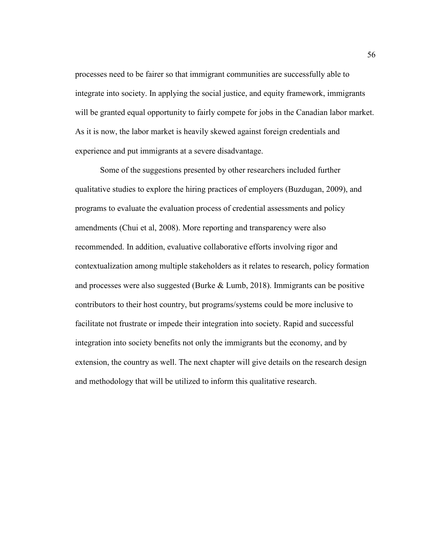processes need to be fairer so that immigrant communities are successfully able to integrate into society. In applying the social justice, and equity framework, immigrants will be granted equal opportunity to fairly compete for jobs in the Canadian labor market. As it is now, the labor market is heavily skewed against foreign credentials and experience and put immigrants at a severe disadvantage.

Some of the suggestions presented by other researchers included further qualitative studies to explore the hiring practices of employers (Buzdugan, 2009), and programs to evaluate the evaluation process of credential assessments and policy amendments (Chui et al, 2008). More reporting and transparency were also recommended. In addition, evaluative collaborative efforts involving rigor and contextualization among multiple stakeholders as it relates to research, policy formation and processes were also suggested (Burke & Lumb, 2018). Immigrants can be positive contributors to their host country, but programs/systems could be more inclusive to facilitate not frustrate or impede their integration into society. Rapid and successful integration into society benefits not only the immigrants but the economy, and by extension, the country as well. The next chapter will give details on the research design and methodology that will be utilized to inform this qualitative research.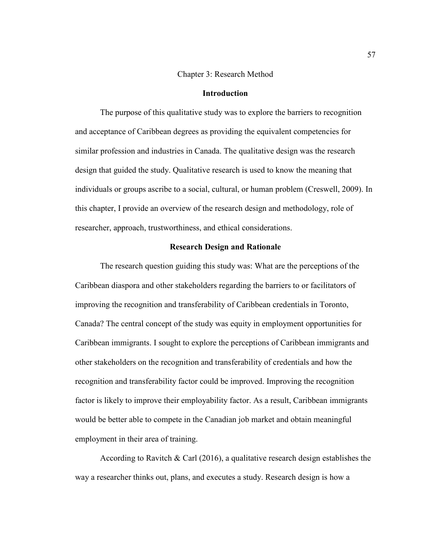## Chapter 3: Research Method

### **Introduction**

The purpose of this qualitative study was to explore the barriers to recognition and acceptance of Caribbean degrees as providing the equivalent competencies for similar profession and industries in Canada. The qualitative design was the research design that guided the study. Qualitative research is used to know the meaning that individuals or groups ascribe to a social, cultural, or human problem (Creswell, 2009). In this chapter, I provide an overview of the research design and methodology, role of researcher, approach, trustworthiness, and ethical considerations.

#### **Research Design and Rationale**

The research question guiding this study was: What are the perceptions of the Caribbean diaspora and other stakeholders regarding the barriers to or facilitators of improving the recognition and transferability of Caribbean credentials in Toronto, Canada? The central concept of the study was equity in employment opportunities for Caribbean immigrants. I sought to explore the perceptions of Caribbean immigrants and other stakeholders on the recognition and transferability of credentials and how the recognition and transferability factor could be improved. Improving the recognition factor is likely to improve their employability factor. As a result, Caribbean immigrants would be better able to compete in the Canadian job market and obtain meaningful employment in their area of training.

According to Ravitch & Carl  $(2016)$ , a qualitative research design establishes the way a researcher thinks out, plans, and executes a study. Research design is how a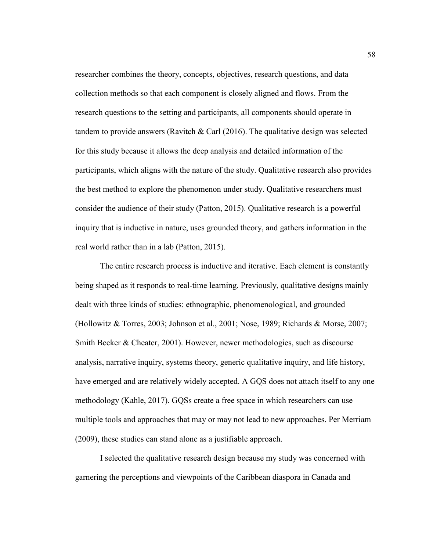researcher combines the theory, concepts, objectives, research questions, and data collection methods so that each component is closely aligned and flows. From the research questions to the setting and participants, all components should operate in tandem to provide answers (Ravitch  $& Carl (2016)$ . The qualitative design was selected for this study because it allows the deep analysis and detailed information of the participants, which aligns with the nature of the study. Qualitative research also provides the best method to explore the phenomenon under study. Qualitative researchers must consider the audience of their study (Patton, 2015). Qualitative research is a powerful inquiry that is inductive in nature, uses grounded theory, and gathers information in the real world rather than in a lab (Patton, 2015).

The entire research process is inductive and iterative. Each element is constantly being shaped as it responds to real-time learning. Previously, qualitative designs mainly dealt with three kinds of studies: ethnographic, phenomenological, and grounded (Hollowitz & Torres, 2003; Johnson et al., 2001; Nose, 1989; Richards & Morse, 2007; Smith Becker & Cheater, 2001). However, newer methodologies, such as discourse analysis, narrative inquiry, systems theory, generic qualitative inquiry, and life history, have emerged and are relatively widely accepted. A GQS does not attach itself to any one methodology (Kahle, 2017). GQSs create a free space in which researchers can use multiple tools and approaches that may or may not lead to new approaches. Per Merriam (2009), these studies can stand alone as a justifiable approach.

I selected the qualitative research design because my study was concerned with garnering the perceptions and viewpoints of the Caribbean diaspora in Canada and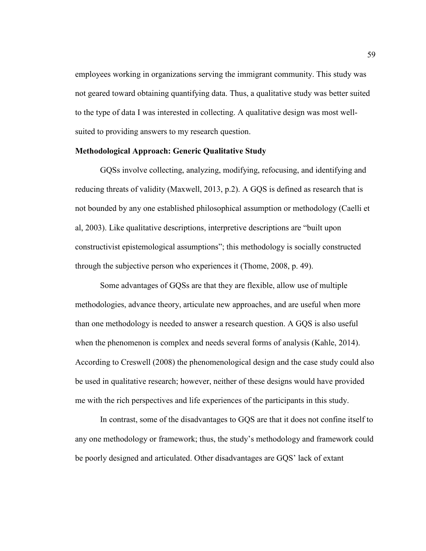employees working in organizations serving the immigrant community. This study was not geared toward obtaining quantifying data. Thus, a qualitative study was better suited to the type of data I was interested in collecting. A qualitative design was most wellsuited to providing answers to my research question.

### **Methodological Approach: Generic Qualitative Study**

GQSs involve collecting, analyzing, modifying, refocusing, and identifying and reducing threats of validity (Maxwell, 2013, p.2). A GQS is defined as research that is not bounded by any one established philosophical assumption or methodology (Caelli et al, 2003). Like qualitative descriptions, interpretive descriptions are "built upon constructivist epistemological assumptions"; this methodology is socially constructed through the subjective person who experiences it (Thome, 2008, p. 49).

Some advantages of GQSs are that they are flexible, allow use of multiple methodologies, advance theory, articulate new approaches, and are useful when more than one methodology is needed to answer a research question. A GQS is also useful when the phenomenon is complex and needs several forms of analysis (Kahle, 2014). According to Creswell (2008) the phenomenological design and the case study could also be used in qualitative research; however, neither of these designs would have provided me with the rich perspectives and life experiences of the participants in this study.

In contrast, some of the disadvantages to GQS are that it does not confine itself to any one methodology or framework; thus, the study's methodology and framework could be poorly designed and articulated. Other disadvantages are GQS' lack of extant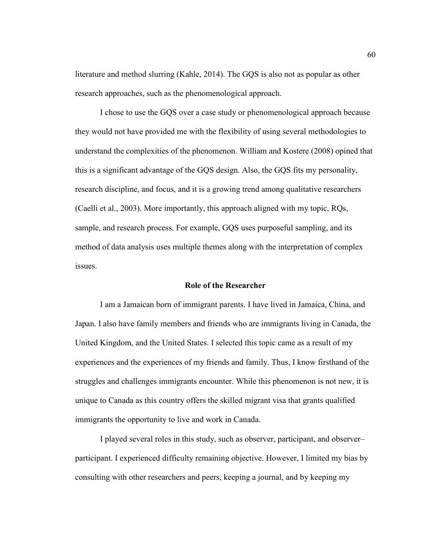literature and method slurring (Kahle, 2014). The GQS is also not as popular as other research approaches, such as the phenomenological approach.

I chose to use the GQS over a case study or phenomenological approach because they would not have provided me with the flexibility of using several methodologies to understand the complexities of the phenomenon. William and Kostere (2008) opined that this is a significant advantage of the GQS design. Also, the GQS fits my personality, research discipline, and focus, and it is a growing trend among qualitative researchers (Caelli et al., 2003). More importantly, this approach aligned with my topic, RQs, sample, and research process. For example, GQS uses purposeful sampling, and its method of data analysis uses multiple themes along with the interpretation of complex issues.

#### **Role of the Researcher**

I am a Jamaican born of immigrant parents. I have lived in Jamaica, China, and Japan. I also have family members and friends who are immigrants living in Canada, the United Kingdom, and the United States. I selected this topic came as a result of my experiences and the experiences of my friends and family. Thus, I know firsthand of the struggles and challenges immigrants encounter. While this phenomenon is not new, it is unique to Canada as this country offers the skilled migrant visa that grants qualified immigrants the opportunity to live and work in Canada.

I played several roles in this study, such as observer, participant, and observer– participant. I experienced difficulty remaining objective. However, I limited my bias by consulting with other researchers and peers, keeping a journal, and by keeping my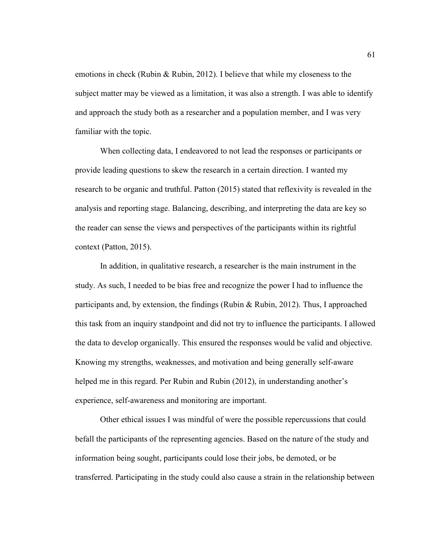emotions in check (Rubin & Rubin, 2012). I believe that while my closeness to the subject matter may be viewed as a limitation, it was also a strength. I was able to identify and approach the study both as a researcher and a population member, and I was very familiar with the topic.

When collecting data, I endeavored to not lead the responses or participants or provide leading questions to skew the research in a certain direction. I wanted my research to be organic and truthful. Patton (2015) stated that reflexivity is revealed in the analysis and reporting stage. Balancing, describing, and interpreting the data are key so the reader can sense the views and perspectives of the participants within its rightful context (Patton, 2015).

In addition, in qualitative research, a researcher is the main instrument in the study. As such, I needed to be bias free and recognize the power I had to influence the participants and, by extension, the findings (Rubin & Rubin, 2012). Thus, I approached this task from an inquiry standpoint and did not try to influence the participants. I allowed the data to develop organically. This ensured the responses would be valid and objective. Knowing my strengths, weaknesses, and motivation and being generally self-aware helped me in this regard. Per Rubin and Rubin (2012), in understanding another's experience, self-awareness and monitoring are important.

Other ethical issues I was mindful of were the possible repercussions that could befall the participants of the representing agencies. Based on the nature of the study and information being sought, participants could lose their jobs, be demoted, or be transferred. Participating in the study could also cause a strain in the relationship between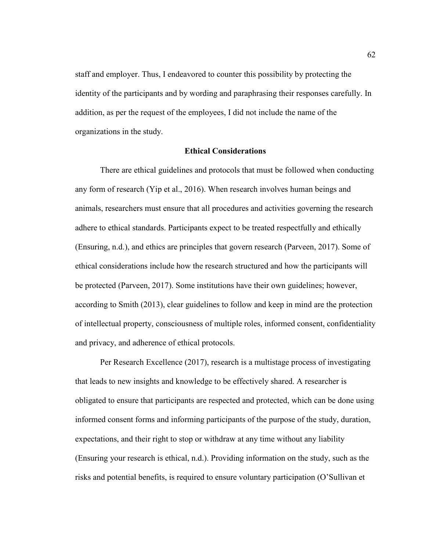staff and employer. Thus, I endeavored to counter this possibility by protecting the identity of the participants and by wording and paraphrasing their responses carefully. In addition, as per the request of the employees, I did not include the name of the organizations in the study.

### **Ethical Considerations**

There are ethical guidelines and protocols that must be followed when conducting any form of research (Yip et al., 2016). When research involves human beings and animals, researchers must ensure that all procedures and activities governing the research adhere to ethical standards. Participants expect to be treated respectfully and ethically (Ensuring, n.d.), and ethics are principles that govern research (Parveen, 2017). Some of ethical considerations include how the research structured and how the participants will be protected (Parveen, 2017). Some institutions have their own guidelines; however, according to Smith (2013), clear guidelines to follow and keep in mind are the protection of intellectual property, consciousness of multiple roles, informed consent, confidentiality and privacy, and adherence of ethical protocols.

Per Research Excellence (2017), research is a multistage process of investigating that leads to new insights and knowledge to be effectively shared. A researcher is obligated to ensure that participants are respected and protected, which can be done using informed consent forms and informing participants of the purpose of the study, duration, expectations, and their right to stop or withdraw at any time without any liability (Ensuring your research is ethical, n.d.). Providing information on the study, such as the risks and potential benefits, is required to ensure voluntary participation (O'Sullivan et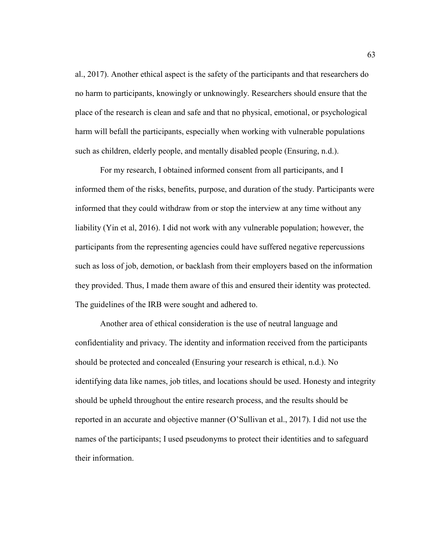al., 2017). Another ethical aspect is the safety of the participants and that researchers do no harm to participants, knowingly or unknowingly. Researchers should ensure that the place of the research is clean and safe and that no physical, emotional, or psychological harm will befall the participants, especially when working with vulnerable populations such as children, elderly people, and mentally disabled people (Ensuring, n.d.).

For my research, I obtained informed consent from all participants, and I informed them of the risks, benefits, purpose, and duration of the study. Participants were informed that they could withdraw from or stop the interview at any time without any liability (Yin et al, 2016). I did not work with any vulnerable population; however, the participants from the representing agencies could have suffered negative repercussions such as loss of job, demotion, or backlash from their employers based on the information they provided. Thus, I made them aware of this and ensured their identity was protected. The guidelines of the IRB were sought and adhered to.

Another area of ethical consideration is the use of neutral language and confidentiality and privacy. The identity and information received from the participants should be protected and concealed (Ensuring your research is ethical, n.d.). No identifying data like names, job titles, and locations should be used. Honesty and integrity should be upheld throughout the entire research process, and the results should be reported in an accurate and objective manner (O'Sullivan et al., 2017). I did not use the names of the participants; I used pseudonyms to protect their identities and to safeguard their information.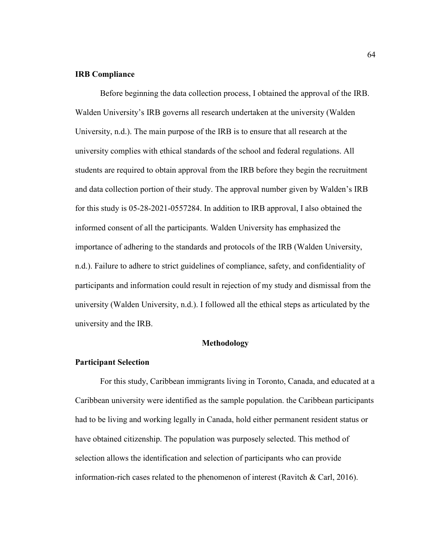## **IRB Compliance**

Before beginning the data collection process, I obtained the approval of the IRB. Walden University's IRB governs all research undertaken at the university (Walden University, n.d.). The main purpose of the IRB is to ensure that all research at the university complies with ethical standards of the school and federal regulations. All students are required to obtain approval from the IRB before they begin the recruitment and data collection portion of their study. The approval number given by Walden's IRB for this study is 05-28-2021-0557284. In addition to IRB approval, I also obtained the informed consent of all the participants. Walden University has emphasized the importance of adhering to the standards and protocols of the IRB (Walden University, n.d.). Failure to adhere to strict guidelines of compliance, safety, and confidentiality of participants and information could result in rejection of my study and dismissal from the university (Walden University, n.d.). I followed all the ethical steps as articulated by the university and the IRB.

### **Methodology**

#### **Participant Selection**

For this study, Caribbean immigrants living in Toronto, Canada, and educated at a Caribbean university were identified as the sample population. the Caribbean participants had to be living and working legally in Canada, hold either permanent resident status or have obtained citizenship. The population was purposely selected. This method of selection allows the identification and selection of participants who can provide information-rich cases related to the phenomenon of interest (Ravitch & Carl, 2016).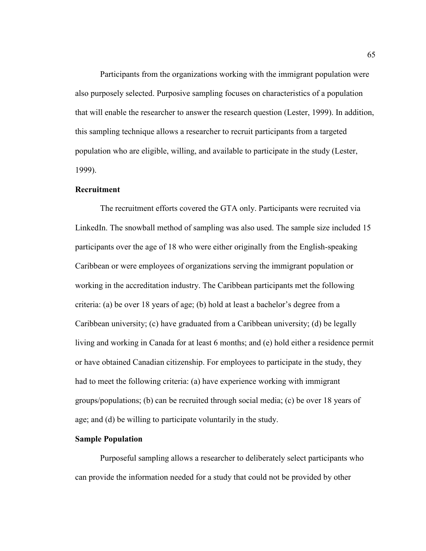Participants from the organizations working with the immigrant population were also purposely selected. Purposive sampling focuses on characteristics of a population that will enable the researcher to answer the research question (Lester, 1999). In addition, this sampling technique allows a researcher to recruit participants from a targeted population who are eligible, willing, and available to participate in the study (Lester, 1999).

### **Recruitment**

The recruitment efforts covered the GTA only. Participants were recruited via LinkedIn. The snowball method of sampling was also used. The sample size included 15 participants over the age of 18 who were either originally from the English-speaking Caribbean or were employees of organizations serving the immigrant population or working in the accreditation industry. The Caribbean participants met the following criteria: (a) be over 18 years of age; (b) hold at least a bachelor's degree from a Caribbean university; (c) have graduated from a Caribbean university; (d) be legally living and working in Canada for at least 6 months; and (e) hold either a residence permit or have obtained Canadian citizenship. For employees to participate in the study, they had to meet the following criteria: (a) have experience working with immigrant groups/populations; (b) can be recruited through social media; (c) be over 18 years of age; and (d) be willing to participate voluntarily in the study.

#### **Sample Population**

Purposeful sampling allows a researcher to deliberately select participants who can provide the information needed for a study that could not be provided by other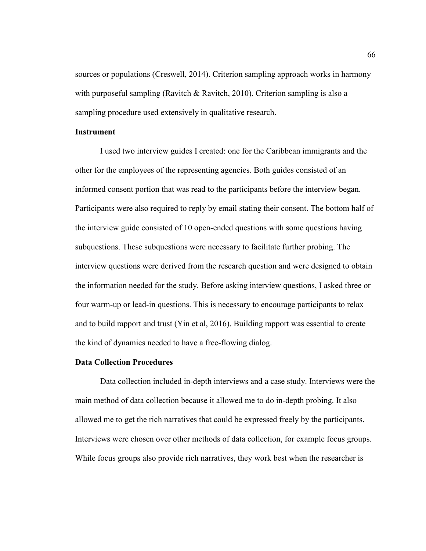sources or populations (Creswell, 2014). Criterion sampling approach works in harmony with purposeful sampling (Ravitch & Ravitch, 2010). Criterion sampling is also a sampling procedure used extensively in qualitative research.

## **Instrument**

I used two interview guides I created: one for the Caribbean immigrants and the other for the employees of the representing agencies. Both guides consisted of an informed consent portion that was read to the participants before the interview began. Participants were also required to reply by email stating their consent. The bottom half of the interview guide consisted of 10 open-ended questions with some questions having subquestions. These subquestions were necessary to facilitate further probing. The interview questions were derived from the research question and were designed to obtain the information needed for the study. Before asking interview questions, I asked three or four warm-up or lead-in questions. This is necessary to encourage participants to relax and to build rapport and trust (Yin et al, 2016). Building rapport was essential to create the kind of dynamics needed to have a free-flowing dialog.

#### **Data Collection Procedures**

Data collection included in-depth interviews and a case study. Interviews were the main method of data collection because it allowed me to do in-depth probing. It also allowed me to get the rich narratives that could be expressed freely by the participants. Interviews were chosen over other methods of data collection, for example focus groups. While focus groups also provide rich narratives, they work best when the researcher is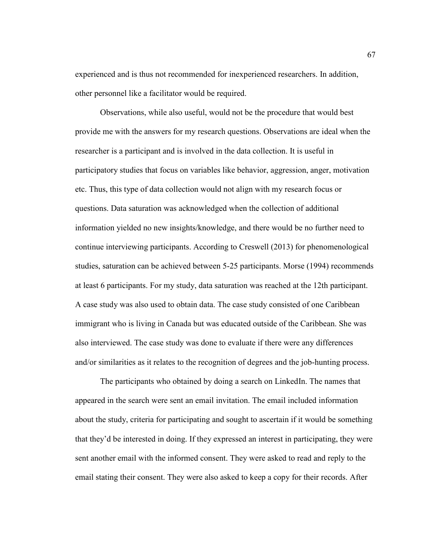experienced and is thus not recommended for inexperienced researchers. In addition, other personnel like a facilitator would be required.

Observations, while also useful, would not be the procedure that would best provide me with the answers for my research questions. Observations are ideal when the researcher is a participant and is involved in the data collection. It is useful in participatory studies that focus on variables like behavior, aggression, anger, motivation etc. Thus, this type of data collection would not align with my research focus or questions. Data saturation was acknowledged when the collection of additional information yielded no new insights/knowledge, and there would be no further need to continue interviewing participants. According to Creswell (2013) for phenomenological studies, saturation can be achieved between 5-25 participants. Morse (1994) recommends at least 6 participants. For my study, data saturation was reached at the 12th participant. A case study was also used to obtain data. The case study consisted of one Caribbean immigrant who is living in Canada but was educated outside of the Caribbean. She was also interviewed. The case study was done to evaluate if there were any differences and/or similarities as it relates to the recognition of degrees and the job-hunting process.

The participants who obtained by doing a search on LinkedIn. The names that appeared in the search were sent an email invitation. The email included information about the study, criteria for participating and sought to ascertain if it would be something that they'd be interested in doing. If they expressed an interest in participating, they were sent another email with the informed consent. They were asked to read and reply to the email stating their consent. They were also asked to keep a copy for their records. After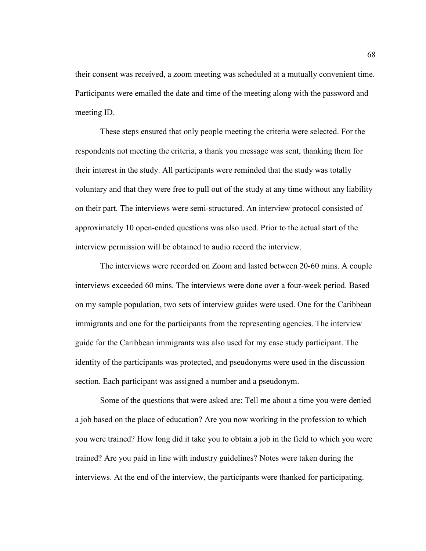their consent was received, a zoom meeting was scheduled at a mutually convenient time. Participants were emailed the date and time of the meeting along with the password and meeting ID.

These steps ensured that only people meeting the criteria were selected. For the respondents not meeting the criteria, a thank you message was sent, thanking them for their interest in the study. All participants were reminded that the study was totally voluntary and that they were free to pull out of the study at any time without any liability on their part. The interviews were semi-structured. An interview protocol consisted of approximately 10 open-ended questions was also used. Prior to the actual start of the interview permission will be obtained to audio record the interview.

The interviews were recorded on Zoom and lasted between 20-60 mins. A couple interviews exceeded 60 mins. The interviews were done over a four-week period. Based on my sample population, two sets of interview guides were used. One for the Caribbean immigrants and one for the participants from the representing agencies. The interview guide for the Caribbean immigrants was also used for my case study participant. The identity of the participants was protected, and pseudonyms were used in the discussion section. Each participant was assigned a number and a pseudonym.

Some of the questions that were asked are: Tell me about a time you were denied a job based on the place of education? Are you now working in the profession to which you were trained? How long did it take you to obtain a job in the field to which you were trained? Are you paid in line with industry guidelines? Notes were taken during the interviews. At the end of the interview, the participants were thanked for participating.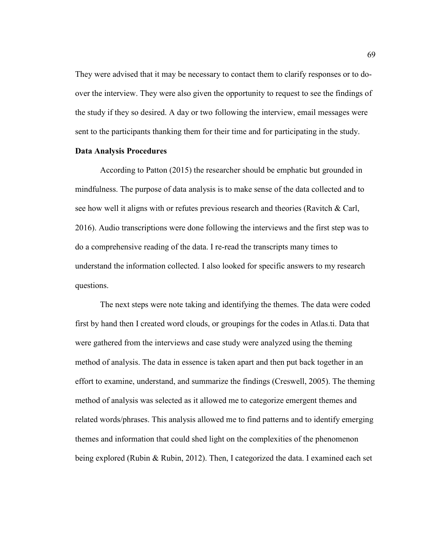They were advised that it may be necessary to contact them to clarify responses or to doover the interview. They were also given the opportunity to request to see the findings of the study if they so desired. A day or two following the interview, email messages were sent to the participants thanking them for their time and for participating in the study.

### **Data Analysis Procedures**

According to Patton (2015) the researcher should be emphatic but grounded in mindfulness. The purpose of data analysis is to make sense of the data collected and to see how well it aligns with or refutes previous research and theories (Ravitch & Carl, 2016). Audio transcriptions were done following the interviews and the first step was to do a comprehensive reading of the data. I re-read the transcripts many times to understand the information collected. I also looked for specific answers to my research questions.

The next steps were note taking and identifying the themes. The data were coded first by hand then I created word clouds, or groupings for the codes in Atlas.ti. Data that were gathered from the interviews and case study were analyzed using the theming method of analysis. The data in essence is taken apart and then put back together in an effort to examine, understand, and summarize the findings (Creswell, 2005). The theming method of analysis was selected as it allowed me to categorize emergent themes and related words/phrases. This analysis allowed me to find patterns and to identify emerging themes and information that could shed light on the complexities of the phenomenon being explored (Rubin & Rubin, 2012). Then, I categorized the data. I examined each set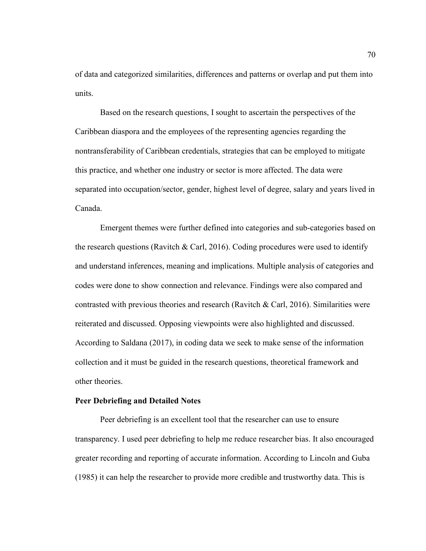of data and categorized similarities, differences and patterns or overlap and put them into units.

Based on the research questions, I sought to ascertain the perspectives of the Caribbean diaspora and the employees of the representing agencies regarding the nontransferability of Caribbean credentials, strategies that can be employed to mitigate this practice, and whether one industry or sector is more affected. The data were separated into occupation/sector, gender, highest level of degree, salary and years lived in Canada.

Emergent themes were further defined into categories and sub-categories based on the research questions (Ravitch & Carl, 2016). Coding procedures were used to identify and understand inferences, meaning and implications. Multiple analysis of categories and codes were done to show connection and relevance. Findings were also compared and contrasted with previous theories and research (Ravitch & Carl, 2016). Similarities were reiterated and discussed. Opposing viewpoints were also highlighted and discussed. According to Saldana (2017), in coding data we seek to make sense of the information collection and it must be guided in the research questions, theoretical framework and other theories.

## **Peer Debriefing and Detailed Notes**

Peer debriefing is an excellent tool that the researcher can use to ensure transparency. I used peer debriefing to help me reduce researcher bias. It also encouraged greater recording and reporting of accurate information. According to Lincoln and Guba (1985) it can help the researcher to provide more credible and trustworthy data. This is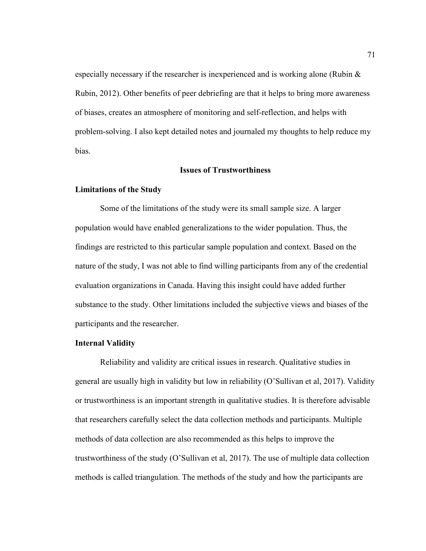especially necessary if the researcher is inexperienced and is working alone (Rubin & Rubin, 2012). Other benefits of peer debriefing are that it helps to bring more awareness of biases, creates an atmosphere of monitoring and self-reflection, and helps with problem-solving. I also kept detailed notes and journaled my thoughts to help reduce my bias.

### **Issues of Trustworthiness**

#### **Limitations of the Study**

Some of the limitations of the study were its small sample size. A larger population would have enabled generalizations to the wider population. Thus, the findings are restricted to this particular sample population and context. Based on the nature of the study, I was not able to find willing participants from any of the credential evaluation organizations in Canada. Having this insight could have added further substance to the study. Other limitations included the subjective views and biases of the participants and the researcher.

### **Internal Validity**

Reliability and validity are critical issues in research. Qualitative studies in general are usually high in validity but low in reliability (O'Sullivan et al, 2017). Validity or trustworthiness is an important strength in qualitative studies. It is therefore advisable that researchers carefully select the data collection methods and participants. Multiple methods of data collection are also recommended as this helps to improve the trustworthiness of the study (O'Sullivan et al, 2017). The use of multiple data collection methods is called triangulation. The methods of the study and how the participants are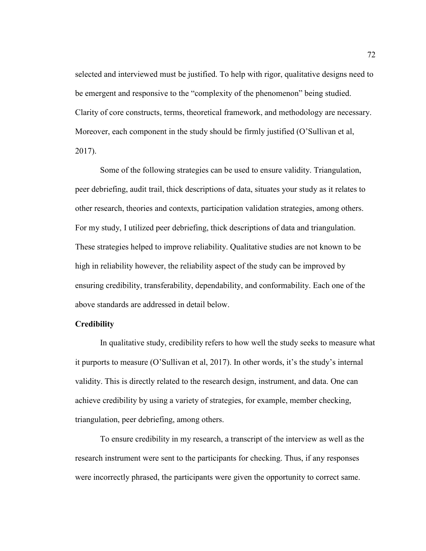selected and interviewed must be justified. To help with rigor, qualitative designs need to be emergent and responsive to the "complexity of the phenomenon" being studied. Clarity of core constructs, terms, theoretical framework, and methodology are necessary. Moreover, each component in the study should be firmly justified (O'Sullivan et al, 2017).

Some of the following strategies can be used to ensure validity. Triangulation, peer debriefing, audit trail, thick descriptions of data, situates your study as it relates to other research, theories and contexts, participation validation strategies, among others. For my study, I utilized peer debriefing, thick descriptions of data and triangulation. These strategies helped to improve reliability. Qualitative studies are not known to be high in reliability however, the reliability aspect of the study can be improved by ensuring credibility, transferability, dependability, and conformability. Each one of the above standards are addressed in detail below.

### **Credibility**

In qualitative study, credibility refers to how well the study seeks to measure what it purports to measure (O'Sullivan et al, 2017). In other words, it's the study's internal validity. This is directly related to the research design, instrument, and data. One can achieve credibility by using a variety of strategies, for example, member checking, triangulation, peer debriefing, among others.

To ensure credibility in my research, a transcript of the interview as well as the research instrument were sent to the participants for checking. Thus, if any responses were incorrectly phrased, the participants were given the opportunity to correct same.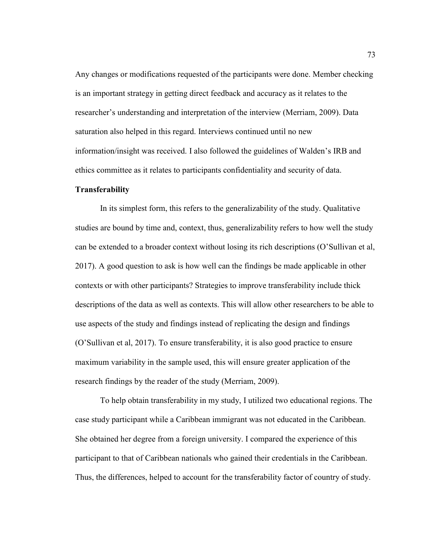Any changes or modifications requested of the participants were done. Member checking is an important strategy in getting direct feedback and accuracy as it relates to the researcher's understanding and interpretation of the interview (Merriam, 2009). Data saturation also helped in this regard. Interviews continued until no new information/insight was received. I also followed the guidelines of Walden's IRB and ethics committee as it relates to participants confidentiality and security of data.

### **Transferability**

In its simplest form, this refers to the generalizability of the study. Qualitative studies are bound by time and, context, thus, generalizability refers to how well the study can be extended to a broader context without losing its rich descriptions (O'Sullivan et al, 2017). A good question to ask is how well can the findings be made applicable in other contexts or with other participants? Strategies to improve transferability include thick descriptions of the data as well as contexts. This will allow other researchers to be able to use aspects of the study and findings instead of replicating the design and findings (O'Sullivan et al, 2017). To ensure transferability, it is also good practice to ensure maximum variability in the sample used, this will ensure greater application of the research findings by the reader of the study (Merriam, 2009).

To help obtain transferability in my study, I utilized two educational regions. The case study participant while a Caribbean immigrant was not educated in the Caribbean. She obtained her degree from a foreign university. I compared the experience of this participant to that of Caribbean nationals who gained their credentials in the Caribbean. Thus, the differences, helped to account for the transferability factor of country of study.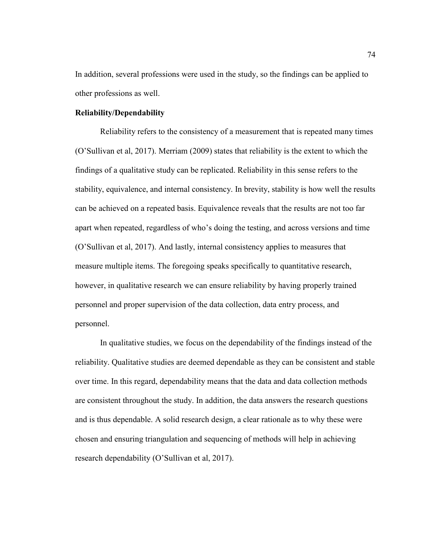In addition, several professions were used in the study, so the findings can be applied to other professions as well.

### **Reliability/Dependability**

Reliability refers to the consistency of a measurement that is repeated many times (O'Sullivan et al, 2017). Merriam (2009) states that reliability is the extent to which the findings of a qualitative study can be replicated. Reliability in this sense refers to the stability, equivalence, and internal consistency. In brevity, stability is how well the results can be achieved on a repeated basis. Equivalence reveals that the results are not too far apart when repeated, regardless of who's doing the testing, and across versions and time (O'Sullivan et al, 2017). And lastly, internal consistency applies to measures that measure multiple items. The foregoing speaks specifically to quantitative research, however, in qualitative research we can ensure reliability by having properly trained personnel and proper supervision of the data collection, data entry process, and personnel.

In qualitative studies, we focus on the dependability of the findings instead of the reliability. Qualitative studies are deemed dependable as they can be consistent and stable over time. In this regard, dependability means that the data and data collection methods are consistent throughout the study. In addition, the data answers the research questions and is thus dependable. A solid research design, a clear rationale as to why these were chosen and ensuring triangulation and sequencing of methods will help in achieving research dependability (O'Sullivan et al, 2017).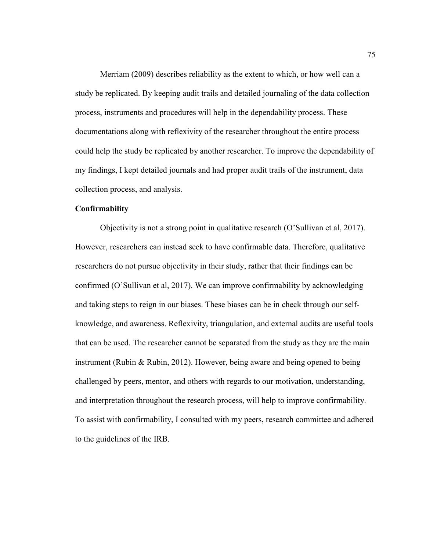Merriam (2009) describes reliability as the extent to which, or how well can a study be replicated. By keeping audit trails and detailed journaling of the data collection process, instruments and procedures will help in the dependability process. These documentations along with reflexivity of the researcher throughout the entire process could help the study be replicated by another researcher. To improve the dependability of my findings, I kept detailed journals and had proper audit trails of the instrument, data collection process, and analysis.

# **Confirmability**

Objectivity is not a strong point in qualitative research (O'Sullivan et al, 2017). However, researchers can instead seek to have confirmable data. Therefore, qualitative researchers do not pursue objectivity in their study, rather that their findings can be confirmed (O'Sullivan et al, 2017). We can improve confirmability by acknowledging and taking steps to reign in our biases. These biases can be in check through our selfknowledge, and awareness. Reflexivity, triangulation, and external audits are useful tools that can be used. The researcher cannot be separated from the study as they are the main instrument (Rubin & Rubin, 2012). However, being aware and being opened to being challenged by peers, mentor, and others with regards to our motivation, understanding, and interpretation throughout the research process, will help to improve confirmability. To assist with confirmability, I consulted with my peers, research committee and adhered to the guidelines of the IRB.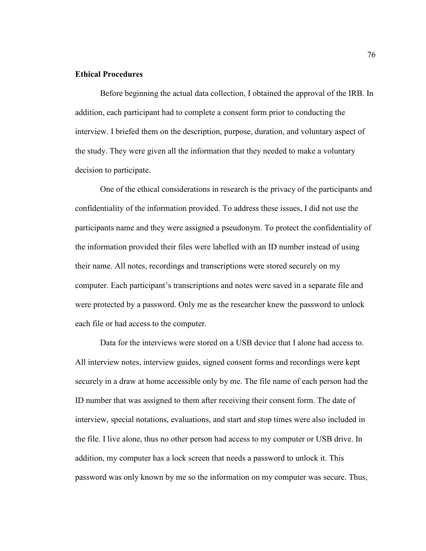# **Ethical Procedures**

Before beginning the actual data collection, I obtained the approval of the IRB. In addition, each participant had to complete a consent form prior to conducting the interview. I briefed them on the description, purpose, duration, and voluntary aspect of the study. They were given all the information that they needed to make a voluntary decision to participate.

One of the ethical considerations in research is the privacy of the participants and confidentiality of the information provided. To address these issues, I did not use the participants name and they were assigned a pseudonym. To protect the confidentiality of the information provided their files were labelled with an ID number instead of using their name. All notes, recordings and transcriptions were stored securely on my computer. Each participant's transcriptions and notes were saved in a separate file and were protected by a password. Only me as the researcher knew the password to unlock each file or had access to the computer.

Data for the interviews were stored on a USB device that I alone had access to. All interview notes, interview guides, signed consent forms and recordings were kept securely in a draw at home accessible only by me. The file name of each person had the ID number that was assigned to them after receiving their consent form. The date of interview, special notations, evaluations, and start and stop times were also included in the file. I live alone, thus no other person had access to my computer or USB drive. In addition, my computer has a lock screen that needs a password to unlock it. This password was only known by me so the information on my computer was secure. Thus,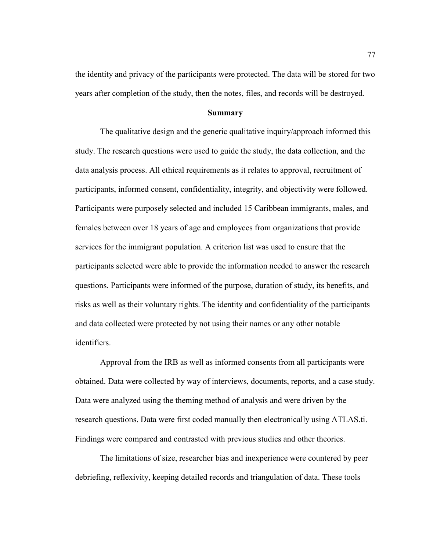the identity and privacy of the participants were protected. The data will be stored for two years after completion of the study, then the notes, files, and records will be destroyed.

### **Summary**

The qualitative design and the generic qualitative inquiry/approach informed this study. The research questions were used to guide the study, the data collection, and the data analysis process. All ethical requirements as it relates to approval, recruitment of participants, informed consent, confidentiality, integrity, and objectivity were followed. Participants were purposely selected and included 15 Caribbean immigrants, males, and females between over 18 years of age and employees from organizations that provide services for the immigrant population. A criterion list was used to ensure that the participants selected were able to provide the information needed to answer the research questions. Participants were informed of the purpose, duration of study, its benefits, and risks as well as their voluntary rights. The identity and confidentiality of the participants and data collected were protected by not using their names or any other notable identifiers.

Approval from the IRB as well as informed consents from all participants were obtained. Data were collected by way of interviews, documents, reports, and a case study. Data were analyzed using the theming method of analysis and were driven by the research questions. Data were first coded manually then electronically using ATLAS.ti. Findings were compared and contrasted with previous studies and other theories.

The limitations of size, researcher bias and inexperience were countered by peer debriefing, reflexivity, keeping detailed records and triangulation of data. These tools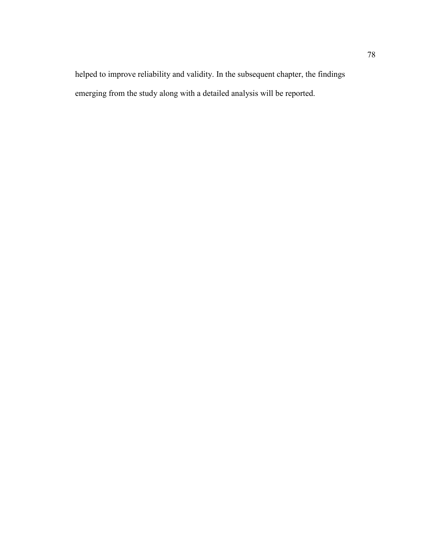helped to improve reliability and validity. In the subsequent chapter, the findings emerging from the study along with a detailed analysis will be reported.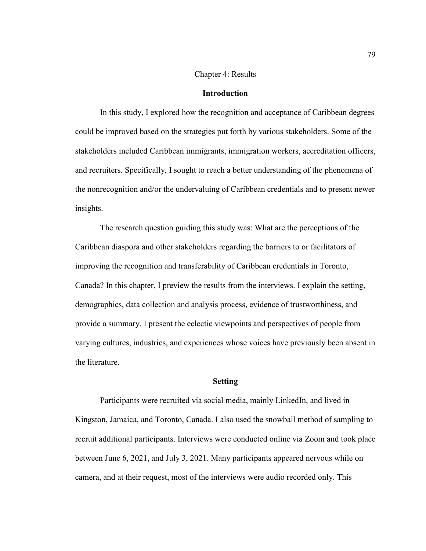#### Chapter 4: Results

## **Introduction**

In this study, I explored how the recognition and acceptance of Caribbean degrees could be improved based on the strategies put forth by various stakeholders. Some of the stakeholders included Caribbean immigrants, immigration workers, accreditation officers, and recruiters. Specifically, I sought to reach a better understanding of the phenomena of the nonrecognition and/or the undervaluing of Caribbean credentials and to present newer insights.

The research question guiding this study was: What are the perceptions of the Caribbean diaspora and other stakeholders regarding the barriers to or facilitators of improving the recognition and transferability of Caribbean credentials in Toronto, Canada? In this chapter, I preview the results from the interviews. I explain the setting, demographics, data collection and analysis process, evidence of trustworthiness, and provide a summary. I present the eclectic viewpoints and perspectives of people from varying cultures, industries, and experiences whose voices have previously been absent in the literature.

#### **Setting**

Participants were recruited via social media, mainly LinkedIn, and lived in Kingston, Jamaica, and Toronto, Canada. I also used the snowball method of sampling to recruit additional participants. Interviews were conducted online via Zoom and took place between June 6, 2021, and July 3, 2021. Many participants appeared nervous while on camera, and at their request, most of the interviews were audio recorded only. This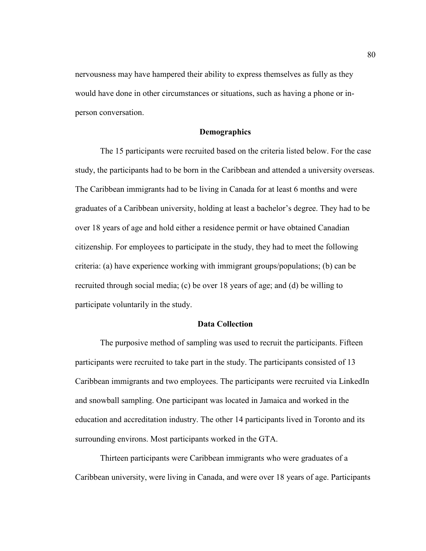nervousness may have hampered their ability to express themselves as fully as they would have done in other circumstances or situations, such as having a phone or inperson conversation.

## **Demographics**

The 15 participants were recruited based on the criteria listed below. For the case study, the participants had to be born in the Caribbean and attended a university overseas. The Caribbean immigrants had to be living in Canada for at least 6 months and were graduates of a Caribbean university, holding at least a bachelor's degree. They had to be over 18 years of age and hold either a residence permit or have obtained Canadian citizenship. For employees to participate in the study, they had to meet the following criteria: (a) have experience working with immigrant groups/populations; (b) can be recruited through social media; (c) be over 18 years of age; and (d) be willing to participate voluntarily in the study.

### **Data Collection**

The purposive method of sampling was used to recruit the participants. Fifteen participants were recruited to take part in the study. The participants consisted of 13 Caribbean immigrants and two employees. The participants were recruited via LinkedIn and snowball sampling. One participant was located in Jamaica and worked in the education and accreditation industry. The other 14 participants lived in Toronto and its surrounding environs. Most participants worked in the GTA.

Thirteen participants were Caribbean immigrants who were graduates of a Caribbean university, were living in Canada, and were over 18 years of age. Participants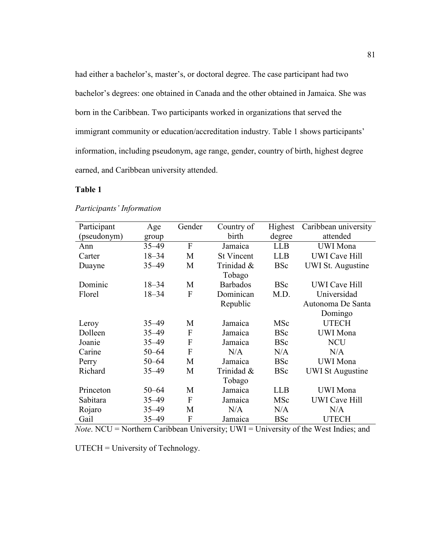had either a bachelor's, master's, or doctoral degree. The case participant had two bachelor's degrees: one obtained in Canada and the other obtained in Jamaica. She was born in the Caribbean. Two participants worked in organizations that served the immigrant community or education/accreditation industry. Table 1 shows participants' information, including pseudonym, age range, gender, country of birth, highest degree earned, and Caribbean university attended.

# **Table 1**

| Participant | Age       | Gender | Country of        | Highest    | Caribbean university     |  |
|-------------|-----------|--------|-------------------|------------|--------------------------|--|
| (pseudonym) | group     |        | birth             | degree     | attended                 |  |
| Ann         | $35 - 49$ | F      | Jamaica           | <b>LLB</b> | <b>UWI</b> Mona          |  |
| Carter      | $18 - 34$ | M      | <b>St Vincent</b> | <b>LLB</b> | <b>UWI</b> Cave Hill     |  |
| Duayne      | $35 - 49$ | M      | Trinidad &        | <b>BSc</b> | <b>UWI St. Augustine</b> |  |
|             |           |        | Tobago            |            |                          |  |
| Dominic     | $18 - 34$ | M      | <b>Barbados</b>   | <b>BSc</b> | <b>UWI</b> Cave Hill     |  |
| Florel      | $18 - 34$ | F      | Dominican         | M.D.       | Universidad              |  |
|             |           |        | Republic          |            | Autonoma De Santa        |  |
|             |           |        |                   |            | Domingo                  |  |
| Leroy       | $35 - 49$ | M      | Jamaica           | MSc        | <b>UTECH</b>             |  |
| Dolleen     | $35 - 49$ | F      | Jamaica           | <b>BSc</b> | <b>UWI</b> Mona          |  |
| Joanie      | $35 - 49$ | F      | Jamaica           | <b>BSc</b> | <b>NCU</b>               |  |
| Carine      | $50 - 64$ | F      | N/A               | N/A        | N/A                      |  |
| Perry       | $50 - 64$ | M      | Jamaica           | <b>BSc</b> | <b>UWI</b> Mona          |  |
| Richard     | $35 - 49$ | M      | Trinidad &        | <b>BSc</b> | <b>UWI St Augustine</b>  |  |
|             |           |        | Tobago            |            |                          |  |
| Princeton   | $50 - 64$ | M      | Jamaica           | <b>LLB</b> | <b>UWI</b> Mona          |  |
| Sabitara    | $35 - 49$ | F      | Jamaica           | MSc        | <b>UWI</b> Cave Hill     |  |
| Rojaro      | $35 - 49$ | M      | N/A               | N/A        | N/A                      |  |
| Gail        | $35 - 49$ | F      | Jamaica           | <b>BSc</b> | <b>UTECH</b>             |  |

## *Participants' Information*

*Note*. NCU = Northern Caribbean University; UWI = University of the West Indies; and

UTECH = University of Technology.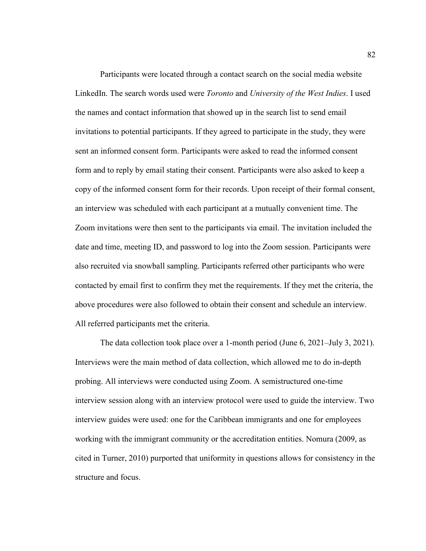Participants were located through a contact search on the social media website LinkedIn. The search words used were *Toronto* and *University of the West Indies*. I used the names and contact information that showed up in the search list to send email invitations to potential participants. If they agreed to participate in the study, they were sent an informed consent form. Participants were asked to read the informed consent form and to reply by email stating their consent. Participants were also asked to keep a copy of the informed consent form for their records. Upon receipt of their formal consent, an interview was scheduled with each participant at a mutually convenient time. The Zoom invitations were then sent to the participants via email. The invitation included the date and time, meeting ID, and password to log into the Zoom session. Participants were also recruited via snowball sampling. Participants referred other participants who were contacted by email first to confirm they met the requirements. If they met the criteria, the above procedures were also followed to obtain their consent and schedule an interview. All referred participants met the criteria.

The data collection took place over a 1-month period (June 6, 2021–July 3, 2021). Interviews were the main method of data collection, which allowed me to do in-depth probing. All interviews were conducted using Zoom. A semistructured one-time interview session along with an interview protocol were used to guide the interview. Two interview guides were used: one for the Caribbean immigrants and one for employees working with the immigrant community or the accreditation entities. Nomura (2009, as cited in Turner, 2010) purported that uniformity in questions allows for consistency in the structure and focus.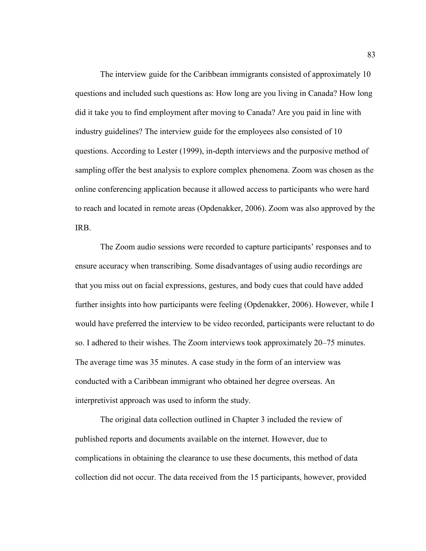The interview guide for the Caribbean immigrants consisted of approximately 10 questions and included such questions as: How long are you living in Canada? How long did it take you to find employment after moving to Canada? Are you paid in line with industry guidelines? The interview guide for the employees also consisted of 10 questions. According to Lester (1999), in-depth interviews and the purposive method of sampling offer the best analysis to explore complex phenomena. Zoom was chosen as the online conferencing application because it allowed access to participants who were hard to reach and located in remote areas (Opdenakker, 2006). Zoom was also approved by the IRB.

The Zoom audio sessions were recorded to capture participants' responses and to ensure accuracy when transcribing. Some disadvantages of using audio recordings are that you miss out on facial expressions, gestures, and body cues that could have added further insights into how participants were feeling (Opdenakker, 2006). However, while I would have preferred the interview to be video recorded, participants were reluctant to do so. I adhered to their wishes. The Zoom interviews took approximately 20–75 minutes. The average time was 35 minutes. A case study in the form of an interview was conducted with a Caribbean immigrant who obtained her degree overseas. An interpretivist approach was used to inform the study.

The original data collection outlined in Chapter 3 included the review of published reports and documents available on the internet. However, due to complications in obtaining the clearance to use these documents, this method of data collection did not occur. The data received from the 15 participants, however, provided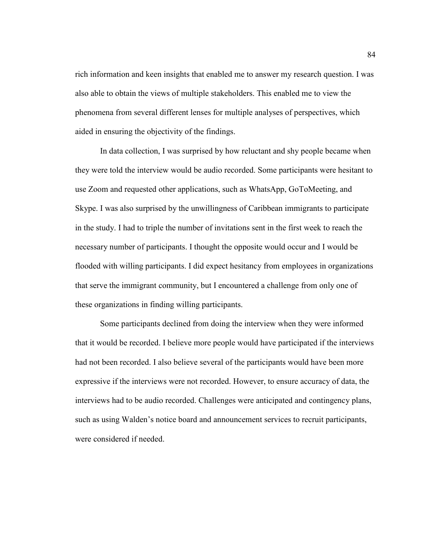rich information and keen insights that enabled me to answer my research question. I was also able to obtain the views of multiple stakeholders. This enabled me to view the phenomena from several different lenses for multiple analyses of perspectives, which aided in ensuring the objectivity of the findings.

In data collection, I was surprised by how reluctant and shy people became when they were told the interview would be audio recorded. Some participants were hesitant to use Zoom and requested other applications, such as WhatsApp, GoToMeeting, and Skype. I was also surprised by the unwillingness of Caribbean immigrants to participate in the study. I had to triple the number of invitations sent in the first week to reach the necessary number of participants. I thought the opposite would occur and I would be flooded with willing participants. I did expect hesitancy from employees in organizations that serve the immigrant community, but I encountered a challenge from only one of these organizations in finding willing participants.

Some participants declined from doing the interview when they were informed that it would be recorded. I believe more people would have participated if the interviews had not been recorded. I also believe several of the participants would have been more expressive if the interviews were not recorded. However, to ensure accuracy of data, the interviews had to be audio recorded. Challenges were anticipated and contingency plans, such as using Walden's notice board and announcement services to recruit participants, were considered if needed.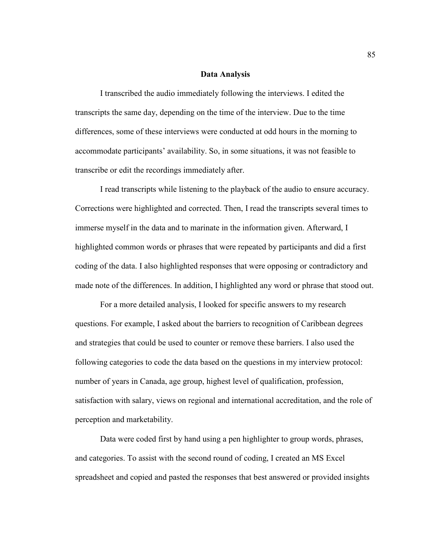#### **Data Analysis**

I transcribed the audio immediately following the interviews. I edited the transcripts the same day, depending on the time of the interview. Due to the time differences, some of these interviews were conducted at odd hours in the morning to accommodate participants' availability. So, in some situations, it was not feasible to transcribe or edit the recordings immediately after.

I read transcripts while listening to the playback of the audio to ensure accuracy. Corrections were highlighted and corrected. Then, I read the transcripts several times to immerse myself in the data and to marinate in the information given. Afterward, I highlighted common words or phrases that were repeated by participants and did a first coding of the data. I also highlighted responses that were opposing or contradictory and made note of the differences. In addition, I highlighted any word or phrase that stood out.

For a more detailed analysis, I looked for specific answers to my research questions. For example, I asked about the barriers to recognition of Caribbean degrees and strategies that could be used to counter or remove these barriers. I also used the following categories to code the data based on the questions in my interview protocol: number of years in Canada, age group, highest level of qualification, profession, satisfaction with salary, views on regional and international accreditation, and the role of perception and marketability.

Data were coded first by hand using a pen highlighter to group words, phrases, and categories. To assist with the second round of coding, I created an MS Excel spreadsheet and copied and pasted the responses that best answered or provided insights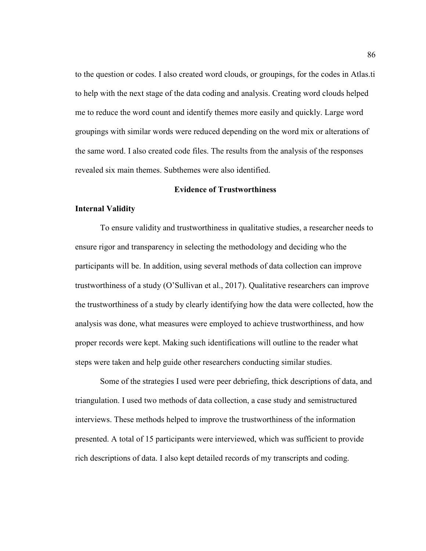to the question or codes. I also created word clouds, or groupings, for the codes in Atlas.ti to help with the next stage of the data coding and analysis. Creating word clouds helped me to reduce the word count and identify themes more easily and quickly. Large word groupings with similar words were reduced depending on the word mix or alterations of the same word. I also created code files. The results from the analysis of the responses revealed six main themes. Subthemes were also identified.

### **Evidence of Trustworthiness**

### **Internal Validity**

To ensure validity and trustworthiness in qualitative studies, a researcher needs to ensure rigor and transparency in selecting the methodology and deciding who the participants will be. In addition, using several methods of data collection can improve trustworthiness of a study (O'Sullivan et al., 2017). Qualitative researchers can improve the trustworthiness of a study by clearly identifying how the data were collected, how the analysis was done, what measures were employed to achieve trustworthiness, and how proper records were kept. Making such identifications will outline to the reader what steps were taken and help guide other researchers conducting similar studies.

Some of the strategies I used were peer debriefing, thick descriptions of data, and triangulation. I used two methods of data collection, a case study and semistructured interviews. These methods helped to improve the trustworthiness of the information presented. A total of 15 participants were interviewed, which was sufficient to provide rich descriptions of data. I also kept detailed records of my transcripts and coding.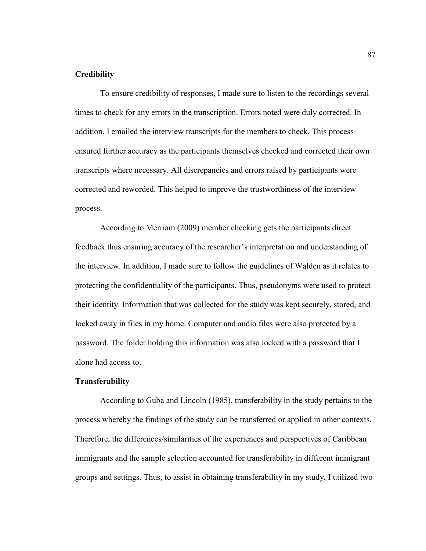# **Credibility**

To ensure credibility of responses, I made sure to listen to the recordings several times to check for any errors in the transcription. Errors noted were duly corrected. In addition, I emailed the interview transcripts for the members to check. This process ensured further accuracy as the participants themselves checked and corrected their own transcripts where necessary. All discrepancies and errors raised by participants were corrected and reworded. This helped to improve the trustworthiness of the interview process.

According to Merriam (2009) member checking gets the participants direct feedback thus ensuring accuracy of the researcher's interpretation and understanding of the interview. In addition, I made sure to follow the guidelines of Walden as it relates to protecting the confidentiality of the participants. Thus, pseudonyms were used to protect their identity. Information that was collected for the study was kept securely, stored, and locked away in files in my home. Computer and audio files were also protected by a password. The folder holding this information was also locked with a password that I alone had access to.

### **Transferability**

According to Guba and Lincoln (1985), transferability in the study pertains to the process whereby the findings of the study can be transferred or applied in other contexts. Therefore, the differences/similarities of the experiences and perspectives of Caribbean immigrants and the sample selection accounted for transferability in different immigrant groups and settings. Thus, to assist in obtaining transferability in my study, I utilized two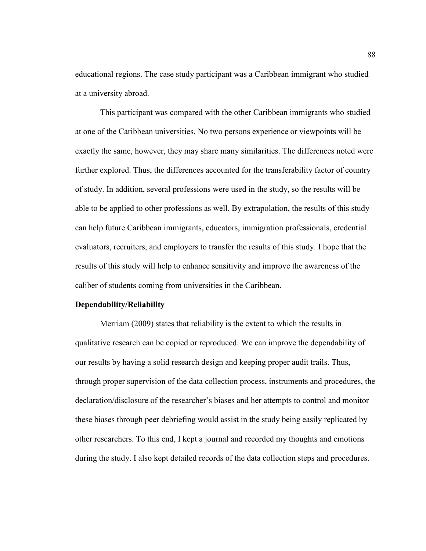educational regions. The case study participant was a Caribbean immigrant who studied at a university abroad.

This participant was compared with the other Caribbean immigrants who studied at one of the Caribbean universities. No two persons experience or viewpoints will be exactly the same, however, they may share many similarities. The differences noted were further explored. Thus, the differences accounted for the transferability factor of country of study. In addition, several professions were used in the study, so the results will be able to be applied to other professions as well. By extrapolation, the results of this study can help future Caribbean immigrants, educators, immigration professionals, credential evaluators, recruiters, and employers to transfer the results of this study. I hope that the results of this study will help to enhance sensitivity and improve the awareness of the caliber of students coming from universities in the Caribbean.

### **Dependability/Reliability**

Merriam (2009) states that reliability is the extent to which the results in qualitative research can be copied or reproduced. We can improve the dependability of our results by having a solid research design and keeping proper audit trails. Thus, through proper supervision of the data collection process, instruments and procedures, the declaration/disclosure of the researcher's biases and her attempts to control and monitor these biases through peer debriefing would assist in the study being easily replicated by other researchers. To this end, I kept a journal and recorded my thoughts and emotions during the study. I also kept detailed records of the data collection steps and procedures.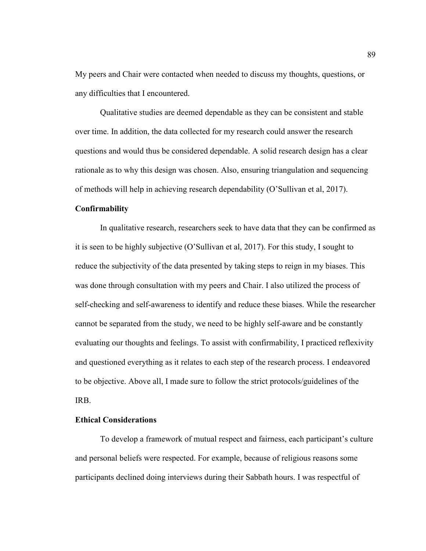My peers and Chair were contacted when needed to discuss my thoughts, questions, or any difficulties that I encountered.

Qualitative studies are deemed dependable as they can be consistent and stable over time. In addition, the data collected for my research could answer the research questions and would thus be considered dependable. A solid research design has a clear rationale as to why this design was chosen. Also, ensuring triangulation and sequencing of methods will help in achieving research dependability (O'Sullivan et al, 2017).

## **Confirmability**

In qualitative research, researchers seek to have data that they can be confirmed as it is seen to be highly subjective (O'Sullivan et al, 2017). For this study, I sought to reduce the subjectivity of the data presented by taking steps to reign in my biases. This was done through consultation with my peers and Chair. I also utilized the process of self-checking and self-awareness to identify and reduce these biases. While the researcher cannot be separated from the study, we need to be highly self-aware and be constantly evaluating our thoughts and feelings. To assist with confirmability, I practiced reflexivity and questioned everything as it relates to each step of the research process. I endeavored to be objective. Above all, I made sure to follow the strict protocols/guidelines of the IRB.

## **Ethical Considerations**

To develop a framework of mutual respect and fairness, each participant's culture and personal beliefs were respected. For example, because of religious reasons some participants declined doing interviews during their Sabbath hours. I was respectful of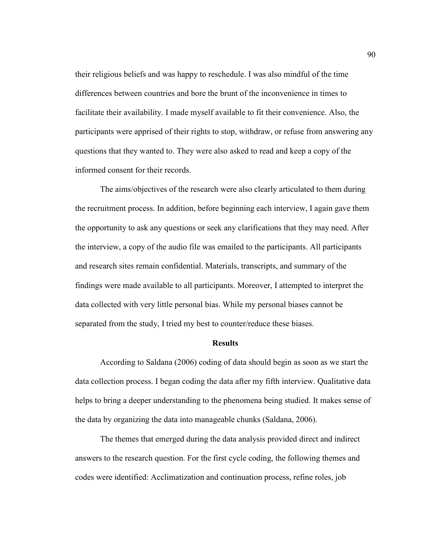their religious beliefs and was happy to reschedule. I was also mindful of the time differences between countries and bore the brunt of the inconvenience in times to facilitate their availability. I made myself available to fit their convenience. Also, the participants were apprised of their rights to stop, withdraw, or refuse from answering any questions that they wanted to. They were also asked to read and keep a copy of the informed consent for their records.

The aims/objectives of the research were also clearly articulated to them during the recruitment process. In addition, before beginning each interview, I again gave them the opportunity to ask any questions or seek any clarifications that they may need. After the interview, a copy of the audio file was emailed to the participants. All participants and research sites remain confidential. Materials, transcripts, and summary of the findings were made available to all participants. Moreover, I attempted to interpret the data collected with very little personal bias. While my personal biases cannot be separated from the study, I tried my best to counter/reduce these biases.

#### **Results**

According to Saldana (2006) coding of data should begin as soon as we start the data collection process. I began coding the data after my fifth interview. Qualitative data helps to bring a deeper understanding to the phenomena being studied. It makes sense of the data by organizing the data into manageable chunks (Saldana, 2006).

The themes that emerged during the data analysis provided direct and indirect answers to the research question. For the first cycle coding, the following themes and codes were identified: Acclimatization and continuation process, refine roles, job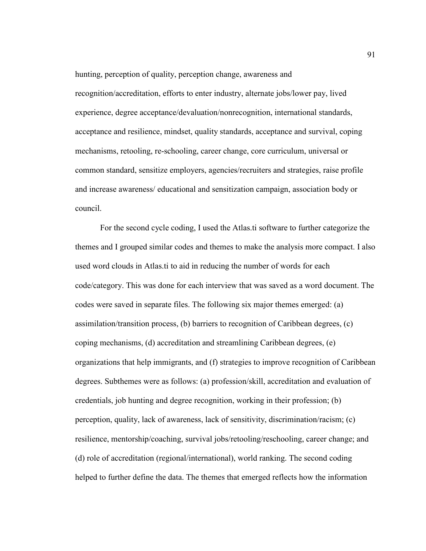hunting, perception of quality, perception change, awareness and recognition/accreditation, efforts to enter industry, alternate jobs/lower pay, lived experience, degree acceptance/devaluation/nonrecognition, international standards, acceptance and resilience, mindset, quality standards, acceptance and survival, coping mechanisms, retooling, re-schooling, career change, core curriculum, universal or common standard, sensitize employers, agencies/recruiters and strategies, raise profile and increase awareness/ educational and sensitization campaign, association body or council.

For the second cycle coding, I used the Atlas.ti software to further categorize the themes and I grouped similar codes and themes to make the analysis more compact. I also used word clouds in Atlas.ti to aid in reducing the number of words for each code/category. This was done for each interview that was saved as a word document. The codes were saved in separate files. The following six major themes emerged: (a) assimilation/transition process, (b) barriers to recognition of Caribbean degrees, (c) coping mechanisms, (d) accreditation and streamlining Caribbean degrees, (e) organizations that help immigrants, and (f) strategies to improve recognition of Caribbean degrees. Subthemes were as follows: (a) profession/skill, accreditation and evaluation of credentials, job hunting and degree recognition, working in their profession; (b) perception, quality, lack of awareness, lack of sensitivity, discrimination/racism; (c) resilience, mentorship/coaching, survival jobs/retooling/reschooling, career change; and (d) role of accreditation (regional/international), world ranking. The second coding helped to further define the data. The themes that emerged reflects how the information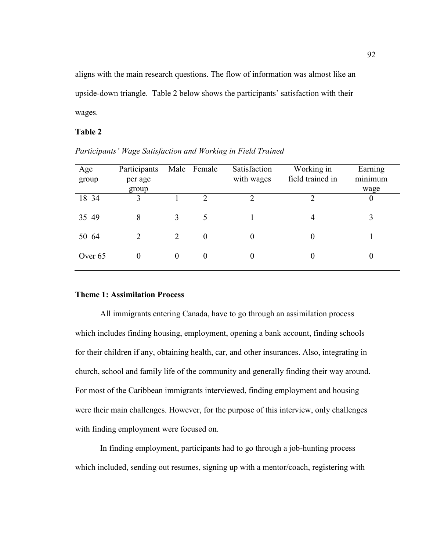aligns with the main research questions. The flow of information was almost like an upside-down triangle. Table 2 below shows the participants' satisfaction with their wages.

## **Table 2**

| Age<br>group | Participants<br>per age<br>group |          | Male Female | Satisfaction<br>with wages | Working in<br>field trained in | Earning<br>minimum<br>wage |
|--------------|----------------------------------|----------|-------------|----------------------------|--------------------------------|----------------------------|
| $18 - 34$    | 3                                |          | C           | C                          | っ                              | $\boldsymbol{0}$           |
| $35 - 49$    | 8                                | 3        | 5           |                            | 4                              | 3                          |
| $50 - 64$    | 2                                | 2        | $\theta$    | 0                          | $\overline{0}$                 |                            |
| Over 65      | $\overline{0}$                   | $\theta$ | $\theta$    | $\theta$                   | 0                              | 0                          |

*Participants' Wage Satisfaction and Working in Field Trained* 

### **Theme 1: Assimilation Process**

All immigrants entering Canada, have to go through an assimilation process which includes finding housing, employment, opening a bank account, finding schools for their children if any, obtaining health, car, and other insurances. Also, integrating in church, school and family life of the community and generally finding their way around. For most of the Caribbean immigrants interviewed, finding employment and housing were their main challenges. However, for the purpose of this interview, only challenges with finding employment were focused on.

In finding employment, participants had to go through a job-hunting process which included, sending out resumes, signing up with a mentor/coach, registering with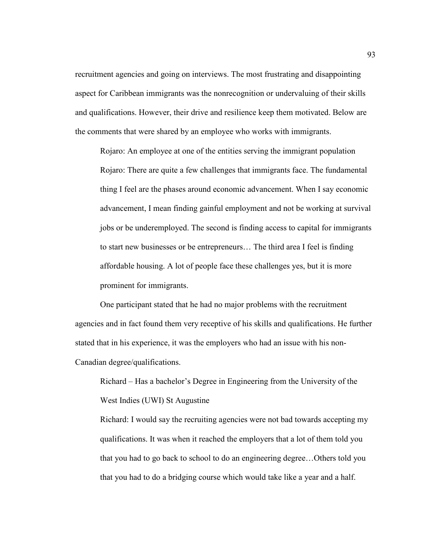recruitment agencies and going on interviews. The most frustrating and disappointing aspect for Caribbean immigrants was the nonrecognition or undervaluing of their skills and qualifications. However, their drive and resilience keep them motivated. Below are the comments that were shared by an employee who works with immigrants.

Rojaro: An employee at one of the entities serving the immigrant population Rojaro: There are quite a few challenges that immigrants face. The fundamental thing I feel are the phases around economic advancement. When I say economic advancement, I mean finding gainful employment and not be working at survival jobs or be underemployed. The second is finding access to capital for immigrants to start new businesses or be entrepreneurs… The third area I feel is finding affordable housing. A lot of people face these challenges yes, but it is more prominent for immigrants.

One participant stated that he had no major problems with the recruitment agencies and in fact found them very receptive of his skills and qualifications. He further stated that in his experience, it was the employers who had an issue with his non-Canadian degree/qualifications.

Richard – Has a bachelor's Degree in Engineering from the University of the West Indies (UWI) St Augustine

Richard: I would say the recruiting agencies were not bad towards accepting my qualifications. It was when it reached the employers that a lot of them told you that you had to go back to school to do an engineering degree…Others told you that you had to do a bridging course which would take like a year and a half.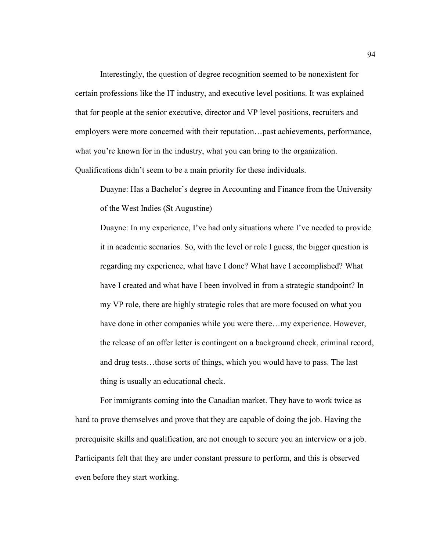Interestingly, the question of degree recognition seemed to be nonexistent for certain professions like the IT industry, and executive level positions. It was explained that for people at the senior executive, director and VP level positions, recruiters and employers were more concerned with their reputation…past achievements, performance, what you're known for in the industry, what you can bring to the organization. Qualifications didn't seem to be a main priority for these individuals.

Duayne: Has a Bachelor's degree in Accounting and Finance from the University of the West Indies (St Augustine)

Duayne: In my experience, I've had only situations where I've needed to provide it in academic scenarios. So, with the level or role I guess, the bigger question is regarding my experience, what have I done? What have I accomplished? What have I created and what have I been involved in from a strategic standpoint? In my VP role, there are highly strategic roles that are more focused on what you have done in other companies while you were there...my experience. However, the release of an offer letter is contingent on a background check, criminal record, and drug tests…those sorts of things, which you would have to pass. The last thing is usually an educational check.

For immigrants coming into the Canadian market. They have to work twice as hard to prove themselves and prove that they are capable of doing the job. Having the prerequisite skills and qualification, are not enough to secure you an interview or a job. Participants felt that they are under constant pressure to perform, and this is observed even before they start working.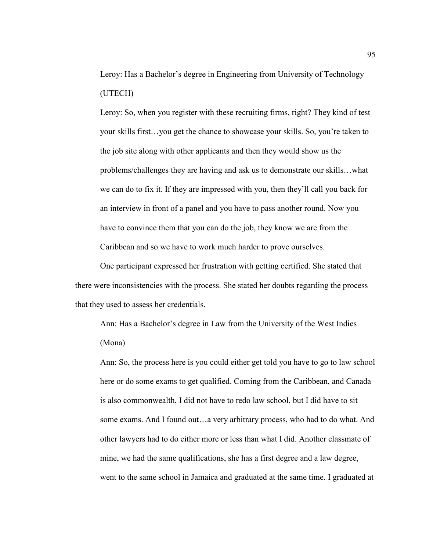Leroy: Has a Bachelor's degree in Engineering from University of Technology (UTECH)

Leroy: So, when you register with these recruiting firms, right? They kind of test your skills first…you get the chance to showcase your skills. So, you're taken to the job site along with other applicants and then they would show us the problems/challenges they are having and ask us to demonstrate our skills…what we can do to fix it. If they are impressed with you, then they'll call you back for an interview in front of a panel and you have to pass another round. Now you have to convince them that you can do the job, they know we are from the Caribbean and so we have to work much harder to prove ourselves.

One participant expressed her frustration with getting certified. She stated that there were inconsistencies with the process. She stated her doubts regarding the process that they used to assess her credentials.

Ann: Has a Bachelor's degree in Law from the University of the West Indies (Mona)

Ann: So, the process here is you could either get told you have to go to law school here or do some exams to get qualified. Coming from the Caribbean, and Canada is also commonwealth, I did not have to redo law school, but I did have to sit some exams. And I found out…a very arbitrary process, who had to do what. And other lawyers had to do either more or less than what I did. Another classmate of mine, we had the same qualifications, she has a first degree and a law degree, went to the same school in Jamaica and graduated at the same time. I graduated at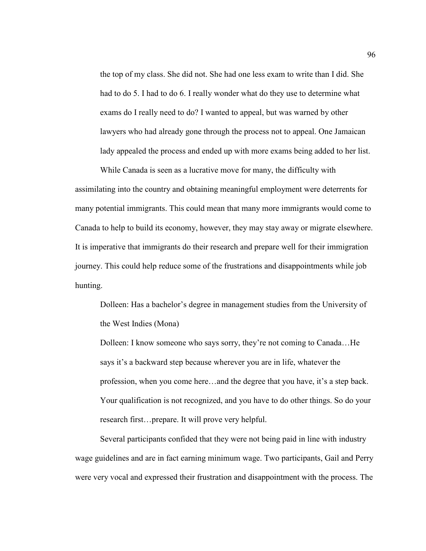the top of my class. She did not. She had one less exam to write than I did. She had to do 5. I had to do 6. I really wonder what do they use to determine what exams do I really need to do? I wanted to appeal, but was warned by other lawyers who had already gone through the process not to appeal. One Jamaican lady appealed the process and ended up with more exams being added to her list.

While Canada is seen as a lucrative move for many, the difficulty with assimilating into the country and obtaining meaningful employment were deterrents for many potential immigrants. This could mean that many more immigrants would come to Canada to help to build its economy, however, they may stay away or migrate elsewhere. It is imperative that immigrants do their research and prepare well for their immigration journey. This could help reduce some of the frustrations and disappointments while job hunting.

Dolleen: Has a bachelor's degree in management studies from the University of the West Indies (Mona)

Dolleen: I know someone who says sorry, they're not coming to Canada…He says it's a backward step because wherever you are in life, whatever the profession, when you come here…and the degree that you have, it's a step back. Your qualification is not recognized, and you have to do other things. So do your research first…prepare. It will prove very helpful.

Several participants confided that they were not being paid in line with industry wage guidelines and are in fact earning minimum wage. Two participants, Gail and Perry were very vocal and expressed their frustration and disappointment with the process. The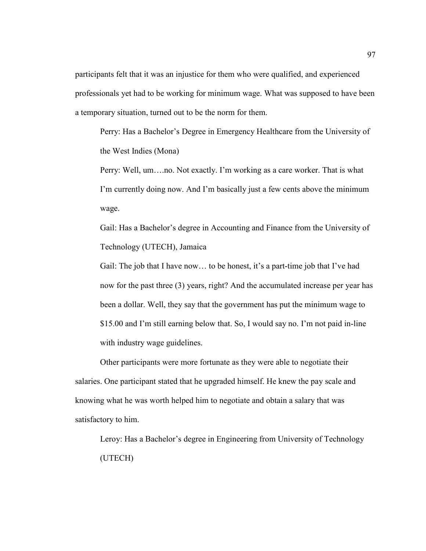participants felt that it was an injustice for them who were qualified, and experienced professionals yet had to be working for minimum wage. What was supposed to have been a temporary situation, turned out to be the norm for them.

Perry: Has a Bachelor's Degree in Emergency Healthcare from the University of the West Indies (Mona)

Perry: Well, um….no. Not exactly. I'm working as a care worker. That is what I'm currently doing now. And I'm basically just a few cents above the minimum wage.

Gail: Has a Bachelor's degree in Accounting and Finance from the University of Technology (UTECH), Jamaica

Gail: The job that I have now... to be honest, it's a part-time job that I've had now for the past three (3) years, right? And the accumulated increase per year has been a dollar. Well, they say that the government has put the minimum wage to \$15.00 and I'm still earning below that. So, I would say no. I'm not paid in-line with industry wage guidelines.

Other participants were more fortunate as they were able to negotiate their salaries. One participant stated that he upgraded himself. He knew the pay scale and knowing what he was worth helped him to negotiate and obtain a salary that was satisfactory to him.

Leroy: Has a Bachelor's degree in Engineering from University of Technology (UTECH)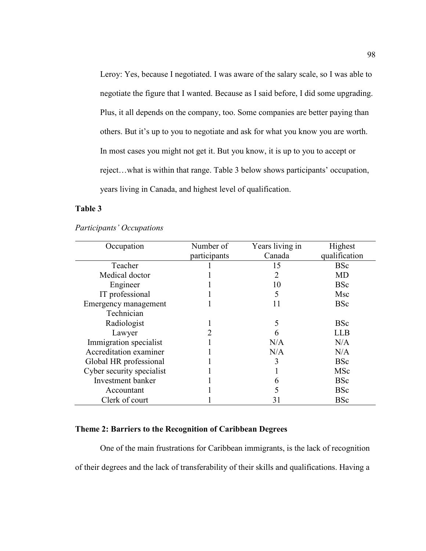Leroy: Yes, because I negotiated. I was aware of the salary scale, so I was able to negotiate the figure that I wanted. Because as I said before, I did some upgrading. Plus, it all depends on the company, too. Some companies are better paying than others. But it's up to you to negotiate and ask for what you know you are worth. In most cases you might not get it. But you know, it is up to you to accept or reject…what is within that range. Table 3 below shows participants' occupation, years living in Canada, and highest level of qualification.

# **Table 3**

| Occupation                | Number of    | Years living in | Highest       |
|---------------------------|--------------|-----------------|---------------|
|                           | participants | Canada          | qualification |
| Teacher                   |              | 15              | <b>BSc</b>    |
| Medical doctor            |              | 2               | MD            |
| Engineer                  |              | 10              | <b>BSc</b>    |
| IT professional           |              | 5               | Msc           |
| Emergency management      |              | 11              | <b>BSc</b>    |
| Technician                |              |                 |               |
| Radiologist               |              | 5               | <b>BSc</b>    |
| Lawyer                    |              | h               | LLB           |
| Immigration specialist    |              | N/A             | N/A           |
| Accreditation examiner    |              | N/A             | N/A           |
| Global HR professional    |              | 3               | <b>BSc</b>    |
| Cyber security specialist |              |                 | MSc           |
| Investment banker         |              | 6               | <b>BSc</b>    |
| Accountant                |              | 5               | <b>BSc</b>    |
| Clerk of court            |              | 31              | <b>BSc</b>    |

*Participants' Occupations* 

# **Theme 2: Barriers to the Recognition of Caribbean Degrees**

One of the main frustrations for Caribbean immigrants, is the lack of recognition of their degrees and the lack of transferability of their skills and qualifications. Having a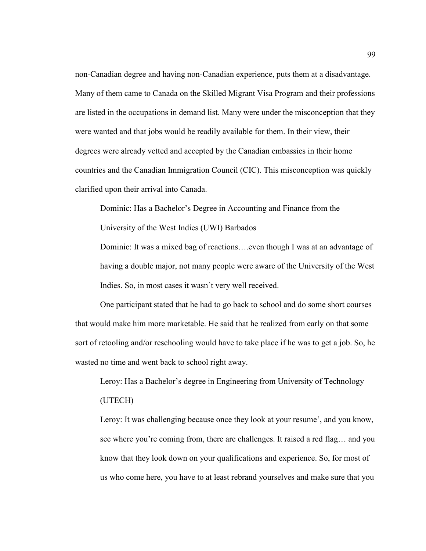non-Canadian degree and having non-Canadian experience, puts them at a disadvantage. Many of them came to Canada on the Skilled Migrant Visa Program and their professions are listed in the occupations in demand list. Many were under the misconception that they were wanted and that jobs would be readily available for them. In their view, their degrees were already vetted and accepted by the Canadian embassies in their home countries and the Canadian Immigration Council (CIC). This misconception was quickly clarified upon their arrival into Canada.

Dominic: Has a Bachelor's Degree in Accounting and Finance from the

University of the West Indies (UWI) Barbados

Dominic: It was a mixed bag of reactions….even though I was at an advantage of having a double major, not many people were aware of the University of the West Indies. So, in most cases it wasn't very well received.

One participant stated that he had to go back to school and do some short courses that would make him more marketable. He said that he realized from early on that some sort of retooling and/or reschooling would have to take place if he was to get a job. So, he wasted no time and went back to school right away.

Leroy: Has a Bachelor's degree in Engineering from University of Technology (UTECH)

Leroy: It was challenging because once they look at your resume', and you know, see where you're coming from, there are challenges. It raised a red flag… and you know that they look down on your qualifications and experience. So, for most of us who come here, you have to at least rebrand yourselves and make sure that you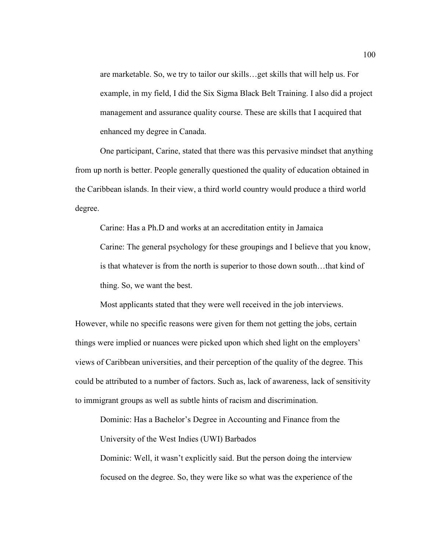are marketable. So, we try to tailor our skills…get skills that will help us. For example, in my field, I did the Six Sigma Black Belt Training. I also did a project management and assurance quality course. These are skills that I acquired that enhanced my degree in Canada.

One participant, Carine, stated that there was this pervasive mindset that anything from up north is better. People generally questioned the quality of education obtained in the Caribbean islands. In their view, a third world country would produce a third world degree.

Carine: Has a Ph.D and works at an accreditation entity in Jamaica Carine: The general psychology for these groupings and I believe that you know, is that whatever is from the north is superior to those down south…that kind of thing. So, we want the best.

Most applicants stated that they were well received in the job interviews. However, while no specific reasons were given for them not getting the jobs, certain things were implied or nuances were picked upon which shed light on the employers' views of Caribbean universities, and their perception of the quality of the degree. This could be attributed to a number of factors. Such as, lack of awareness, lack of sensitivity to immigrant groups as well as subtle hints of racism and discrimination.

Dominic: Has a Bachelor's Degree in Accounting and Finance from the University of the West Indies (UWI) Barbados

Dominic: Well, it wasn't explicitly said. But the person doing the interview focused on the degree. So, they were like so what was the experience of the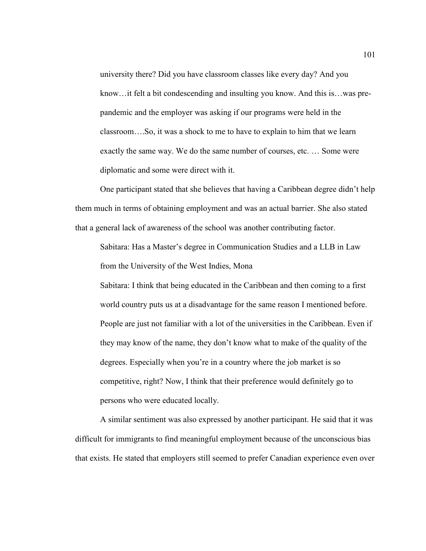university there? Did you have classroom classes like every day? And you know…it felt a bit condescending and insulting you know. And this is…was prepandemic and the employer was asking if our programs were held in the classroom….So, it was a shock to me to have to explain to him that we learn exactly the same way. We do the same number of courses, etc. … Some were diplomatic and some were direct with it.

One participant stated that she believes that having a Caribbean degree didn't help them much in terms of obtaining employment and was an actual barrier. She also stated that a general lack of awareness of the school was another contributing factor.

Sabitara: Has a Master's degree in Communication Studies and a LLB in Law from the University of the West Indies, Mona

Sabitara: I think that being educated in the Caribbean and then coming to a first world country puts us at a disadvantage for the same reason I mentioned before. People are just not familiar with a lot of the universities in the Caribbean. Even if they may know of the name, they don't know what to make of the quality of the degrees. Especially when you're in a country where the job market is so competitive, right? Now, I think that their preference would definitely go to persons who were educated locally.

A similar sentiment was also expressed by another participant. He said that it was difficult for immigrants to find meaningful employment because of the unconscious bias that exists. He stated that employers still seemed to prefer Canadian experience even over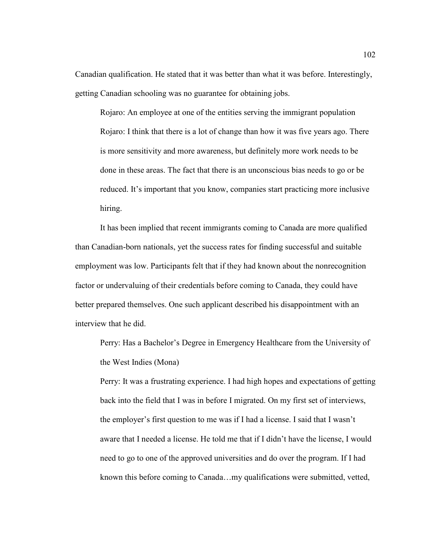Canadian qualification. He stated that it was better than what it was before. Interestingly, getting Canadian schooling was no guarantee for obtaining jobs.

Rojaro: An employee at one of the entities serving the immigrant population Rojaro: I think that there is a lot of change than how it was five years ago. There is more sensitivity and more awareness, but definitely more work needs to be done in these areas. The fact that there is an unconscious bias needs to go or be reduced. It's important that you know, companies start practicing more inclusive hiring.

It has been implied that recent immigrants coming to Canada are more qualified than Canadian-born nationals, yet the success rates for finding successful and suitable employment was low. Participants felt that if they had known about the nonrecognition factor or undervaluing of their credentials before coming to Canada, they could have better prepared themselves. One such applicant described his disappointment with an interview that he did.

Perry: Has a Bachelor's Degree in Emergency Healthcare from the University of the West Indies (Mona)

Perry: It was a frustrating experience. I had high hopes and expectations of getting back into the field that I was in before I migrated. On my first set of interviews, the employer's first question to me was if I had a license. I said that I wasn't aware that I needed a license. He told me that if I didn't have the license, I would need to go to one of the approved universities and do over the program. If I had known this before coming to Canada…my qualifications were submitted, vetted,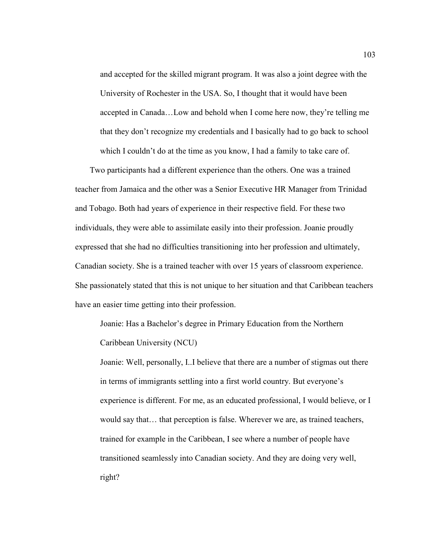and accepted for the skilled migrant program. It was also a joint degree with the University of Rochester in the USA. So, I thought that it would have been accepted in Canada…Low and behold when I come here now, they're telling me that they don't recognize my credentials and I basically had to go back to school which I couldn't do at the time as you know, I had a family to take care of.

 Two participants had a different experience than the others. One was a trained teacher from Jamaica and the other was a Senior Executive HR Manager from Trinidad and Tobago. Both had years of experience in their respective field. For these two individuals, they were able to assimilate easily into their profession. Joanie proudly expressed that she had no difficulties transitioning into her profession and ultimately, Canadian society. She is a trained teacher with over 15 years of classroom experience. She passionately stated that this is not unique to her situation and that Caribbean teachers have an easier time getting into their profession.

Joanie: Has a Bachelor's degree in Primary Education from the Northern Caribbean University (NCU)

Joanie: Well, personally, I..I believe that there are a number of stigmas out there in terms of immigrants settling into a first world country. But everyone's experience is different. For me, as an educated professional, I would believe, or I would say that… that perception is false. Wherever we are, as trained teachers, trained for example in the Caribbean, I see where a number of people have transitioned seamlessly into Canadian society. And they are doing very well, right?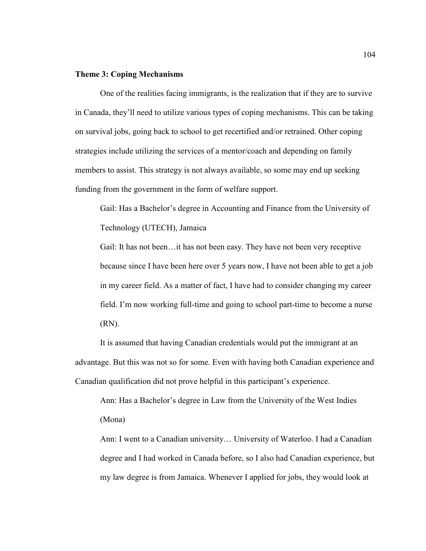## **Theme 3: Coping Mechanisms**

One of the realities facing immigrants, is the realization that if they are to survive in Canada, they'll need to utilize various types of coping mechanisms. This can be taking on survival jobs, going back to school to get recertified and/or retrained. Other coping strategies include utilizing the services of a mentor/coach and depending on family members to assist. This strategy is not always available, so some may end up seeking funding from the government in the form of welfare support.

Gail: Has a Bachelor's degree in Accounting and Finance from the University of Technology (UTECH), Jamaica

Gail: It has not been…it has not been easy. They have not been very receptive because since I have been here over 5 years now, I have not been able to get a job in my career field. As a matter of fact, I have had to consider changing my career field. I'm now working full-time and going to school part-time to become a nurse (RN).

It is assumed that having Canadian credentials would put the immigrant at an advantage. But this was not so for some. Even with having both Canadian experience and Canadian qualification did not prove helpful in this participant's experience.

Ann: Has a Bachelor's degree in Law from the University of the West Indies (Mona)

Ann: I went to a Canadian university… University of Waterloo. I had a Canadian degree and I had worked in Canada before, so I also had Canadian experience, but my law degree is from Jamaica. Whenever I applied for jobs, they would look at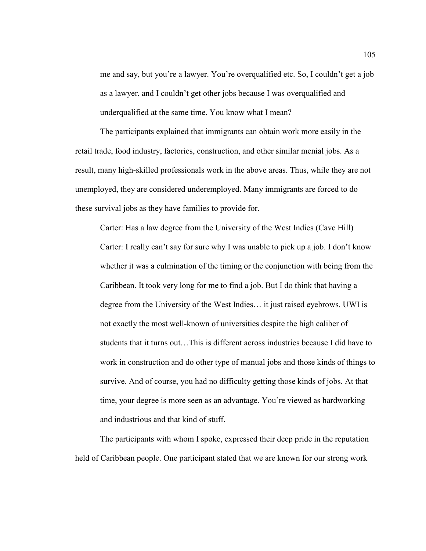me and say, but you're a lawyer. You're overqualified etc. So, I couldn't get a job as a lawyer, and I couldn't get other jobs because I was overqualified and underqualified at the same time. You know what I mean?

The participants explained that immigrants can obtain work more easily in the retail trade, food industry, factories, construction, and other similar menial jobs. As a result, many high-skilled professionals work in the above areas. Thus, while they are not unemployed, they are considered underemployed. Many immigrants are forced to do these survival jobs as they have families to provide for.

Carter: Has a law degree from the University of the West Indies (Cave Hill) Carter: I really can't say for sure why I was unable to pick up a job. I don't know whether it was a culmination of the timing or the conjunction with being from the Caribbean. It took very long for me to find a job. But I do think that having a degree from the University of the West Indies… it just raised eyebrows. UWI is not exactly the most well-known of universities despite the high caliber of students that it turns out…This is different across industries because I did have to work in construction and do other type of manual jobs and those kinds of things to survive. And of course, you had no difficulty getting those kinds of jobs. At that time, your degree is more seen as an advantage. You're viewed as hardworking and industrious and that kind of stuff.

The participants with whom I spoke, expressed their deep pride in the reputation held of Caribbean people. One participant stated that we are known for our strong work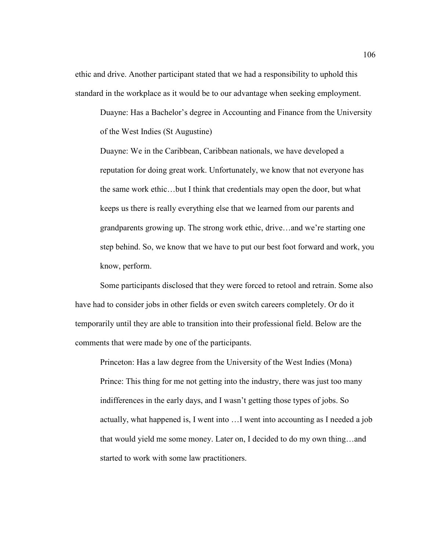ethic and drive. Another participant stated that we had a responsibility to uphold this standard in the workplace as it would be to our advantage when seeking employment.

Duayne: Has a Bachelor's degree in Accounting and Finance from the University of the West Indies (St Augustine)

Duayne: We in the Caribbean, Caribbean nationals, we have developed a reputation for doing great work. Unfortunately, we know that not everyone has the same work ethic…but I think that credentials may open the door, but what keeps us there is really everything else that we learned from our parents and grandparents growing up. The strong work ethic, drive…and we're starting one step behind. So, we know that we have to put our best foot forward and work, you know, perform.

Some participants disclosed that they were forced to retool and retrain. Some also have had to consider jobs in other fields or even switch careers completely. Or do it temporarily until they are able to transition into their professional field. Below are the comments that were made by one of the participants.

Princeton: Has a law degree from the University of the West Indies (Mona) Prince: This thing for me not getting into the industry, there was just too many indifferences in the early days, and I wasn't getting those types of jobs. So actually, what happened is, I went into …I went into accounting as I needed a job that would yield me some money. Later on, I decided to do my own thing…and started to work with some law practitioners.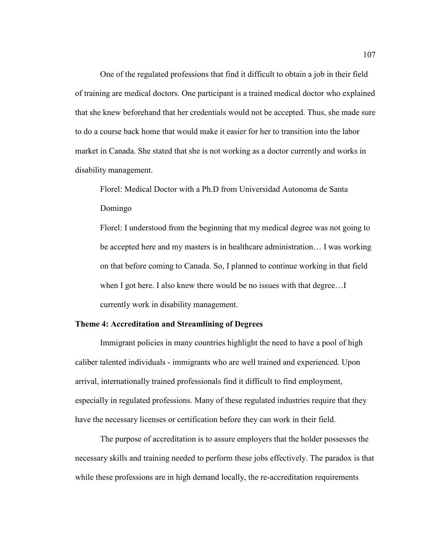One of the regulated professions that find it difficult to obtain a job in their field of training are medical doctors. One participant is a trained medical doctor who explained that she knew beforehand that her credentials would not be accepted. Thus, she made sure to do a course back home that would make it easier for her to transition into the labor market in Canada. She stated that she is not working as a doctor currently and works in disability management.

Florel: Medical Doctor with a Ph.D from Universidad Autonoma de Santa Domingo

Florel: I understood from the beginning that my medical degree was not going to be accepted here and my masters is in healthcare administration… I was working on that before coming to Canada. So, I planned to continue working in that field when I got here. I also knew there would be no issues with that degree...I currently work in disability management.

### **Theme 4: Accreditation and Streamlining of Degrees**

Immigrant policies in many countries highlight the need to have a pool of high caliber talented individuals - immigrants who are well trained and experienced. Upon arrival, internationally trained professionals find it difficult to find employment, especially in regulated professions. Many of these regulated industries require that they have the necessary licenses or certification before they can work in their field.

The purpose of accreditation is to assure employers that the holder possesses the necessary skills and training needed to perform these jobs effectively. The paradox is that while these professions are in high demand locally, the re-accreditation requirements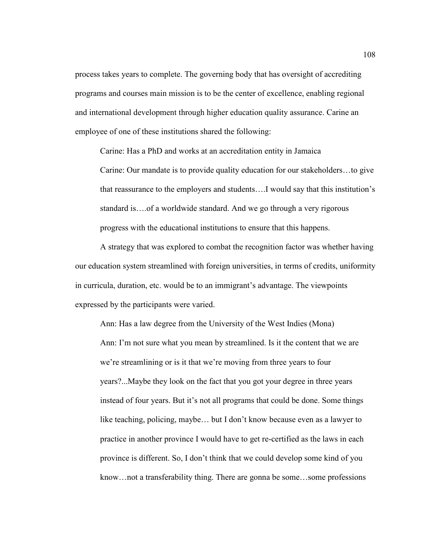process takes years to complete. The governing body that has oversight of accrediting programs and courses main mission is to be the center of excellence, enabling regional and international development through higher education quality assurance. Carine an employee of one of these institutions shared the following:

Carine: Has a PhD and works at an accreditation entity in Jamaica

Carine: Our mandate is to provide quality education for our stakeholders…to give that reassurance to the employers and students….I would say that this institution's standard is….of a worldwide standard. And we go through a very rigorous progress with the educational institutions to ensure that this happens.

A strategy that was explored to combat the recognition factor was whether having our education system streamlined with foreign universities, in terms of credits, uniformity in curricula, duration, etc. would be to an immigrant's advantage. The viewpoints expressed by the participants were varied.

Ann: Has a law degree from the University of the West Indies (Mona) Ann: I'm not sure what you mean by streamlined. Is it the content that we are we're streamlining or is it that we're moving from three years to four years?...Maybe they look on the fact that you got your degree in three years instead of four years. But it's not all programs that could be done. Some things like teaching, policing, maybe… but I don't know because even as a lawyer to practice in another province I would have to get re-certified as the laws in each province is different. So, I don't think that we could develop some kind of you know…not a transferability thing. There are gonna be some…some professions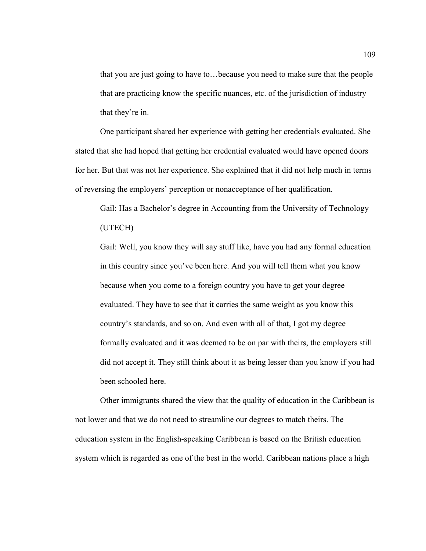that you are just going to have to…because you need to make sure that the people that are practicing know the specific nuances, etc. of the jurisdiction of industry that they're in.

One participant shared her experience with getting her credentials evaluated. She stated that she had hoped that getting her credential evaluated would have opened doors for her. But that was not her experience. She explained that it did not help much in terms of reversing the employers' perception or nonacceptance of her qualification.

Gail: Has a Bachelor's degree in Accounting from the University of Technology (UTECH)

Gail: Well, you know they will say stuff like, have you had any formal education in this country since you've been here. And you will tell them what you know because when you come to a foreign country you have to get your degree evaluated. They have to see that it carries the same weight as you know this country's standards, and so on. And even with all of that, I got my degree formally evaluated and it was deemed to be on par with theirs, the employers still did not accept it. They still think about it as being lesser than you know if you had been schooled here.

Other immigrants shared the view that the quality of education in the Caribbean is not lower and that we do not need to streamline our degrees to match theirs. The education system in the English-speaking Caribbean is based on the British education system which is regarded as one of the best in the world. Caribbean nations place a high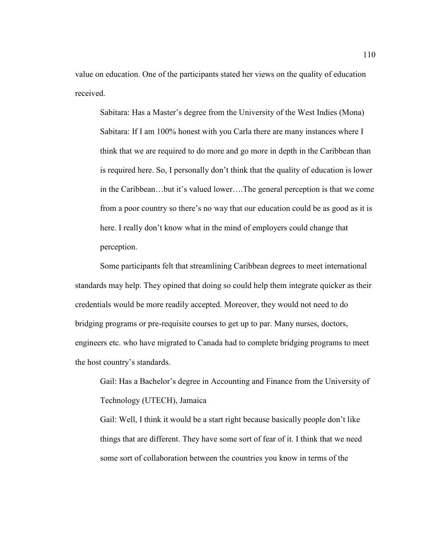value on education. One of the participants stated her views on the quality of education received.

Sabitara: Has a Master's degree from the University of the West Indies (Mona) Sabitara: If I am 100% honest with you Carla there are many instances where I think that we are required to do more and go more in depth in the Caribbean than is required here. So, I personally don't think that the quality of education is lower in the Caribbean…but it's valued lower….The general perception is that we come from a poor country so there's no way that our education could be as good as it is here. I really don't know what in the mind of employers could change that perception.

Some participants felt that streamlining Caribbean degrees to meet international standards may help. They opined that doing so could help them integrate quicker as their credentials would be more readily accepted. Moreover, they would not need to do bridging programs or pre-requisite courses to get up to par. Many nurses, doctors, engineers etc. who have migrated to Canada had to complete bridging programs to meet the host country's standards.

Gail: Has a Bachelor's degree in Accounting and Finance from the University of Technology (UTECH), Jamaica

Gail: Well, I think it would be a start right because basically people don't like things that are different. They have some sort of fear of it. I think that we need some sort of collaboration between the countries you know in terms of the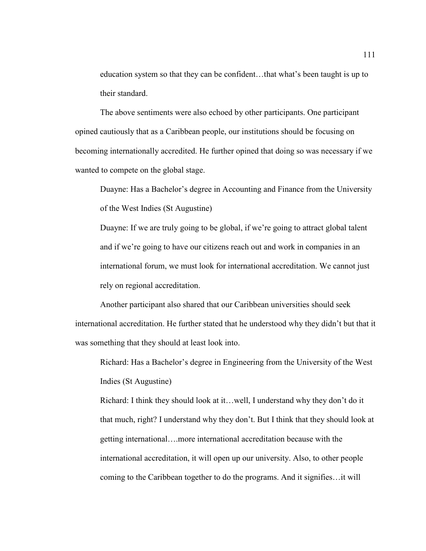education system so that they can be confident…that what's been taught is up to their standard.

The above sentiments were also echoed by other participants. One participant opined cautiously that as a Caribbean people, our institutions should be focusing on becoming internationally accredited. He further opined that doing so was necessary if we wanted to compete on the global stage.

Duayne: Has a Bachelor's degree in Accounting and Finance from the University of the West Indies (St Augustine)

Duayne: If we are truly going to be global, if we're going to attract global talent and if we're going to have our citizens reach out and work in companies in an international forum, we must look for international accreditation. We cannot just rely on regional accreditation.

Another participant also shared that our Caribbean universities should seek international accreditation. He further stated that he understood why they didn't but that it was something that they should at least look into.

Richard: Has a Bachelor's degree in Engineering from the University of the West Indies (St Augustine)

Richard: I think they should look at it…well, I understand why they don't do it that much, right? I understand why they don't. But I think that they should look at getting international….more international accreditation because with the international accreditation, it will open up our university. Also, to other people coming to the Caribbean together to do the programs. And it signifies…it will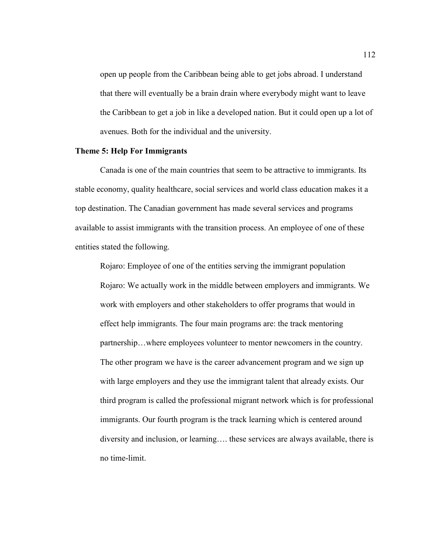open up people from the Caribbean being able to get jobs abroad. I understand that there will eventually be a brain drain where everybody might want to leave the Caribbean to get a job in like a developed nation. But it could open up a lot of avenues. Both for the individual and the university.

### **Theme 5: Help For Immigrants**

Canada is one of the main countries that seem to be attractive to immigrants. Its stable economy, quality healthcare, social services and world class education makes it a top destination. The Canadian government has made several services and programs available to assist immigrants with the transition process. An employee of one of these entities stated the following.

Rojaro: Employee of one of the entities serving the immigrant population Rojaro: We actually work in the middle between employers and immigrants. We work with employers and other stakeholders to offer programs that would in effect help immigrants. The four main programs are: the track mentoring partnership…where employees volunteer to mentor newcomers in the country. The other program we have is the career advancement program and we sign up with large employers and they use the immigrant talent that already exists. Our third program is called the professional migrant network which is for professional immigrants. Our fourth program is the track learning which is centered around diversity and inclusion, or learning…. these services are always available, there is no time-limit.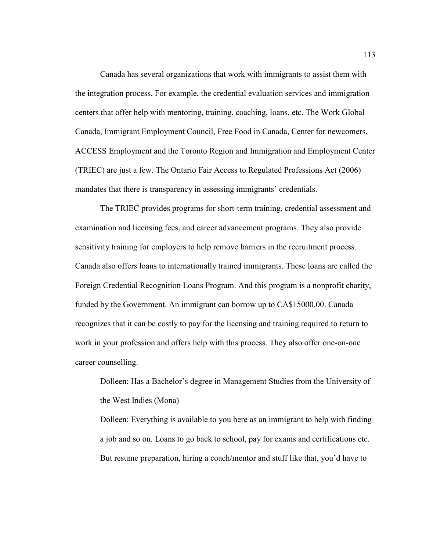Canada has several organizations that work with immigrants to assist them with the integration process. For example, the credential evaluation services and immigration centers that offer help with mentoring, training, coaching, loans, etc. The Work Global Canada, Immigrant Employment Council, Free Food in Canada, Center for newcomers, ACCESS Employment and the Toronto Region and Immigration and Employment Center (TRIEC) are just a few. The Ontario Fair Access to Regulated Professions Act (2006) mandates that there is transparency in assessing immigrants' credentials.

The TRIEC provides programs for short-term training, credential assessment and examination and licensing fees, and career advancement programs. They also provide sensitivity training for employers to help remove barriers in the recruitment process. Canada also offers loans to internationally trained immigrants. These loans are called the Foreign Credential Recognition Loans Program. And this program is a nonprofit charity, funded by the Government. An immigrant can borrow up to CA\$15000.00. Canada recognizes that it can be costly to pay for the licensing and training required to return to work in your profession and offers help with this process. They also offer one-on-one career counselling.

Dolleen: Has a Bachelor's degree in Management Studies from the University of the West Indies (Mona)

Dolleen: Everything is available to you here as an immigrant to help with finding a job and so on. Loans to go back to school, pay for exams and certifications etc. But resume preparation, hiring a coach/mentor and stuff like that, you'd have to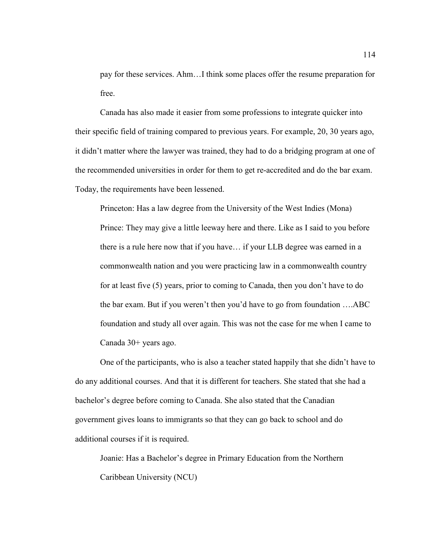pay for these services. Ahm…I think some places offer the resume preparation for free.

Canada has also made it easier from some professions to integrate quicker into their specific field of training compared to previous years. For example, 20, 30 years ago, it didn't matter where the lawyer was trained, they had to do a bridging program at one of the recommended universities in order for them to get re-accredited and do the bar exam. Today, the requirements have been lessened.

Princeton: Has a law degree from the University of the West Indies (Mona) Prince: They may give a little leeway here and there. Like as I said to you before there is a rule here now that if you have… if your LLB degree was earned in a commonwealth nation and you were practicing law in a commonwealth country for at least five (5) years, prior to coming to Canada, then you don't have to do the bar exam. But if you weren't then you'd have to go from foundation ….ABC foundation and study all over again. This was not the case for me when I came to Canada 30+ years ago.

One of the participants, who is also a teacher stated happily that she didn't have to do any additional courses. And that it is different for teachers. She stated that she had a bachelor's degree before coming to Canada. She also stated that the Canadian government gives loans to immigrants so that they can go back to school and do additional courses if it is required.

Joanie: Has a Bachelor's degree in Primary Education from the Northern Caribbean University (NCU)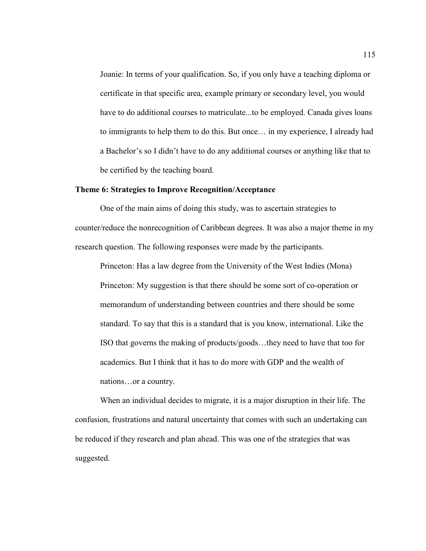Joanie: In terms of your qualification. So, if you only have a teaching diploma or certificate in that specific area, example primary or secondary level, you would have to do additional courses to matriculate...to be employed. Canada gives loans to immigrants to help them to do this. But once… in my experience, I already had a Bachelor's so I didn't have to do any additional courses or anything like that to be certified by the teaching board.

### **Theme 6: Strategies to Improve Recognition/Acceptance**

One of the main aims of doing this study, was to ascertain strategies to counter/reduce the nonrecognition of Caribbean degrees. It was also a major theme in my research question. The following responses were made by the participants.

Princeton: Has a law degree from the University of the West Indies (Mona) Princeton: My suggestion is that there should be some sort of co-operation or memorandum of understanding between countries and there should be some standard. To say that this is a standard that is you know, international. Like the ISO that governs the making of products/goods…they need to have that too for academics. But I think that it has to do more with GDP and the wealth of nations…or a country.

When an individual decides to migrate, it is a major disruption in their life. The confusion, frustrations and natural uncertainty that comes with such an undertaking can be reduced if they research and plan ahead. This was one of the strategies that was suggested.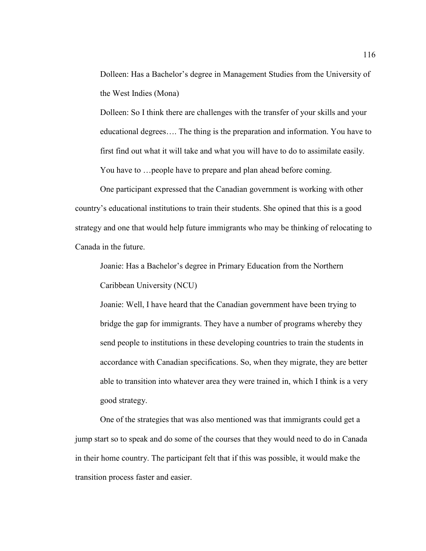Dolleen: Has a Bachelor's degree in Management Studies from the University of the West Indies (Mona)

Dolleen: So I think there are challenges with the transfer of your skills and your educational degrees…. The thing is the preparation and information. You have to first find out what it will take and what you will have to do to assimilate easily. You have to …people have to prepare and plan ahead before coming.

One participant expressed that the Canadian government is working with other country's educational institutions to train their students. She opined that this is a good strategy and one that would help future immigrants who may be thinking of relocating to Canada in the future.

Joanie: Has a Bachelor's degree in Primary Education from the Northern Caribbean University (NCU)

Joanie: Well, I have heard that the Canadian government have been trying to bridge the gap for immigrants. They have a number of programs whereby they send people to institutions in these developing countries to train the students in accordance with Canadian specifications. So, when they migrate, they are better able to transition into whatever area they were trained in, which I think is a very good strategy.

One of the strategies that was also mentioned was that immigrants could get a jump start so to speak and do some of the courses that they would need to do in Canada in their home country. The participant felt that if this was possible, it would make the transition process faster and easier.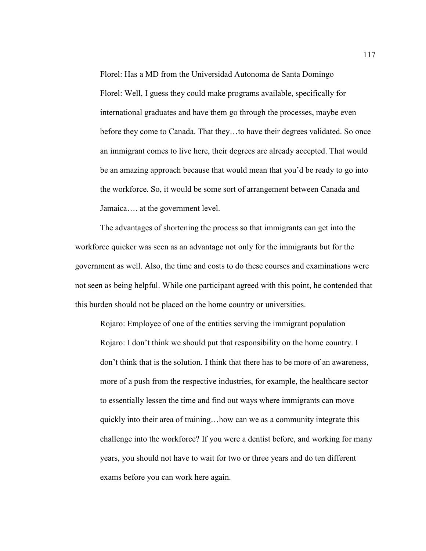Florel: Has a MD from the Universidad Autonoma de Santa Domingo Florel: Well, I guess they could make programs available, specifically for international graduates and have them go through the processes, maybe even before they come to Canada. That they…to have their degrees validated. So once an immigrant comes to live here, their degrees are already accepted. That would be an amazing approach because that would mean that you'd be ready to go into the workforce. So, it would be some sort of arrangement between Canada and Jamaica…. at the government level.

The advantages of shortening the process so that immigrants can get into the workforce quicker was seen as an advantage not only for the immigrants but for the government as well. Also, the time and costs to do these courses and examinations were not seen as being helpful. While one participant agreed with this point, he contended that this burden should not be placed on the home country or universities.

Rojaro: Employee of one of the entities serving the immigrant population Rojaro: I don't think we should put that responsibility on the home country. I don't think that is the solution. I think that there has to be more of an awareness, more of a push from the respective industries, for example, the healthcare sector to essentially lessen the time and find out ways where immigrants can move quickly into their area of training…how can we as a community integrate this challenge into the workforce? If you were a dentist before, and working for many years, you should not have to wait for two or three years and do ten different exams before you can work here again.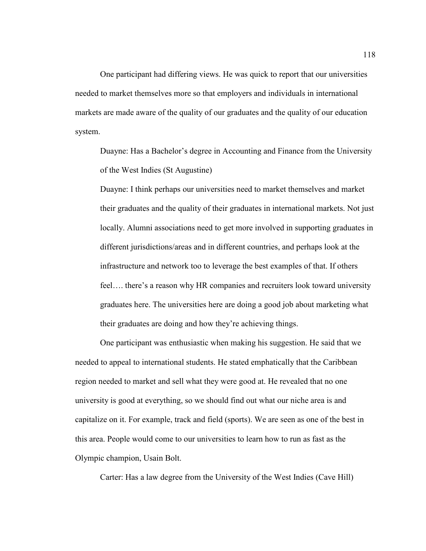One participant had differing views. He was quick to report that our universities needed to market themselves more so that employers and individuals in international markets are made aware of the quality of our graduates and the quality of our education system.

Duayne: Has a Bachelor's degree in Accounting and Finance from the University of the West Indies (St Augustine)

Duayne: I think perhaps our universities need to market themselves and market their graduates and the quality of their graduates in international markets. Not just locally. Alumni associations need to get more involved in supporting graduates in different jurisdictions/areas and in different countries, and perhaps look at the infrastructure and network too to leverage the best examples of that. If others feel…. there's a reason why HR companies and recruiters look toward university graduates here. The universities here are doing a good job about marketing what their graduates are doing and how they're achieving things.

One participant was enthusiastic when making his suggestion. He said that we needed to appeal to international students. He stated emphatically that the Caribbean region needed to market and sell what they were good at. He revealed that no one university is good at everything, so we should find out what our niche area is and capitalize on it. For example, track and field (sports). We are seen as one of the best in this area. People would come to our universities to learn how to run as fast as the Olympic champion, Usain Bolt.

Carter: Has a law degree from the University of the West Indies (Cave Hill)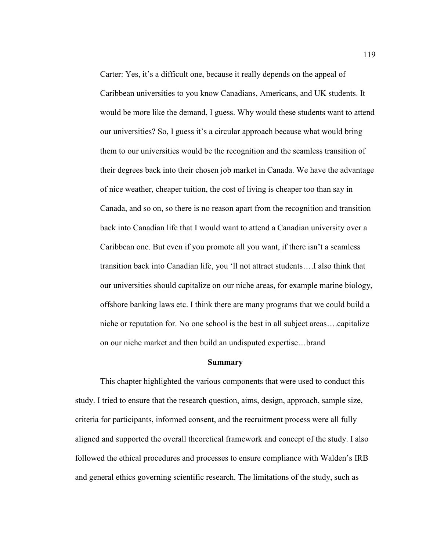Carter: Yes, it's a difficult one, because it really depends on the appeal of Caribbean universities to you know Canadians, Americans, and UK students. It would be more like the demand, I guess. Why would these students want to attend our universities? So, I guess it's a circular approach because what would bring them to our universities would be the recognition and the seamless transition of their degrees back into their chosen job market in Canada. We have the advantage of nice weather, cheaper tuition, the cost of living is cheaper too than say in Canada, and so on, so there is no reason apart from the recognition and transition back into Canadian life that I would want to attend a Canadian university over a Caribbean one. But even if you promote all you want, if there isn't a seamless transition back into Canadian life, you 'll not attract students….I also think that our universities should capitalize on our niche areas, for example marine biology, offshore banking laws etc. I think there are many programs that we could build a niche or reputation for. No one school is the best in all subject areas….capitalize on our niche market and then build an undisputed expertise…brand

#### **Summary**

This chapter highlighted the various components that were used to conduct this study. I tried to ensure that the research question, aims, design, approach, sample size, criteria for participants, informed consent, and the recruitment process were all fully aligned and supported the overall theoretical framework and concept of the study. I also followed the ethical procedures and processes to ensure compliance with Walden's IRB and general ethics governing scientific research. The limitations of the study, such as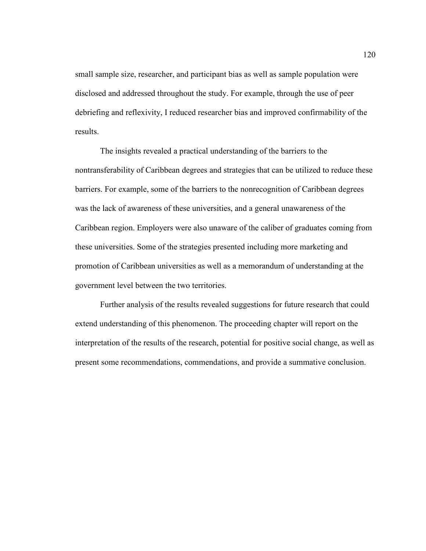small sample size, researcher, and participant bias as well as sample population were disclosed and addressed throughout the study. For example, through the use of peer debriefing and reflexivity, I reduced researcher bias and improved confirmability of the results.

The insights revealed a practical understanding of the barriers to the nontransferability of Caribbean degrees and strategies that can be utilized to reduce these barriers. For example, some of the barriers to the nonrecognition of Caribbean degrees was the lack of awareness of these universities, and a general unawareness of the Caribbean region. Employers were also unaware of the caliber of graduates coming from these universities. Some of the strategies presented including more marketing and promotion of Caribbean universities as well as a memorandum of understanding at the government level between the two territories.

Further analysis of the results revealed suggestions for future research that could extend understanding of this phenomenon. The proceeding chapter will report on the interpretation of the results of the research, potential for positive social change, as well as present some recommendations, commendations, and provide a summative conclusion.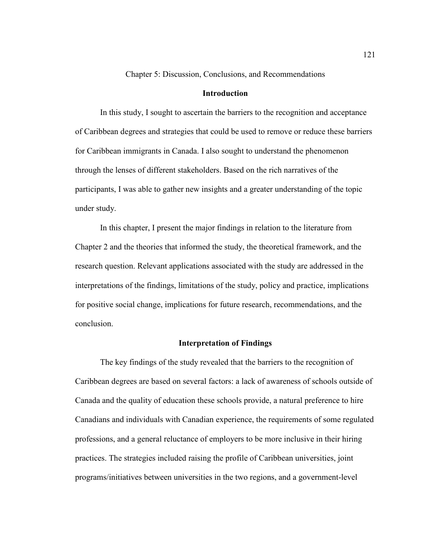Chapter 5: Discussion, Conclusions, and Recommendations

### **Introduction**

In this study, I sought to ascertain the barriers to the recognition and acceptance of Caribbean degrees and strategies that could be used to remove or reduce these barriers for Caribbean immigrants in Canada. I also sought to understand the phenomenon through the lenses of different stakeholders. Based on the rich narratives of the participants, I was able to gather new insights and a greater understanding of the topic under study.

In this chapter, I present the major findings in relation to the literature from Chapter 2 and the theories that informed the study, the theoretical framework, and the research question. Relevant applications associated with the study are addressed in the interpretations of the findings, limitations of the study, policy and practice, implications for positive social change, implications for future research, recommendations, and the conclusion.

### **Interpretation of Findings**

The key findings of the study revealed that the barriers to the recognition of Caribbean degrees are based on several factors: a lack of awareness of schools outside of Canada and the quality of education these schools provide, a natural preference to hire Canadians and individuals with Canadian experience, the requirements of some regulated professions, and a general reluctance of employers to be more inclusive in their hiring practices. The strategies included raising the profile of Caribbean universities, joint programs/initiatives between universities in the two regions, and a government-level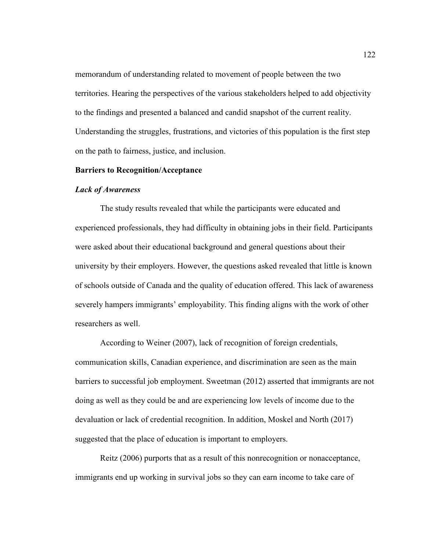memorandum of understanding related to movement of people between the two territories. Hearing the perspectives of the various stakeholders helped to add objectivity to the findings and presented a balanced and candid snapshot of the current reality. Understanding the struggles, frustrations, and victories of this population is the first step on the path to fairness, justice, and inclusion.

#### **Barriers to Recognition/Acceptance**

#### *Lack of Awareness*

The study results revealed that while the participants were educated and experienced professionals, they had difficulty in obtaining jobs in their field. Participants were asked about their educational background and general questions about their university by their employers. However, the questions asked revealed that little is known of schools outside of Canada and the quality of education offered. This lack of awareness severely hampers immigrants' employability. This finding aligns with the work of other researchers as well.

According to Weiner (2007), lack of recognition of foreign credentials, communication skills, Canadian experience, and discrimination are seen as the main barriers to successful job employment. Sweetman (2012) asserted that immigrants are not doing as well as they could be and are experiencing low levels of income due to the devaluation or lack of credential recognition. In addition, Moskel and North (2017) suggested that the place of education is important to employers.

Reitz (2006) purports that as a result of this nonrecognition or nonacceptance, immigrants end up working in survival jobs so they can earn income to take care of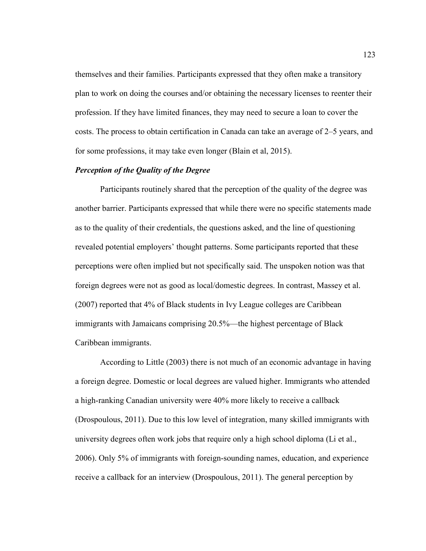themselves and their families. Participants expressed that they often make a transitory plan to work on doing the courses and/or obtaining the necessary licenses to reenter their profession. If they have limited finances, they may need to secure a loan to cover the costs. The process to obtain certification in Canada can take an average of 2–5 years, and for some professions, it may take even longer (Blain et al, 2015).

# *Perception of the Quality of the Degree*

Participants routinely shared that the perception of the quality of the degree was another barrier. Participants expressed that while there were no specific statements made as to the quality of their credentials, the questions asked, and the line of questioning revealed potential employers' thought patterns. Some participants reported that these perceptions were often implied but not specifically said. The unspoken notion was that foreign degrees were not as good as local/domestic degrees. In contrast, Massey et al. (2007) reported that 4% of Black students in Ivy League colleges are Caribbean immigrants with Jamaicans comprising 20.5%—the highest percentage of Black Caribbean immigrants.

According to Little (2003) there is not much of an economic advantage in having a foreign degree. Domestic or local degrees are valued higher. Immigrants who attended a high-ranking Canadian university were 40% more likely to receive a callback (Drospoulous, 2011). Due to this low level of integration, many skilled immigrants with university degrees often work jobs that require only a high school diploma (Li et al., 2006). Only 5% of immigrants with foreign-sounding names, education, and experience receive a callback for an interview (Drospoulous, 2011). The general perception by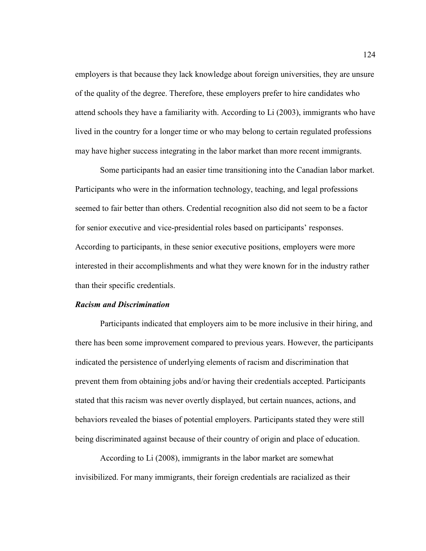employers is that because they lack knowledge about foreign universities, they are unsure of the quality of the degree. Therefore, these employers prefer to hire candidates who attend schools they have a familiarity with. According to Li (2003), immigrants who have lived in the country for a longer time or who may belong to certain regulated professions may have higher success integrating in the labor market than more recent immigrants.

Some participants had an easier time transitioning into the Canadian labor market. Participants who were in the information technology, teaching, and legal professions seemed to fair better than others. Credential recognition also did not seem to be a factor for senior executive and vice-presidential roles based on participants' responses. According to participants, in these senior executive positions, employers were more interested in their accomplishments and what they were known for in the industry rather than their specific credentials.

#### *Racism and Discrimination*

Participants indicated that employers aim to be more inclusive in their hiring, and there has been some improvement compared to previous years. However, the participants indicated the persistence of underlying elements of racism and discrimination that prevent them from obtaining jobs and/or having their credentials accepted. Participants stated that this racism was never overtly displayed, but certain nuances, actions, and behaviors revealed the biases of potential employers. Participants stated they were still being discriminated against because of their country of origin and place of education.

According to Li (2008), immigrants in the labor market are somewhat invisibilized. For many immigrants, their foreign credentials are racialized as their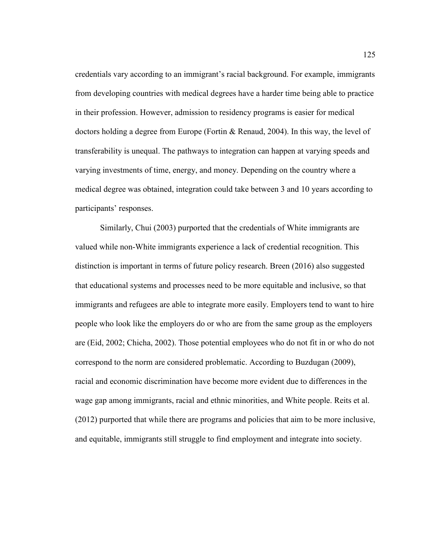credentials vary according to an immigrant's racial background. For example, immigrants from developing countries with medical degrees have a harder time being able to practice in their profession. However, admission to residency programs is easier for medical doctors holding a degree from Europe (Fortin & Renaud, 2004). In this way, the level of transferability is unequal. The pathways to integration can happen at varying speeds and varying investments of time, energy, and money. Depending on the country where a medical degree was obtained, integration could take between 3 and 10 years according to participants' responses.

Similarly, Chui (2003) purported that the credentials of White immigrants are valued while non-White immigrants experience a lack of credential recognition. This distinction is important in terms of future policy research. Breen (2016) also suggested that educational systems and processes need to be more equitable and inclusive, so that immigrants and refugees are able to integrate more easily. Employers tend to want to hire people who look like the employers do or who are from the same group as the employers are (Eid, 2002; Chicha, 2002). Those potential employees who do not fit in or who do not correspond to the norm are considered problematic. According to Buzdugan (2009), racial and economic discrimination have become more evident due to differences in the wage gap among immigrants, racial and ethnic minorities, and White people. Reits et al. (2012) purported that while there are programs and policies that aim to be more inclusive, and equitable, immigrants still struggle to find employment and integrate into society.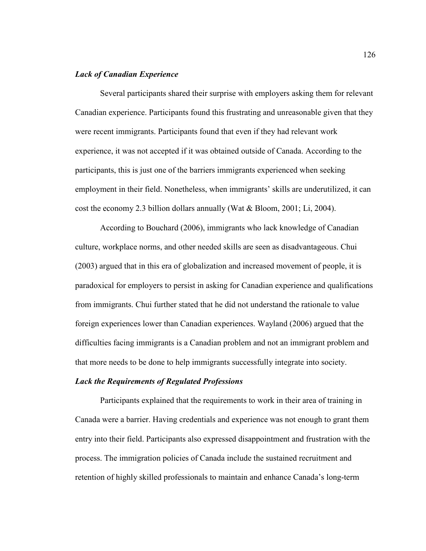## *Lack of Canadian Experience*

Several participants shared their surprise with employers asking them for relevant Canadian experience. Participants found this frustrating and unreasonable given that they were recent immigrants. Participants found that even if they had relevant work experience, it was not accepted if it was obtained outside of Canada. According to the participants, this is just one of the barriers immigrants experienced when seeking employment in their field. Nonetheless, when immigrants' skills are underutilized, it can cost the economy 2.3 billion dollars annually (Wat  $\&$  Bloom, 2001; Li, 2004).

According to Bouchard (2006), immigrants who lack knowledge of Canadian culture, workplace norms, and other needed skills are seen as disadvantageous. Chui (2003) argued that in this era of globalization and increased movement of people, it is paradoxical for employers to persist in asking for Canadian experience and qualifications from immigrants. Chui further stated that he did not understand the rationale to value foreign experiences lower than Canadian experiences. Wayland (2006) argued that the difficulties facing immigrants is a Canadian problem and not an immigrant problem and that more needs to be done to help immigrants successfully integrate into society.

#### *Lack the Requirements of Regulated Professions*

Participants explained that the requirements to work in their area of training in Canada were a barrier. Having credentials and experience was not enough to grant them entry into their field. Participants also expressed disappointment and frustration with the process. The immigration policies of Canada include the sustained recruitment and retention of highly skilled professionals to maintain and enhance Canada's long-term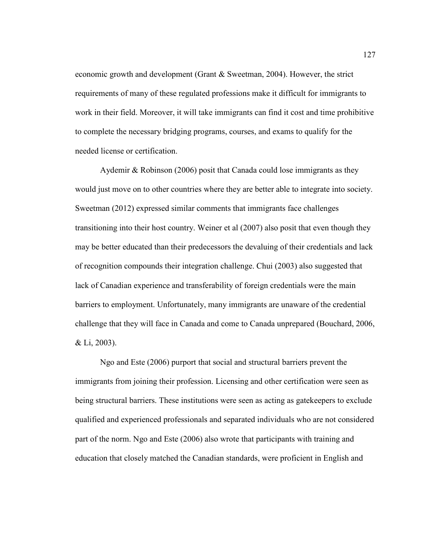economic growth and development (Grant & Sweetman, 2004). However, the strict requirements of many of these regulated professions make it difficult for immigrants to work in their field. Moreover, it will take immigrants can find it cost and time prohibitive to complete the necessary bridging programs, courses, and exams to qualify for the needed license or certification.

Aydemir & Robinson (2006) posit that Canada could lose immigrants as they would just move on to other countries where they are better able to integrate into society. Sweetman (2012) expressed similar comments that immigrants face challenges transitioning into their host country. Weiner et al (2007) also posit that even though they may be better educated than their predecessors the devaluing of their credentials and lack of recognition compounds their integration challenge. Chui (2003) also suggested that lack of Canadian experience and transferability of foreign credentials were the main barriers to employment. Unfortunately, many immigrants are unaware of the credential challenge that they will face in Canada and come to Canada unprepared (Bouchard, 2006, & Li, 2003).

Ngo and Este (2006) purport that social and structural barriers prevent the immigrants from joining their profession. Licensing and other certification were seen as being structural barriers. These institutions were seen as acting as gatekeepers to exclude qualified and experienced professionals and separated individuals who are not considered part of the norm. Ngo and Este (2006) also wrote that participants with training and education that closely matched the Canadian standards, were proficient in English and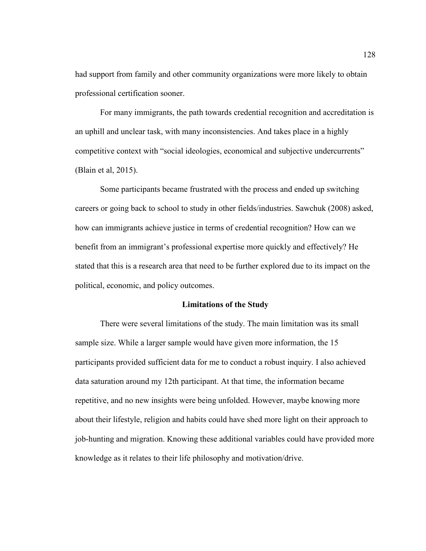had support from family and other community organizations were more likely to obtain professional certification sooner.

For many immigrants, the path towards credential recognition and accreditation is an uphill and unclear task, with many inconsistencies. And takes place in a highly competitive context with "social ideologies, economical and subjective undercurrents" (Blain et al, 2015).

Some participants became frustrated with the process and ended up switching careers or going back to school to study in other fields/industries. Sawchuk (2008) asked, how can immigrants achieve justice in terms of credential recognition? How can we benefit from an immigrant's professional expertise more quickly and effectively? He stated that this is a research area that need to be further explored due to its impact on the political, economic, and policy outcomes.

#### **Limitations of the Study**

There were several limitations of the study. The main limitation was its small sample size. While a larger sample would have given more information, the 15 participants provided sufficient data for me to conduct a robust inquiry. I also achieved data saturation around my 12th participant. At that time, the information became repetitive, and no new insights were being unfolded. However, maybe knowing more about their lifestyle, religion and habits could have shed more light on their approach to job-hunting and migration. Knowing these additional variables could have provided more knowledge as it relates to their life philosophy and motivation/drive.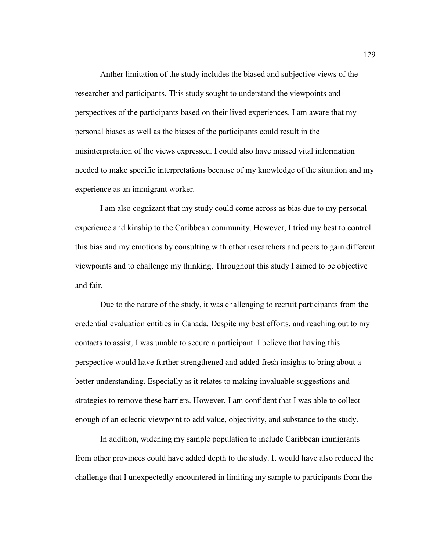Anther limitation of the study includes the biased and subjective views of the researcher and participants. This study sought to understand the viewpoints and perspectives of the participants based on their lived experiences. I am aware that my personal biases as well as the biases of the participants could result in the misinterpretation of the views expressed. I could also have missed vital information needed to make specific interpretations because of my knowledge of the situation and my experience as an immigrant worker.

I am also cognizant that my study could come across as bias due to my personal experience and kinship to the Caribbean community. However, I tried my best to control this bias and my emotions by consulting with other researchers and peers to gain different viewpoints and to challenge my thinking. Throughout this study I aimed to be objective and fair.

Due to the nature of the study, it was challenging to recruit participants from the credential evaluation entities in Canada. Despite my best efforts, and reaching out to my contacts to assist, I was unable to secure a participant. I believe that having this perspective would have further strengthened and added fresh insights to bring about a better understanding. Especially as it relates to making invaluable suggestions and strategies to remove these barriers. However, I am confident that I was able to collect enough of an eclectic viewpoint to add value, objectivity, and substance to the study.

In addition, widening my sample population to include Caribbean immigrants from other provinces could have added depth to the study. It would have also reduced the challenge that I unexpectedly encountered in limiting my sample to participants from the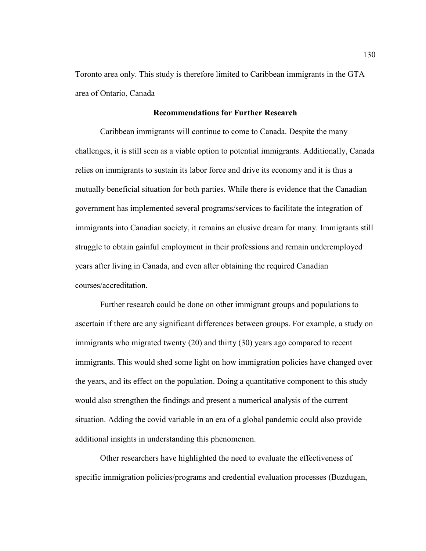Toronto area only. This study is therefore limited to Caribbean immigrants in the GTA area of Ontario, Canada

### **Recommendations for Further Research**

Caribbean immigrants will continue to come to Canada. Despite the many challenges, it is still seen as a viable option to potential immigrants. Additionally, Canada relies on immigrants to sustain its labor force and drive its economy and it is thus a mutually beneficial situation for both parties. While there is evidence that the Canadian government has implemented several programs/services to facilitate the integration of immigrants into Canadian society, it remains an elusive dream for many. Immigrants still struggle to obtain gainful employment in their professions and remain underemployed years after living in Canada, and even after obtaining the required Canadian courses/accreditation.

Further research could be done on other immigrant groups and populations to ascertain if there are any significant differences between groups. For example, a study on immigrants who migrated twenty (20) and thirty (30) years ago compared to recent immigrants. This would shed some light on how immigration policies have changed over the years, and its effect on the population. Doing a quantitative component to this study would also strengthen the findings and present a numerical analysis of the current situation. Adding the covid variable in an era of a global pandemic could also provide additional insights in understanding this phenomenon.

Other researchers have highlighted the need to evaluate the effectiveness of specific immigration policies/programs and credential evaluation processes (Buzdugan,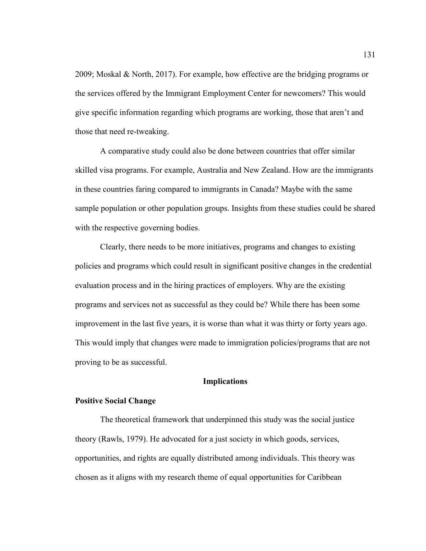2009; Moskal & North, 2017). For example, how effective are the bridging programs or the services offered by the Immigrant Employment Center for newcomers? This would give specific information regarding which programs are working, those that aren't and those that need re-tweaking.

A comparative study could also be done between countries that offer similar skilled visa programs. For example, Australia and New Zealand. How are the immigrants in these countries faring compared to immigrants in Canada? Maybe with the same sample population or other population groups. Insights from these studies could be shared with the respective governing bodies.

Clearly, there needs to be more initiatives, programs and changes to existing policies and programs which could result in significant positive changes in the credential evaluation process and in the hiring practices of employers. Why are the existing programs and services not as successful as they could be? While there has been some improvement in the last five years, it is worse than what it was thirty or forty years ago. This would imply that changes were made to immigration policies/programs that are not proving to be as successful.

### **Implications**

### **Positive Social Change**

The theoretical framework that underpinned this study was the social justice theory (Rawls, 1979). He advocated for a just society in which goods, services, opportunities, and rights are equally distributed among individuals. This theory was chosen as it aligns with my research theme of equal opportunities for Caribbean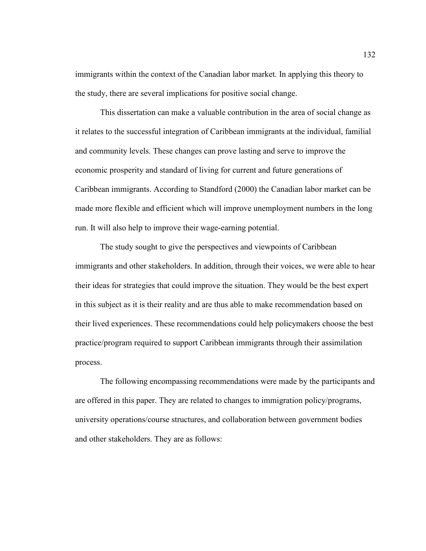immigrants within the context of the Canadian labor market. In applying this theory to the study, there are several implications for positive social change.

This dissertation can make a valuable contribution in the area of social change as it relates to the successful integration of Caribbean immigrants at the individual, familial and community levels. These changes can prove lasting and serve to improve the economic prosperity and standard of living for current and future generations of Caribbean immigrants. According to Standford (2000) the Canadian labor market can be made more flexible and efficient which will improve unemployment numbers in the long run. It will also help to improve their wage-earning potential.

The study sought to give the perspectives and viewpoints of Caribbean immigrants and other stakeholders. In addition, through their voices, we were able to hear their ideas for strategies that could improve the situation. They would be the best expert in this subject as it is their reality and are thus able to make recommendation based on their lived experiences. These recommendations could help policymakers choose the best practice/program required to support Caribbean immigrants through their assimilation process.

The following encompassing recommendations were made by the participants and are offered in this paper. They are related to changes to immigration policy/programs, university operations/course structures, and collaboration between government bodies and other stakeholders. They are as follows: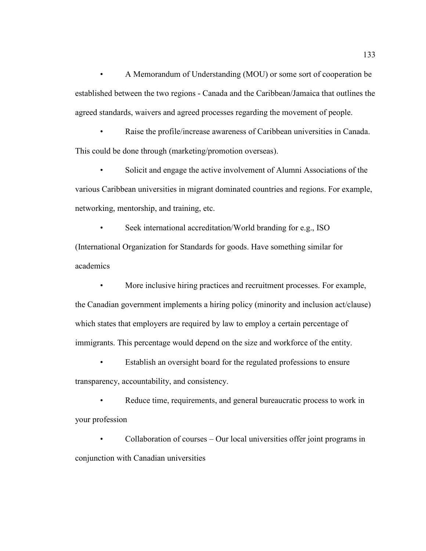• A Memorandum of Understanding (MOU) or some sort of cooperation be established between the two regions - Canada and the Caribbean/Jamaica that outlines the agreed standards, waivers and agreed processes regarding the movement of people.

Raise the profile/increase awareness of Caribbean universities in Canada. This could be done through (marketing/promotion overseas).

Solicit and engage the active involvement of Alumni Associations of the various Caribbean universities in migrant dominated countries and regions. For example, networking, mentorship, and training, etc.

• Seek international accreditation/World branding for e.g., ISO (International Organization for Standards for goods. Have something similar for academics

• More inclusive hiring practices and recruitment processes. For example, the Canadian government implements a hiring policy (minority and inclusion act/clause) which states that employers are required by law to employ a certain percentage of immigrants. This percentage would depend on the size and workforce of the entity.

Establish an oversight board for the regulated professions to ensure transparency, accountability, and consistency.

Reduce time, requirements, and general bureaucratic process to work in your profession

• Collaboration of courses – Our local universities offer joint programs in conjunction with Canadian universities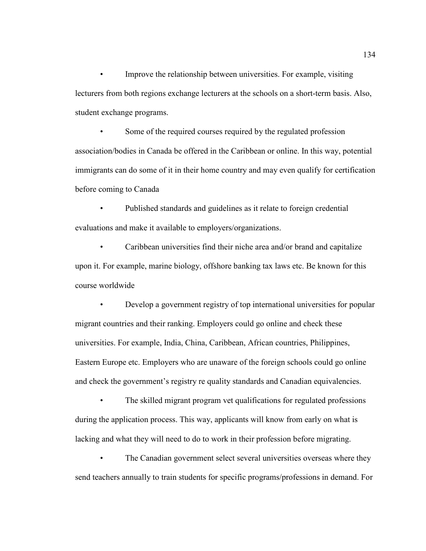• Improve the relationship between universities. For example, visiting lecturers from both regions exchange lecturers at the schools on a short-term basis. Also, student exchange programs.

Some of the required courses required by the regulated profession association/bodies in Canada be offered in the Caribbean or online. In this way, potential immigrants can do some of it in their home country and may even qualify for certification before coming to Canada

• Published standards and guidelines as it relate to foreign credential evaluations and make it available to employers/organizations.

• Caribbean universities find their niche area and/or brand and capitalize upon it. For example, marine biology, offshore banking tax laws etc. Be known for this course worldwide

• Develop a government registry of top international universities for popular migrant countries and their ranking. Employers could go online and check these universities. For example, India, China, Caribbean, African countries, Philippines, Eastern Europe etc. Employers who are unaware of the foreign schools could go online and check the government's registry re quality standards and Canadian equivalencies.

The skilled migrant program vet qualifications for regulated professions during the application process. This way, applicants will know from early on what is lacking and what they will need to do to work in their profession before migrating.

The Canadian government select several universities overseas where they send teachers annually to train students for specific programs/professions in demand. For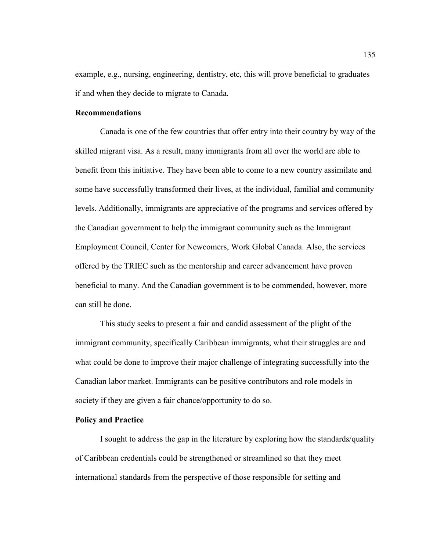example, e.g., nursing, engineering, dentistry, etc, this will prove beneficial to graduates if and when they decide to migrate to Canada.

# **Recommendations**

Canada is one of the few countries that offer entry into their country by way of the skilled migrant visa. As a result, many immigrants from all over the world are able to benefit from this initiative. They have been able to come to a new country assimilate and some have successfully transformed their lives, at the individual, familial and community levels. Additionally, immigrants are appreciative of the programs and services offered by the Canadian government to help the immigrant community such as the Immigrant Employment Council, Center for Newcomers, Work Global Canada. Also, the services offered by the TRIEC such as the mentorship and career advancement have proven beneficial to many. And the Canadian government is to be commended, however, more can still be done.

This study seeks to present a fair and candid assessment of the plight of the immigrant community, specifically Caribbean immigrants, what their struggles are and what could be done to improve their major challenge of integrating successfully into the Canadian labor market. Immigrants can be positive contributors and role models in society if they are given a fair chance/opportunity to do so.

### **Policy and Practice**

I sought to address the gap in the literature by exploring how the standards/quality of Caribbean credentials could be strengthened or streamlined so that they meet international standards from the perspective of those responsible for setting and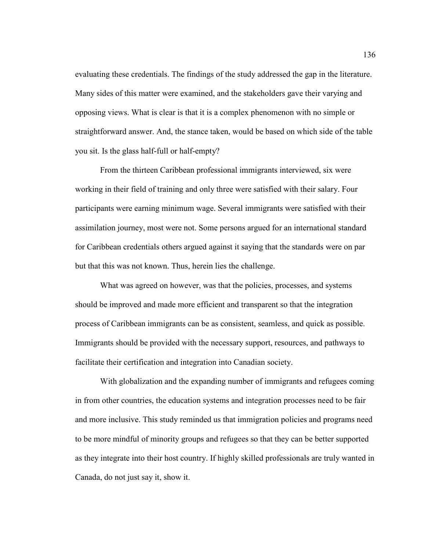evaluating these credentials. The findings of the study addressed the gap in the literature. Many sides of this matter were examined, and the stakeholders gave their varying and opposing views. What is clear is that it is a complex phenomenon with no simple or straightforward answer. And, the stance taken, would be based on which side of the table you sit. Is the glass half-full or half-empty?

From the thirteen Caribbean professional immigrants interviewed, six were working in their field of training and only three were satisfied with their salary. Four participants were earning minimum wage. Several immigrants were satisfied with their assimilation journey, most were not. Some persons argued for an international standard for Caribbean credentials others argued against it saying that the standards were on par but that this was not known. Thus, herein lies the challenge.

What was agreed on however, was that the policies, processes, and systems should be improved and made more efficient and transparent so that the integration process of Caribbean immigrants can be as consistent, seamless, and quick as possible. Immigrants should be provided with the necessary support, resources, and pathways to facilitate their certification and integration into Canadian society.

With globalization and the expanding number of immigrants and refugees coming in from other countries, the education systems and integration processes need to be fair and more inclusive. This study reminded us that immigration policies and programs need to be more mindful of minority groups and refugees so that they can be better supported as they integrate into their host country. If highly skilled professionals are truly wanted in Canada, do not just say it, show it.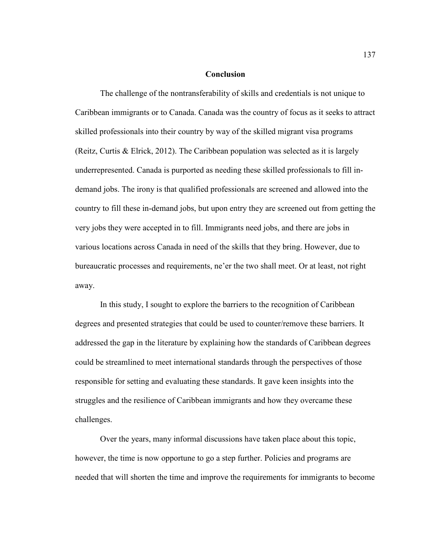#### **Conclusion**

The challenge of the nontransferability of skills and credentials is not unique to Caribbean immigrants or to Canada. Canada was the country of focus as it seeks to attract skilled professionals into their country by way of the skilled migrant visa programs (Reitz, Curtis & Elrick, 2012). The Caribbean population was selected as it is largely underrepresented. Canada is purported as needing these skilled professionals to fill indemand jobs. The irony is that qualified professionals are screened and allowed into the country to fill these in-demand jobs, but upon entry they are screened out from getting the very jobs they were accepted in to fill. Immigrants need jobs, and there are jobs in various locations across Canada in need of the skills that they bring. However, due to bureaucratic processes and requirements, ne'er the two shall meet. Or at least, not right away.

In this study, I sought to explore the barriers to the recognition of Caribbean degrees and presented strategies that could be used to counter/remove these barriers. It addressed the gap in the literature by explaining how the standards of Caribbean degrees could be streamlined to meet international standards through the perspectives of those responsible for setting and evaluating these standards. It gave keen insights into the struggles and the resilience of Caribbean immigrants and how they overcame these challenges.

Over the years, many informal discussions have taken place about this topic, however, the time is now opportune to go a step further. Policies and programs are needed that will shorten the time and improve the requirements for immigrants to become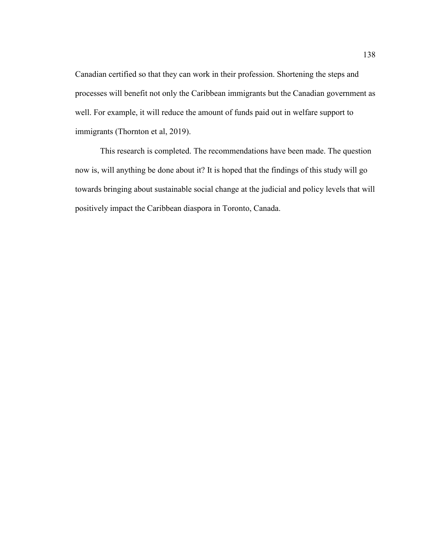Canadian certified so that they can work in their profession. Shortening the steps and processes will benefit not only the Caribbean immigrants but the Canadian government as well. For example, it will reduce the amount of funds paid out in welfare support to immigrants (Thornton et al, 2019).

This research is completed. The recommendations have been made. The question now is, will anything be done about it? It is hoped that the findings of this study will go towards bringing about sustainable social change at the judicial and policy levels that will positively impact the Caribbean diaspora in Toronto, Canada.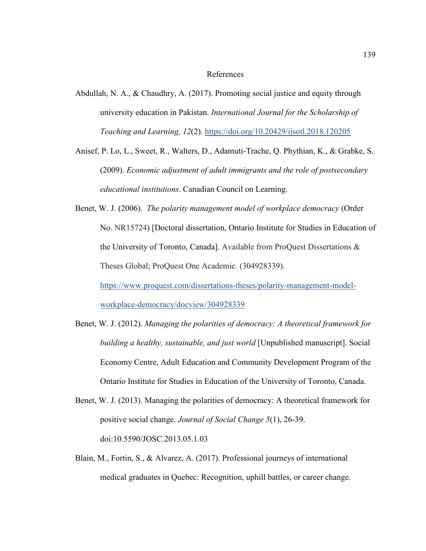#### References

- Abdullah, N. A., & Chaudhry, A. (2017). Promoting social justice and equity through university education in Pakistan. *International Journal for the Scholarship of Teaching and Learning, 12*(2). https://doi.org/10.20429/ijsotl.2018.120205
- Anisef, P. Lo, L., Sweet, R., Walters, D., Adamuti-Trache, Q. Phythian, K., & Grabke, S. (2009). *Economic adjustment of adult immigrants and the role of postsecondary educational institutions*. Canadian Council on Learning.
- Benet, W. J. (2006). *The polarity management model of workplace democracy* (Order No. NR15724) [Doctoral dissertation, Ontario Institute for Studies in Education of the University of Toronto, Canada]. Available from ProQuest Dissertations & Theses Global; ProQuest One Academic. (304928339). https://www.proquest.com/dissertations-theses/polarity-management-modelworkplace-democracy/docview/304928339
- Benet, W. J. (2012). *Managing the polarities of democracy: A theoretical framework for building a healthy, sustainable, and just world* [Unpublished manuscript]. Social Economy Centre, Adult Education and Community Development Program of the Ontario Institute for Studies in Education of the University of Toronto, Canada.
- Benet, W. J. (2013). Managing the polarities of democracy: A theoretical framework for positive social change. *Journal of Social Change 5*(1), 26-39. doi:10.5590/JOSC.2013.05.1.03
- Blain, M., Fortin, S., & Alvarez, A. (2017). Professional journeys of international medical graduates in Quebec: Recognition, uphill battles, or career change.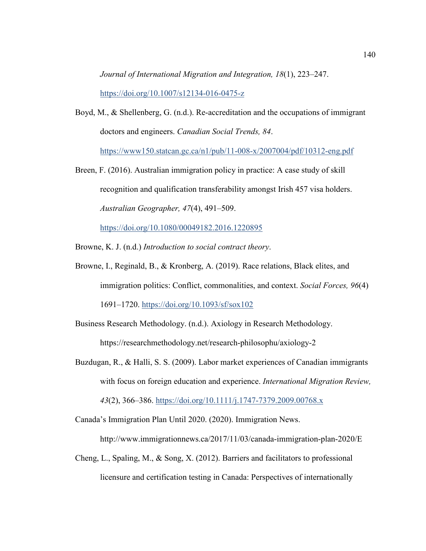*Journal of International Migration and Integration, 18*(1), 223–247. https://doi.org/10.1007/s12134-016-0475-z

- Boyd, M., & Shellenberg, G. (n.d.). Re-accreditation and the occupations of immigrant doctors and engineers. *Canadian Social Trends, 84*. https://www150.statcan.gc.ca/n1/pub/11-008-x/2007004/pdf/10312-eng.pdf
- Breen, F. (2016). Australian immigration policy in practice: A case study of skill recognition and qualification transferability amongst Irish 457 visa holders. *Australian Geographer, 47*(4), 491–509.

https://doi.org/10.1080/00049182.2016.1220895

- Browne, K. J. (n.d.) *Introduction to social contract theory*.
- Browne, I., Reginald, B., & Kronberg, A. (2019). Race relations, Black elites, and immigration politics: Conflict, commonalities, and context. *Social Forces, 96*(4) 1691–1720. https://doi.org/10.1093/sf/sox102
- Business Research Methodology. (n.d.). Axiology in Research Methodology. https://researchmethodology.net/research-philosophu/axiology-2
- Buzdugan, R., & Halli, S. S. (2009). Labor market experiences of Canadian immigrants with focus on foreign education and experience. *International Migration Review, 43*(2), 366–386. https://doi.org/10.1111/j.1747-7379.2009.00768.x

Canada's Immigration Plan Until 2020. (2020). Immigration News.

http://www.immigrationnews.ca/2017/11/03/canada-immigration-plan-2020/E

Cheng, L., Spaling, M., & Song, X. (2012). Barriers and facilitators to professional licensure and certification testing in Canada: Perspectives of internationally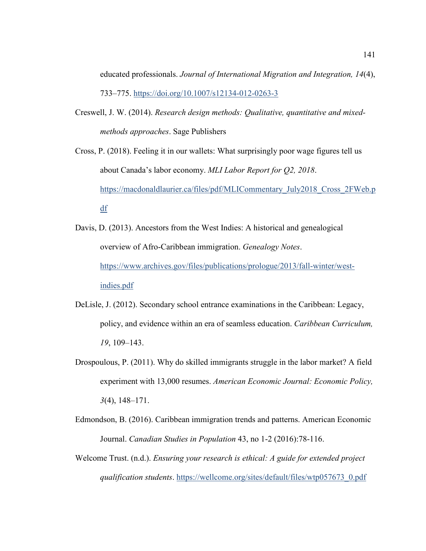educated professionals. *Journal of International Migration and Integration, 14*(4), 733–775. https://doi.org/10.1007/s12134-012-0263-3

- Creswell, J. W. (2014). *Research design methods: Qualitative, quantitative and mixedmethods approaches*. Sage Publishers
- Cross, P. (2018). Feeling it in our wallets: What surprisingly poor wage figures tell us about Canada's labor economy. *MLI Labor Report for Q2, 2018*. https://macdonaldlaurier.ca/files/pdf/MLICommentary\_July2018\_Cross\_2FWeb.p df
- Davis, D. (2013). Ancestors from the West Indies: A historical and genealogical overview of Afro-Caribbean immigration. *Genealogy Notes*. https://www.archives.gov/files/publications/prologue/2013/fall-winter/westindies.pdf
- DeLisle, J. (2012). Secondary school entrance examinations in the Caribbean: Legacy, policy, and evidence within an era of seamless education. *Caribbean Curriculum, 19*, 109–143.
- Drospoulous, P. (2011). Why do skilled immigrants struggle in the labor market? A field experiment with 13,000 resumes. *American Economic Journal: Economic Policy, 3*(4), 148–171.
- Edmondson, B. (2016). Caribbean immigration trends and patterns. American Economic Journal. *Canadian Studies in Population* 43, no 1-2 (2016):78-116.
- Welcome Trust. (n.d.). *Ensuring your research is ethical: A guide for extended project qualification students*. https://wellcome.org/sites/default/files/wtp057673\_0.pdf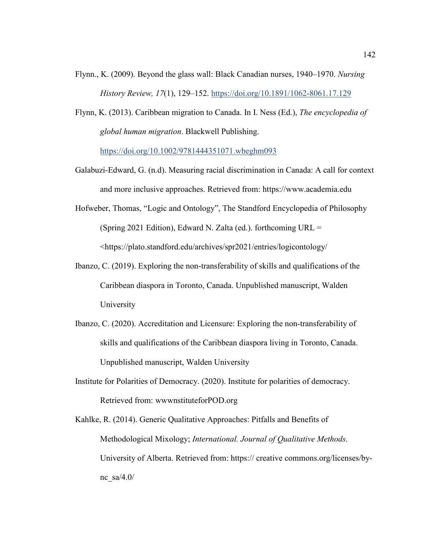- Flynn., K. (2009). Beyond the glass wall: Black Canadian nurses, 1940–1970. *Nursing History Review, 17*(1), 129–152. https://doi.org/10.1891/1062-8061.17.129
- Flynn, K. (2013). Caribbean migration to Canada. In I. Ness (Ed.), *The encyclopedia of global human migration*. Blackwell Publishing. https://doi.org/10.1002/9781444351071.wbeghm093
- Galabuzi-Edward, G. (n.d). Measuring racial discrimination in Canada: A call for context and more inclusive approaches. Retrieved from: https://www.academia.edu
- Hofweber, Thomas, "Logic and Ontology", The Standford Encyclopedia of Philosophy (Spring 2021 Edition), Edward N. Zalta (ed.). forthcoming URL = <https://plato.standford.edu/archives/spr2021/entries/logicontology/
- Ibanzo, C. (2019). Exploring the non-transferability of skills and qualifications of the Caribbean diaspora in Toronto, Canada. Unpublished manuscript, Walden University
- Ibanzo, C. (2020). Accreditation and Licensure: Exploring the non-transferability of skills and qualifications of the Caribbean diaspora living in Toronto, Canada. Unpublished manuscript, Walden University
- Institute for Polarities of Democracy. (2020). Institute for polarities of democracy. Retrieved from: wwwnstituteforPOD.org
- Kahlke, R. (2014). Generic Qualitative Approaches: Pitfalls and Benefits of Methodological Mixology; *International. Journal of Qualitative Methods*. University of Alberta. Retrieved from: https:// creative commons.org/licenses/bync $sa/4.0/$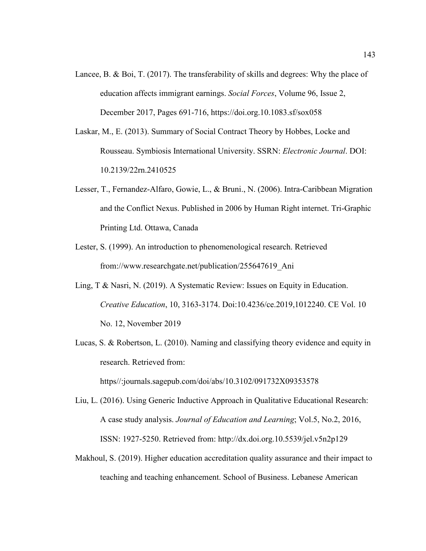- Lancee, B. & Boi, T. (2017). The transferability of skills and degrees: Why the place of education affects immigrant earnings. *Social Forces*, Volume 96, Issue 2, December 2017, Pages 691-716, https://doi.org.10.1083.sf/sox058
- Laskar, M., E. (2013). Summary of Social Contract Theory by Hobbes, Locke and Rousseau. Symbiosis International University. SSRN: *Electronic Journal*. DOI: 10.2139/22rn.2410525
- Lesser, T., Fernandez-Alfaro, Gowie, L., & Bruni., N. (2006). Intra-Caribbean Migration and the Conflict Nexus. Published in 2006 by Human Right internet. Tri-Graphic Printing Ltd. Ottawa, Canada
- Lester, S. (1999). An introduction to phenomenological research. Retrieved from://www.researchgate.net/publication/255647619\_Ani
- Ling, T & Nasri, N. (2019). A Systematic Review: Issues on Equity in Education. *Creative Education*, 10, 3163-3174. Doi:10.4236/ce.2019,1012240. CE Vol. 10 No. 12, November 2019
- Lucas, S. & Robertson, L. (2010). Naming and classifying theory evidence and equity in research. Retrieved from: https//:journals.sagepub.com/doi/abs/10.3102/091732X09353578
- Liu, L. (2016). Using Generic Inductive Approach in Qualitative Educational Research: A case study analysis. *Journal of Education and Learning*; Vol.5, No.2, 2016, ISSN: 1927-5250. Retrieved from: http://dx.doi.org.10.5539/jel.v5n2p129
- Makhoul, S. (2019). Higher education accreditation quality assurance and their impact to teaching and teaching enhancement. School of Business. Lebanese American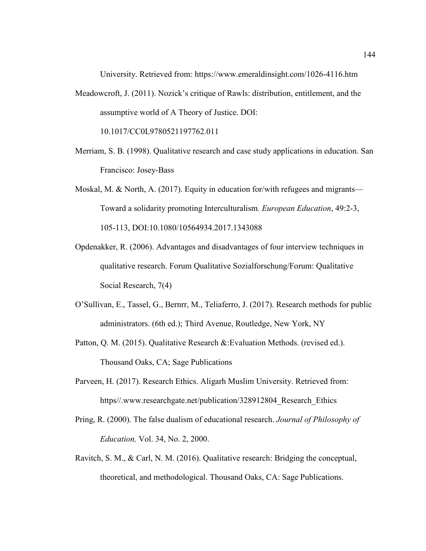University. Retrieved from: https://www.emeraldinsight.com/1026-4116.htm

Meadowcroft, J. (2011). Nozick's critique of Rawls: distribution, entitlement, and the assumptive world of A Theory of Justice. DOI:

10.1017/CC0L9780521197762.011

- Merriam, S. B. (1998). Qualitative research and case study applications in education. San Francisco: Josey-Bass
- Moskal, M. & North, A. (2017). Equity in education for/with refugees and migrants— Toward a solidarity promoting Interculturalism*. European Education*, 49:2-3, 105-113, DOI:10.1080/10564934.2017.1343088
- Opdenakker, R. (2006). Advantages and disadvantages of four interview techniques in qualitative research. Forum Qualitative Sozialforschung/Forum: Qualitative Social Research, 7(4)
- O'Sullivan, E., Tassel, G., Bernrr, M., Teliaferro, J. (2017). Research methods for public administrators. (6th ed.); Third Avenue, Routledge, New York, NY
- Patton, Q. M. (2015). Qualitative Research &: Evaluation Methods. (revised ed.). Thousand Oaks, CA; Sage Publications
- Parveen, H. (2017). Research Ethics. Aligarh Muslim University. Retrieved from: https//.www.researchgate.net/publication/328912804\_Research\_Ethics
- Pring, R. (2000). The false dualism of educational research. *Journal of Philosophy of Education,* Vol. 34, No. 2, 2000.
- Ravitch, S. M., & Carl, N. M. (2016). Qualitative research: Bridging the conceptual, theoretical, and methodological. Thousand Oaks, CA: Sage Publications.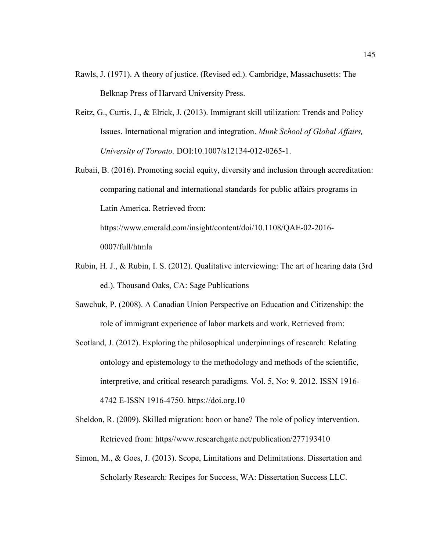- Rawls, J. (1971). A theory of justice. (Revised ed.). Cambridge, Massachusetts: The Belknap Press of Harvard University Press.
- Reitz, G., Curtis, J., & Elrick, J. (2013). Immigrant skill utilization: Trends and Policy Issues. International migration and integration. *Munk School of Global Affairs, University of Toronto.* DOI:10.1007/s12134-012-0265-1.
- Rubaii, B. (2016). Promoting social equity, diversity and inclusion through accreditation: comparing national and international standards for public affairs programs in Latin America. Retrieved from:

https://www.emerald.com/insight/content/doi/10.1108/QAE-02-2016- 0007/full/htmla

- Rubin, H. J., & Rubin, I. S. (2012). Qualitative interviewing: The art of hearing data (3rd ed.). Thousand Oaks, CA: Sage Publications
- Sawchuk, P. (2008). A Canadian Union Perspective on Education and Citizenship: the role of immigrant experience of labor markets and work. Retrieved from:
- Scotland, J. (2012). Exploring the philosophical underpinnings of research: Relating ontology and epistemology to the methodology and methods of the scientific, interpretive, and critical research paradigms. Vol. 5, No: 9. 2012. ISSN 1916- 4742 E-ISSN 1916-4750. https://doi.org.10
- Sheldon, R. (2009). Skilled migration: boon or bane? The role of policy intervention. Retrieved from: https//www.researchgate.net/publication/277193410
- Simon, M., & Goes, J. (2013). Scope, Limitations and Delimitations. Dissertation and Scholarly Research: Recipes for Success, WA: Dissertation Success LLC.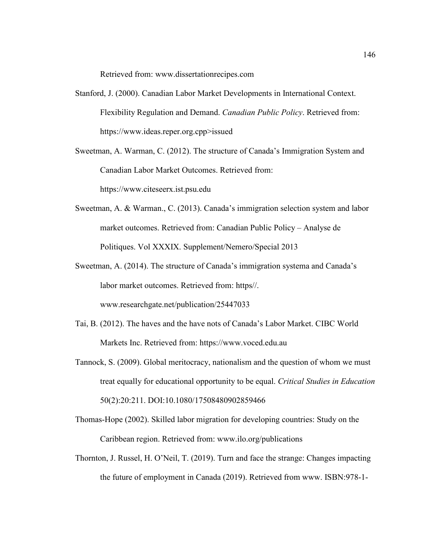Retrieved from: www.dissertationrecipes.com

- Stanford, J. (2000). Canadian Labor Market Developments in International Context. Flexibility Regulation and Demand. *Canadian Public Policy*. Retrieved from: https://www.ideas.reper.org.cpp>issued
- Sweetman, A. Warman, C. (2012). The structure of Canada's Immigration System and Canadian Labor Market Outcomes. Retrieved from:

https://www.citeseerx.ist.psu.edu

- Sweetman, A. & Warman., C. (2013). Canada's immigration selection system and labor market outcomes. Retrieved from: Canadian Public Policy – Analyse de Politiques. Vol XXXIX. Supplement/Nemero/Special 2013
- Sweetman, A. (2014). The structure of Canada's immigration systema and Canada's labor market outcomes. Retrieved from: https//. www.researchgate.net/publication/25447033
- Tai, B. (2012). The haves and the have nots of Canada's Labor Market. CIBC World Markets Inc. Retrieved from: https://www.voced.edu.au
- Tannock, S. (2009). Global meritocracy, nationalism and the question of whom we must treat equally for educational opportunity to be equal. *Critical Studies in Education* 50(2):20:211. DOI:10.1080/17508480902859466
- Thomas-Hope (2002). Skilled labor migration for developing countries: Study on the Caribbean region. Retrieved from: www.ilo.org/publications
- Thornton, J. Russel, H. O'Neil, T. (2019). Turn and face the strange: Changes impacting the future of employment in Canada (2019). Retrieved from www. ISBN:978-1-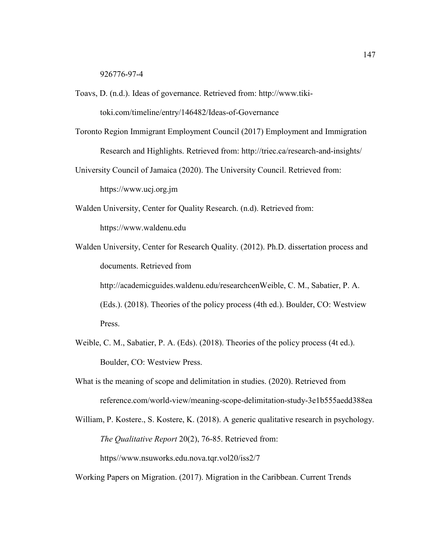926776-97-4

Toavs, D. (n.d.). Ideas of governance. Retrieved from: http://www.tiki-

toki.com/timeline/entry/146482/Ideas-of-Governance

- Toronto Region Immigrant Employment Council (2017) Employment and Immigration Research and Highlights. Retrieved from: http://triec.ca/research-and-insights/
- University Council of Jamaica (2020). The University Council. Retrieved from: https://www.ucj.org.jm
- Walden University, Center for Quality Research. (n.d). Retrieved from: https://www.waldenu.edu
- Walden University, Center for Research Quality. (2012). Ph.D. dissertation process and documents. Retrieved from http://academicguides.waldenu.edu/researchcenWeible, C. M., Sabatier, P. A. (Eds.). (2018). Theories of the policy process (4th ed.). Boulder, CO: Westview

Press.

- Weible, C. M., Sabatier, P. A. (Eds). (2018). Theories of the policy process (4t ed.). Boulder, CO: Westview Press.
- What is the meaning of scope and delimitation in studies. (2020). Retrieved from reference.com/world-view/meaning-scope-delimitation-study-3e1b555aedd388ea
- William, P. Kostere., S. Kostere, K. (2018). A generic qualitative research in psychology. *The Qualitative Report* 20(2), 76-85. Retrieved from:

https//www.nsuworks.edu.nova.tqr.vol20/iss2/7

Working Papers on Migration. (2017). Migration in the Caribbean. Current Trends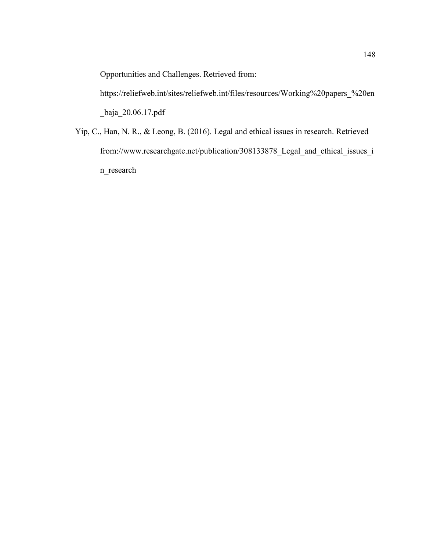Opportunities and Challenges. Retrieved from:

https://reliefweb.int/sites/reliefweb.int/files/resources/Working%20papers\_%20en \_baja\_20.06.17.pdf

Yip, C., Han, N. R., & Leong, B. (2016). Legal and ethical issues in research. Retrieved from://www.researchgate.net/publication/308133878\_Legal\_and\_ethical\_issues\_i n\_research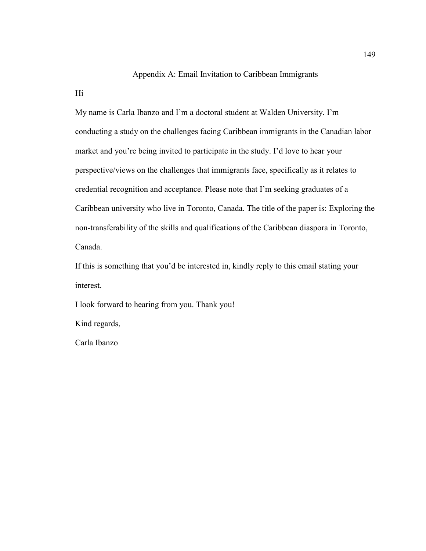# Appendix A: Email Invitation to Caribbean Immigrants

Hi

My name is Carla Ibanzo and I'm a doctoral student at Walden University. I'm conducting a study on the challenges facing Caribbean immigrants in the Canadian labor market and you're being invited to participate in the study. I'd love to hear your perspective/views on the challenges that immigrants face, specifically as it relates to credential recognition and acceptance. Please note that I'm seeking graduates of a Caribbean university who live in Toronto, Canada. The title of the paper is: Exploring the non-transferability of the skills and qualifications of the Caribbean diaspora in Toronto, Canada.

If this is something that you'd be interested in, kindly reply to this email stating your interest.

I look forward to hearing from you. Thank you!

Kind regards,

Carla Ibanzo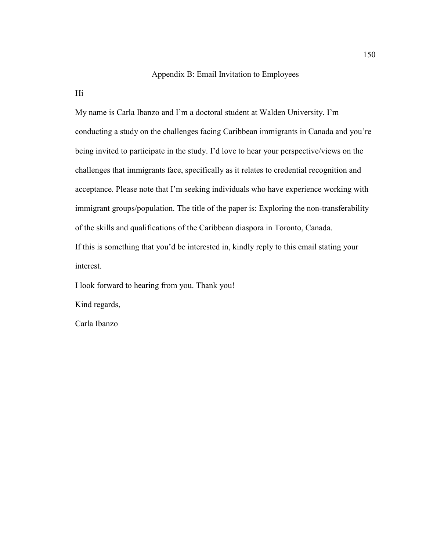## Appendix B: Email Invitation to Employees

Hi

My name is Carla Ibanzo and I'm a doctoral student at Walden University. I'm conducting a study on the challenges facing Caribbean immigrants in Canada and you're being invited to participate in the study. I'd love to hear your perspective/views on the challenges that immigrants face, specifically as it relates to credential recognition and acceptance. Please note that I'm seeking individuals who have experience working with immigrant groups/population. The title of the paper is: Exploring the non-transferability of the skills and qualifications of the Caribbean diaspora in Toronto, Canada. If this is something that you'd be interested in, kindly reply to this email stating your interest.

I look forward to hearing from you. Thank you!

Kind regards,

Carla Ibanzo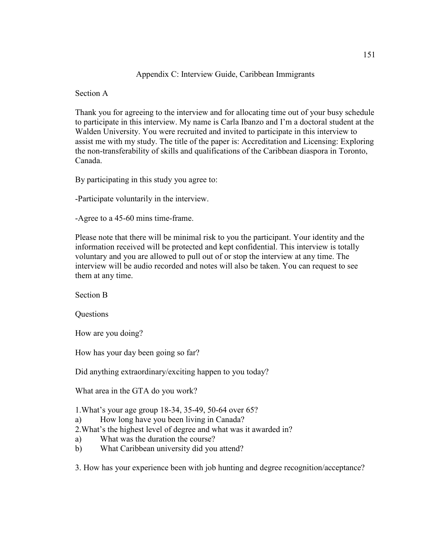# Appendix C: Interview Guide, Caribbean Immigrants

Section A

Thank you for agreeing to the interview and for allocating time out of your busy schedule to participate in this interview. My name is Carla Ibanzo and I'm a doctoral student at the Walden University. You were recruited and invited to participate in this interview to assist me with my study. The title of the paper is: Accreditation and Licensing: Exploring the non-transferability of skills and qualifications of the Caribbean diaspora in Toronto, Canada.

By participating in this study you agree to:

-Participate voluntarily in the interview.

-Agree to a 45-60 mins time-frame.

Please note that there will be minimal risk to you the participant. Your identity and the information received will be protected and kept confidential. This interview is totally voluntary and you are allowed to pull out of or stop the interview at any time. The interview will be audio recorded and notes will also be taken. You can request to see them at any time.

Section B

**Questions** 

How are you doing?

How has your day been going so far?

Did anything extraordinary/exciting happen to you today?

What area in the GTA do you work?

1.What's your age group 18-34, 35-49, 50-64 over 65?

- a) How long have you been living in Canada?
- 2.What's the highest level of degree and what was it awarded in?
- a) What was the duration the course?
- b) What Caribbean university did you attend?

3. How has your experience been with job hunting and degree recognition/acceptance?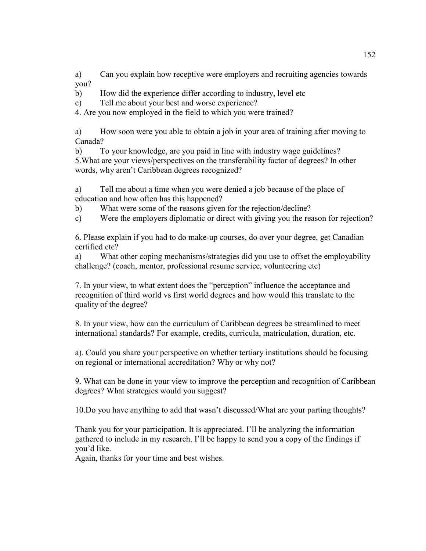a) Can you explain how receptive were employers and recruiting agencies towards you?

b) How did the experience differ according to industry, level etc

c) Tell me about your best and worse experience?

4. Are you now employed in the field to which you were trained?

a) How soon were you able to obtain a job in your area of training after moving to Canada?

b) To your knowledge, are you paid in line with industry wage guidelines? 5.What are your views/perspectives on the transferability factor of degrees? In other words, why aren't Caribbean degrees recognized?

a) Tell me about a time when you were denied a job because of the place of education and how often has this happened?

b) What were some of the reasons given for the rejection/decline?

c) Were the employers diplomatic or direct with giving you the reason for rejection?

6. Please explain if you had to do make-up courses, do over your degree, get Canadian certified etc?

a) What other coping mechanisms/strategies did you use to offset the employability challenge? (coach, mentor, professional resume service, volunteering etc)

7. In your view, to what extent does the "perception" influence the acceptance and recognition of third world vs first world degrees and how would this translate to the quality of the degree?

8. In your view, how can the curriculum of Caribbean degrees be streamlined to meet international standards? For example, credits, curricula, matriculation, duration, etc.

a). Could you share your perspective on whether tertiary institutions should be focusing on regional or international accreditation? Why or why not?

9. What can be done in your view to improve the perception and recognition of Caribbean degrees? What strategies would you suggest?

10.Do you have anything to add that wasn't discussed/What are your parting thoughts?

Thank you for your participation. It is appreciated. I'll be analyzing the information gathered to include in my research. I'll be happy to send you a copy of the findings if you'd like.

Again, thanks for your time and best wishes.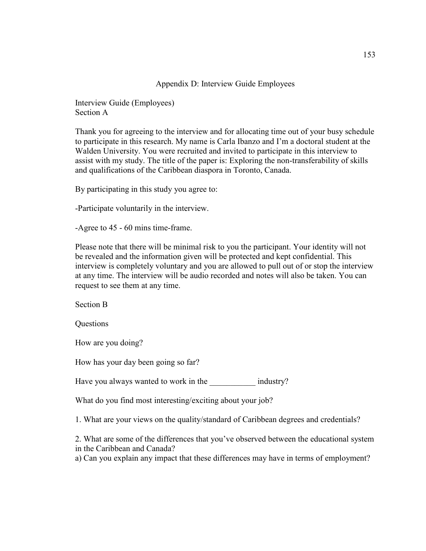Appendix D: Interview Guide Employees

Interview Guide (Employees) Section A

Thank you for agreeing to the interview and for allocating time out of your busy schedule to participate in this research. My name is Carla Ibanzo and I'm a doctoral student at the Walden University. You were recruited and invited to participate in this interview to assist with my study. The title of the paper is: Exploring the non-transferability of skills and qualifications of the Caribbean diaspora in Toronto, Canada.

By participating in this study you agree to:

-Participate voluntarily in the interview.

-Agree to 45 - 60 mins time-frame.

Please note that there will be minimal risk to you the participant. Your identity will not be revealed and the information given will be protected and kept confidential. This interview is completely voluntary and you are allowed to pull out of or stop the interview at any time. The interview will be audio recorded and notes will also be taken. You can request to see them at any time.

Section B

**Questions** 

How are you doing?

How has your day been going so far?

Have you always wanted to work in the industry?

What do you find most interesting/exciting about your job?

1. What are your views on the quality/standard of Caribbean degrees and credentials?

2. What are some of the differences that you've observed between the educational system in the Caribbean and Canada?

a) Can you explain any impact that these differences may have in terms of employment?